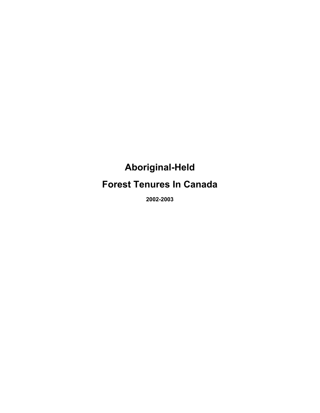# **Aboriginal-Held**

**Forest Tenures In Canada**

**2002-2003**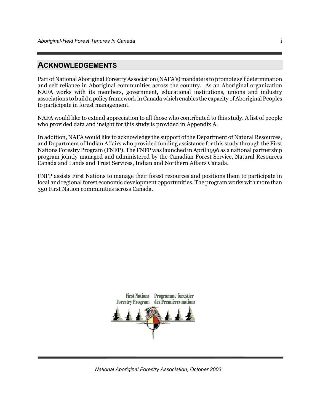## **ACKNOWLEDGEMENTS**

Part of National Aboriginal Forestry Association (NAFA's) mandate is to promote self determination and self reliance in Aboriginal communities across the country. As an Aboriginal organization NAFA works with its members, government, educational institutions, unions and industry associations to build a policy framework in Canada which enables the capacity of Aboriginal Peoples to participate in forest management.

NAFA would like to extend appreciation to all those who contributed to this study. A list of people who provided data and insight for this study is provided in Appendix A.

In addition, NAFA would like to acknowledge the support of the Department of Natural Resources, and Department of Indian Affairs who provided funding assistance for this study through the First Nations Forestry Program (FNFP). The FNFP was launched in April 1996 as a national partnership program jointly managed and administered by the Canadian Forest Service, Natural Resources Canada and Lands and Trust Services, Indian and Northern Affairs Canada.

FNFP assists First Nations to manage their forest resources and positions them to participate in local and regional forest economic development opportunities. The program works with more than 350 First Nation communities across Canada.



*National Aboriginal Forestry Association, October 2003*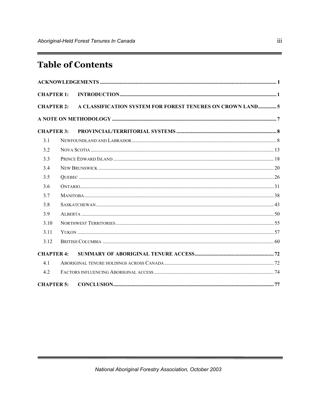# **Table of Contents**

| <b>CHAPTER 1:</b> |  |                                                            |  |  |
|-------------------|--|------------------------------------------------------------|--|--|
| <b>CHAPTER 2:</b> |  | A CLASSIFICATION SYSTEM FOR FOREST TENURES ON CROWN LAND 5 |  |  |
|                   |  |                                                            |  |  |
| <b>CHAPTER 3:</b> |  |                                                            |  |  |
| 3.1               |  |                                                            |  |  |
| 3.2               |  |                                                            |  |  |
| 3.3               |  |                                                            |  |  |
| 3.4               |  |                                                            |  |  |
| 3.5               |  |                                                            |  |  |
| 3.6               |  |                                                            |  |  |
| 3.7               |  |                                                            |  |  |
| 3.8               |  |                                                            |  |  |
| 3.9               |  |                                                            |  |  |
| 3.10              |  |                                                            |  |  |
| 3.11              |  |                                                            |  |  |
| 3.12              |  |                                                            |  |  |
| <b>CHAPTER 4:</b> |  |                                                            |  |  |
| 4.1               |  |                                                            |  |  |
| 4.2               |  |                                                            |  |  |
| <b>CHAPTER 5:</b> |  |                                                            |  |  |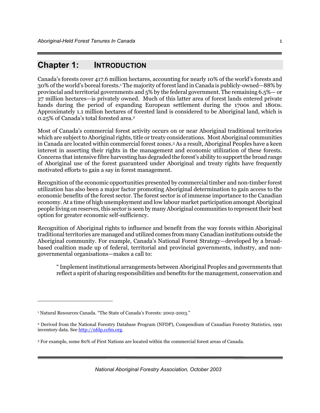## **Chapter 1: INTRODUCTION**

Canada's forests cover 417.6 million hectares, accounting for nearly 10% of the world's forests and 30% of the world's boreal forests.1 The majority of forest land in Canada is publicly-owned—88% by provincial and territorial governments and 5% by the federal government. The remaining 6.5%— or 27 million hectares—is privately owned. Much of this latter area of forest lands entered private hands during the period of expanding European settlement during the 1700s and 1800s. Approximately 1.1 million hectares of forested land is considered to be Aboriginal land, which is 0.25% of Canada's total forested area.2

Most of Canada's commercial forest activity occurs on or near Aboriginal traditional territories which are subject to Aboriginal rights, title or treaty considerations. Most Aboriginal communities in Canada are located within commercial forest zones.3 As a result, Aboriginal Peoples have a keen interest in asserting their rights in the management and economic utilization of these forests. Concerns that intensive fibre harvesting has degraded the forest's ability to support the broad range of Aboriginal use of the forest guaranteed under Aboriginal and treaty rights have frequently motivated efforts to gain a say in forest management.

Recognition of the economic opportunities presented by commercial timber and non-timber forest utilization has also been a major factor promoting Aboriginal determination to gain access to the economic benefits of the forest sector. The forest sector is of immense importance to the Canadian economy. At a time of high unemployment and low labour market participation amongst Aboriginal people living on reserves, this sector is seen by many Aboriginal communities to represent their best option for greater economic self-sufficiency.

Recognition of Aboriginal rights to influence and benefit from the way forests within Aboriginal traditional territories are managed and utilized comes from many Canadian institutions outside the Aboriginal community. For example, Canada's National Forest Strategy—developed by a broadbased coalition made up of federal, territorial and provincial governments, industry, and nongovernmental organisations—makes a call to:

" Implement institutional arrangements between Aboriginal Peoples and governments that reflect a spirit of sharing responsibilities and benefits for the management, conservation and

 $\overline{a}$ 

*National Aboriginal Forestry Association, October 2003*

<sup>1</sup> Natural Resources Canada. "The State of Canada's Forests: 2002-2003."

<sup>2</sup> Derived from the National Forestry Database Program (NFDP), Compendium of Canadian Forestry Statistics, 1991 inventory data. See http://nfdp.ccfm.org.

<sup>3</sup> For example, some 80% of First Nations are located within the commercial forest areas of Canada.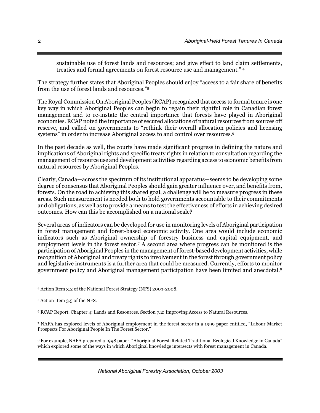sustainable use of forest lands and resources; and give effect to land claim settlements, treaties and formal agreements on forest resource use and management." 4

The strategy further states that Aboriginal Peoples should enjoy "access to a fair share of benefits from the use of forest lands and resources."5

The Royal Commission On Aboriginal Peoples (RCAP) recognized that access to formal tenure is one key way in which Aboriginal Peoples can begin to regain their rightful role in Canadian forest management and to re-instate the central importance that forests have played in Aboriginal economies. RCAP noted the importance of secured allocations of natural resources from sources off reserve, and called on governments to "rethink their overall allocation policies and licensing systems" in order to increase Aboriginal access to and control over resources.6

In the past decade as well, the courts have made significant progress in defining the nature and implications of Aboriginal rights and specific treaty rights in relation to consultation regarding the management of resource use and development activities regarding access to economic benefits from natural resources by Aboriginal Peoples.

Clearly, Canada—across the spectrum of its institutional apparatus—seems to be developing some degree of consensus that Aboriginal Peoples should gain greater influence over, and benefits from, forests. On the road to achieving this shared goal, a challenge will be to measure progress in these areas. Such measurement is needed both to hold governments accountable to their commitments and obligations, as well as to provide a means to test the effectiveness of efforts in achieving desired outcomes. How can this be accomplished on a national scale?

Several areas of indicators can be developed for use in monitoring levels of Aboriginal participation in forest management and forest-based economic activity. One area would include economic indicators such as Aboriginal ownership of forestry business and capital equipment, and employment levels in the forest sector.<sup>7</sup> A second area where progress can be monitored is the participation of Aboriginal Peoples in the management of forest-based development activities, while recognition of Aboriginal and treaty rights to involvement in the forest through government policy and legislative instruments is a further area that could be measured. Currently, efforts to monitor government policy and Aboriginal management participation have been limited and anecdotal.8

l

8 For example, NAFA prepared a 1998 paper, "Aboriginal Forest-Related Traditional Ecological Knowledge in Canada" which explored some of the ways in which Aboriginal knowledge intersects with forest management in Canada.

<sup>4</sup> Action Item 3.2 of the National Forest Strategy (NFS) 2003-2008.

<sup>5</sup> Action Item 3.5 of the NFS.

<sup>6</sup> RCAP Report. Chapter 4: Lands and Resources. Section 7.2: Improving Access to Natural Resources.

<sup>7</sup> NAFA has explored levels of Aboriginal employment in the forest sector in a 1999 paper entitled, "Labour Market Prospects For Aboriginal People In The Forest Sector."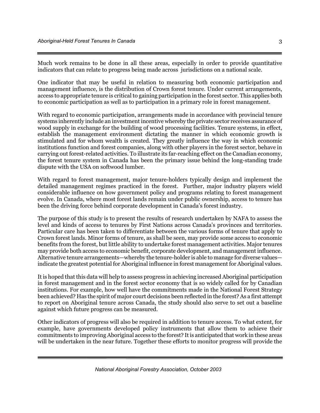Much work remains to be done in all these areas, especially in order to provide quantitative indicators that can relate to progress being made across jurisdictions on a national scale.

One indicator that may be useful in relation to measuring both economic participation and management influence, is the distribution of Crown forest tenure. Under current arrangements, access to appropriate tenure is critical to gaining participation in the forest sector. This applies both to economic participation as well as to participation in a primary role in forest management.

With regard to economic participation, arrangements made in accordance with provincial tenure systems inherently include an investment incentive whereby the private sector receives assurance of wood supply in exchange for the building of wood processing facilities. Tenure systems, in effect, establish the management environment dictating the manner in which economic growth is stimulated and for whom wealth is created. They greatly influence the way in which economic institutions function and forest companies, along with other players in the forest sector, behave in carrying out forest-related activities. To illustrate its far-reaching effect on the Canadian economy, the forest tenure system in Canada has been the primary issue behind the long-standing trade dispute with the USA on softwood lumber.

With regard to forest management, major tenure-holders typically design and implement the detailed management regimes practiced in the forest. Further, major industry players wield considerable influence on how government policy and programs relating to forest management evolve. In Canada, where most forest lands remain under public ownership, access to tenure has been the driving force behind corporate development in Canada's forest industry.

The purpose of this study is to present the results of research undertaken by NAFA to assess the level and kinds of access to tenures by First Nations across Canada's provinces and territories. Particular care has been taken to differentiate between the various forms of tenure that apply to Crown forest lands. Minor forms of tenure, as shall be seen, may provide some access to economic benefits from the forest, but little ability to undertake forest management activities. Major tenures may provide both access to economic benefit, corporate development, and management influence. Alternative tenure arrangements—whereby the tenure-holder is able to manage for diverse values indicate the greatest potential for Aboriginal influence in forest management for Aboriginal values.

It is hoped that this data will help to assess progress in achieving increased Aboriginal participation in forest management and in the forest sector economy that is so widely called for by Canadian institutions. For example, how well have the commitments made in the National Forest Strategy been achieved? Has the spirit of major court decisions been reflected in the forest? As a first attempt to report on Aboriginal tenure across Canada, the study should also serve to set out a baseline against which future progress can be measured.

Other indicators of progress will also be required in addition to tenure access. To what extent, for example, have governments developed policy instruments that allow them to achieve their commitments to improving Aboriginal access to the forest? It is anticipated that work in these areas will be undertaken in the near future. Together these efforts to monitor progress will provide the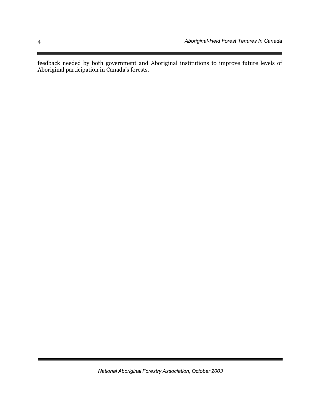feedback needed by both government and Aboriginal institutions to improve future levels of Aboriginal participation in Canada's forests.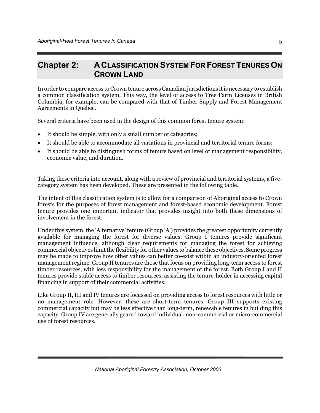## **Chapter 2: ACLASSIFICATION SYSTEM FOR FOREST TENURES ON CROWN LAND**

In order to compare access to Crown tenure across Canadian jurisdictions it is necessary to establish a common classification system. This way, the level of access to Tree Farm Licenses in British Columbia, for example, can be compared with that of Timber Supply and Forest Management Agreements in Quebec.

Several criteria have been used in the design of this common forest tenure system:

- It should be simple, with only a small number of categories;
- It should be able to accommodate all variations in provincial and territorial tenure forms;
- It should be able to distinguish forms of tenure based on level of management responsibility, economic value, and duration.

Taking these criteria into account, along with a review of provincial and territorial systems, a fivecategory system has been developed. These are presented in the following table.

The intent of this classification system is to allow for a comparison of Aboriginal access to Crown forests for the purposes of forest management and forest-based economic development. Forest tenure provides one important indicator that provides insight into both these dimensions of involvement in the forest.

Under this system, the 'Alternative' tenure (Group 'A') provides the greatest opportunity currently available for managing the forest for diverse values. Group I tenures provide significant management influence, although clear requirements for managing the forest for achieving commercial objectives limit the flexibility for other values to balance these objectives. Some progress may be made to improve how other values can better co-exist within an industry-oriented forest management regime. Group II tenures are those that focus on providing long-term access to forest timber resources, with less responsibility for the management of the forest. Both Group I and II tenures provide stable access to timber resources, assisting the tenure-holder in accessing capital financing in support of their commercial activities.

Like Group II, III and IV tenures are focussed on providing access to forest resources with little or no management role. However, these are short-term tenures. Group III supports existing commercial capacity but may be less effective than long-term, renewable tenures in building this capacity. Group IV are generally geared toward individual, non-commercial or micro-commercial use of forest resources.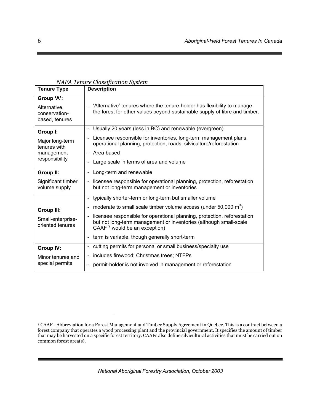| <b>Tenure Type</b>                                            | <i>INAFA Tehure Clussification System</i><br><b>Description</b>                                                                                                                  |  |  |
|---------------------------------------------------------------|----------------------------------------------------------------------------------------------------------------------------------------------------------------------------------|--|--|
|                                                               |                                                                                                                                                                                  |  |  |
| Group 'A':<br>Alternative,<br>conservation-<br>based, tenures | 'Alternative' tenures where the tenure-holder has flexibility to manage<br>the forest for other values beyond sustainable supply of fibre and timber.                            |  |  |
| Group I:                                                      | Usually 20 years (less in BC) and renewable (evergreen)<br>$\sim$                                                                                                                |  |  |
| Major long-term<br>tenures with                               | Licensee responsible for inventories, long-term management plans,<br>н.<br>operational planning, protection, roads, silviculture/reforestation                                   |  |  |
| management                                                    | - Area-based                                                                                                                                                                     |  |  |
| responsibility                                                | Large scale in terms of area and volume                                                                                                                                          |  |  |
| Group II:                                                     | Long-term and renewable<br>$\overline{\phantom{0}}$                                                                                                                              |  |  |
| Significant timber<br>volume supply                           | licensee responsible for operational planning, protection, reforestation<br>$\overline{\phantom{a}}$<br>but not long-term management or inventories                              |  |  |
|                                                               | - typically shorter-term or long-term but smaller volume                                                                                                                         |  |  |
| <b>Group III:</b>                                             | moderate to small scale timber volume access (under $50,000 \text{ m}^3$ )<br>-                                                                                                  |  |  |
| Small-enterprise-<br>oriented tenures                         | licensee responsible for operational planning, protection, reforestation<br>but not long-term management or inventories (although small-scale<br>CAAF $9$ would be an exception) |  |  |
|                                                               | - term is variable, though generally short-term                                                                                                                                  |  |  |
| <b>Group IV:</b>                                              | cutting permits for personal or small business/specialty use<br>۰.                                                                                                               |  |  |
| Minor tenures and                                             | includes firewood; Christmas trees; NTFPs<br>$\overline{\phantom{0}}$                                                                                                            |  |  |
| special permits                                               | permit-holder is not involved in management or reforestation                                                                                                                     |  |  |

#### *NAFA Tenure Classification System*

*National Aboriginal Forestry Association, October 2003*

 $\overline{a}$ 

<sup>9</sup> CAAF - Abbreviation for a Forest Management and Timber Supply Agreement in Quebec. This is a contract between a forest company that operates a wood processing plant and the provincial government. It specifies the amount of timber that may be harvested on a specific forest territory. CAAFs also define silvicultural activities that must be carried out on common forest area(s).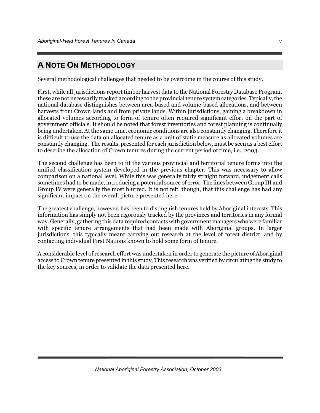## **A NOTE ON METHODOLOGY**

Several methodological challenges that needed to be overcome in the course of this study.

First, while all jurisdictions report timber harvest data to the National Forestry Database Program, these are not necessarily tracked according to the provincial tenure system categories. Typically, the national database distinguishes between area-based and volume-based allocations, and between harvests from Crown lands and from private lands. Within jurisdictions, gaining a breakdown in allocated volumes according to form of tenure often required significant effort on the part of government officials. It should be noted that forest inventories and forest planning is continually being undertaken. At the same time, economic conditions are also constantly changing. Therefore it is difficult to use the data on allocated tenure as a unit of static measure as allocated volumes are constantly changing. The results, presented for each jurisdiction below, must be seen as a best effort to describe the allocation of Crown tenures during the current period of time, i.e., 2003.

The second challenge has been to fit the various provincial and territorial tenure forms into the unified classification system developed in the previous chapter. This was necessary to allow comparison on a national level. While this was generally fairly straight forward, judgement calls sometimes had to be made, introducing a potential source of error. The lines between Group III and Group IV were generally the most blurred. It is not felt, though, that this challenge has had any significant impact on the overall picture presented here.

The greatest challenge, however, has been to distinguish tenures held by Aboriginal interests. This information has simply not been rigorously tracked by the provinces and territories in any formal way. Generally, gathering this data required contacts with government managers who were familiar with specific tenure arrangements that had been made with Aboriginal groups. In larger jurisdictions, this typically meant carrying out research at the level of forest district, and by contacting individual First Nations known to hold some form of tenure.

A considerable level of research effort was undertaken in order to generate the picture of Aboriginal access to Crown tenure presented in this study. This research was verified by circulating the study to the key sources, in order to validate the data presented here.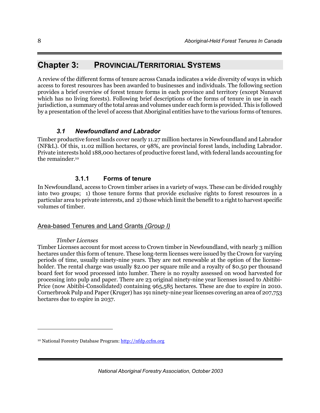## **Chapter 3: PROVINCIAL/TERRITORIAL SYSTEMS**

A review of the different forms of tenure across Canada indicates a wide diversity of ways in which access to forest resources has been awarded to businesses and individuals. The following section provides a brief overview of forest tenure forms in each province and territory (except Nunavut which has no living forests). Following brief descriptions of the forms of tenure in use in each jurisdiction, a summary of the total areas and volumes under each form is provided. This is followed by a presentation of the level of access that Aboriginal entities have to the various forms of tenures.

## *3.1 Newfoundland and Labrador*

Timber productive forest lands cover nearly 11.27 million hectares in Newfoundland and Labrador (NF&L). Of this, 11.02 million hectares, or 98%, are provincial forest lands, including Labrador. Private interests hold 188,000 hectares of productive forest land, with federal lands accounting for the remainder.10

## **3.1.1 Forms of tenure**

In Newfoundland, access to Crown timber arises in a variety of ways. These can be divided roughly into two groups; 1) those tenure forms that provide exclusive rights to forest resources in a particular area to private interests, and 2) those which limit the benefit to a right to harvest specific volumes of timber.

## Area-based Tenures and Land Grants *(Group I)*

#### *Timber Licenses*

-

Timber Licenses account for most access to Crown timber in Newfoundland, with nearly 3 million hectares under this form of tenure. These long-term licenses were issued by the Crown for varying periods of time, usually ninety-nine years. They are not renewable at the option of the licenseholder. The rental charge was usually \$2.00 per square mile and a royalty of \$0.50 per thousand board feet for wood processed into lumber. There is no royalty assessed on wood harvested for processing into pulp and paper. There are 23 original ninety-nine year licenses issued to Abitibi-Price (now Abitibi-Consolidated) containing 965,585 hectares. These are due to expire in 2010. Cornerbrook Pulp and Paper (Kruger) has 191 ninety-nine year licenses covering an area of 207,753 hectares due to expire in 2037.

<sup>&</sup>lt;sup>10</sup> National Forestry Database Program: http://nfdp.ccfm.org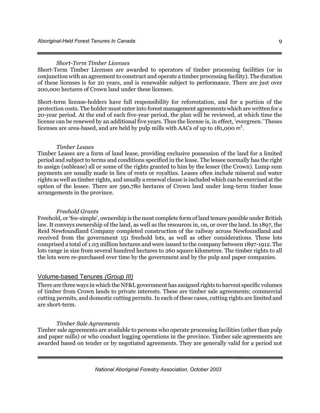#### *Short-Term Timber Licenses*

Short-Term Timber Licenses are awarded to operators of timber processing facilities (or in conjunction with an agreement to construct and operate a timber processing facility). The duration of these licenses is for 20 years, and is renewable subject to performance. There are just over 200,000 hectares of Crown land under these licenses.

Short-term license-holders have full responsibility for reforestation, and for a portion of the protection costs. The holder must enter into forest management agreements which are written for a 20-year period. At the end of each five-year period, the plan will be reviewed, at which time the license can be renewed by an additional five years. Thus the license is, in effect, 'evergreen.' Theses licenses are area-based, and are held by pulp mills with AACs of up to 181,000 m<sup>3</sup>.

#### *Timber Leases*

Timber Leases are a form of land lease, providing exclusive possession of the land for a limited period and subject to terms and conditions specified in the lease. The lessee normally has the right to assign (sublease) all or some of the rights granted to him by the lesser (the Crown). Lump sum payments are usually made in lieu of rents or royalties. Leases often include mineral and water rights as well as timber rights, and usually a renewal clause is included which can be exercised at the option of the lessee. There are 590,780 hectares of Crown land under long-term timber lease arrangements in the province.

#### *Freehold Grants*

Freehold, or 'fee-simple', ownership is the most complete form of land tenure possible under British law. It conveys ownership of the land, as well as the resources in, on, or over the land. In 1897, the Reid Newfoundland Company completed construction of the railway across Newfoundland and received from the government 151 freehold lots, as well as other considerations. These lots comprised a total of 1.03 million hectares and were issued to the company between 1897-1912. The lots range in size from several hundred hectares to 260 square kilometres. The timber rights to all the lots were re-purchased over time by the government and by the pulp and paper companies.

#### Volume-based Tenures *(Group III)*

There are three ways in which the NF&L government has assigned rights to harvest specific volumes of timber from Crown lands to private interests. These are timber sale agreements; commercial cutting permits, and domestic cutting permits. In each of these cases, cutting rights are limited and are short-term.

#### *Timber Sale Agreements*

Timber sale agreements are available to persons who operate processing facilities (other than pulp and paper mills) or who conduct logging operations in the province. Timber sale agreements are awarded based on tender or by negotiated agreements. They are generally valid for a period not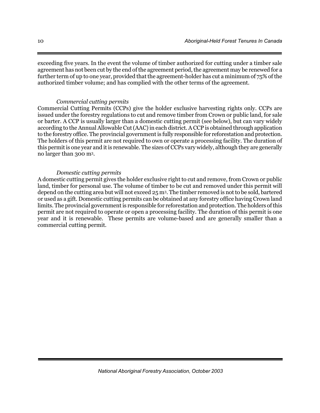exceeding five years. In the event the volume of timber authorized for cutting under a timber sale agreement has not been cut by the end of the agreement period, the agreement may be renewed for a further term of up to one year, provided that the agreement-holder has cut a minimum of 75% of the authorized timber volume; and has complied with the other terms of the agreement.

#### *Commercial cutting permits*

Commercial Cutting Permits (CCPs) give the holder exclusive harvesting rights only. CCPs are issued under the forestry regulations to cut and remove timber from Crown or public land, for sale or barter. A CCP is usually larger than a domestic cutting permit (see below), but can vary widely according to the Annual Allowable Cut (AAC) in each district. A CCP is obtained through application to the forestry office. The provincial government is fully responsible for reforestation and protection. The holders of this permit are not required to own or operate a processing facility. The duration of this permit is one year and it is renewable. The sizes of CCPs vary widely, although they are generally no larger than 300 m3.

#### *Domestic cutting permits*

A domestic cutting permit gives the holder exclusive right to cut and remove, from Crown or public land, timber for personal use. The volume of timber to be cut and removed under this permit will depend on the cutting area but will not exceed 25 m3. The timber removed is not to be sold, bartered or used as a gift. Domestic cutting permits can be obtained at any forestry office having Crown land limits. The provincial government is responsible for reforestation and protection. The holders of this permit are not required to operate or open a processing facility. The duration of this permit is one year and it is renewable. These permits are volume-based and are generally smaller than a commercial cutting permit.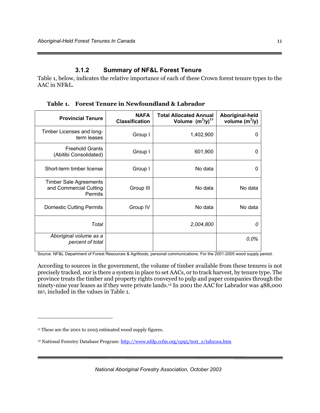### **3.1.2 Summary of NF&L Forest Tenure**

Table 1, below, indicates the relative importance of each of these Crown forest tenure types to the AAC in NF&L.

**Provincial Tenure NAFA Classification Total Allocated Annual Volume (m<sup>3</sup> /y)11 Aboriginal-held volume (m<sup>3</sup> /y)** Timber Licenses and long- $\begin{array}{c|c|c|c|c} \text{tan } \mathsf{long} & \text{Group I} & & & 1,402,900 & & & 0 \ \text{term leaves} & \text{Group I} & \text{Group II} & \text{Group II} & & & \text{Higgs} \end{array}$ Freehold Grants Theriold Grafits<br>(Abitibi Consolidated) Group I 601,900 0 Short-term timber license Group I Group I No data 1 Timber Sale Agreements and Commercial Cutting **Permits** Group III | No data | No data Domestic Cutting Permits Group IV No data No data No data *Total 2,004,800 0 Aboriginal volume as a percent of total 0.0%*

**Table 1. Forest Tenure in Newfoundland & Labrador** 

Source: NF&L Department of Forest Resources & Agrifoods, personal communications. For the 2001-2005 wood supply period.

According to sources in the government, the volume of timber available from these tenures is not precisely tracked, nor is there a system in place to set AACs, or to track harvest, by tenure type. The province treats the timber and property rights conveyed to pulp and paper companies through the ninety-nine year leases as if they were private lands.12 In 2001 the AAC for Labrador was 488,000 m3, included in the values in Table 1.

 $\overline{a}$ 

*National Aboriginal Forestry Association, October 2003*

<sup>&</sup>lt;sup>11</sup> These are the 2001 to 2005 estimated wood supply figures.

<sup>&</sup>lt;sup>12</sup> National Forestry Database Program: http://www.nfdp.ccfm.org/cp95/text\_e/tab21ea.htm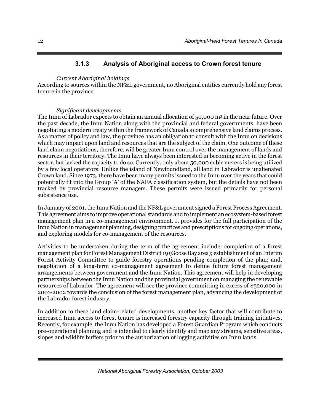## **3.1.3 Analysis of Aboriginal access to Crown forest tenure**

#### *Current Aboriginal holdings*

According to sources within the NF&L government, no Aboriginal entities currently hold any forest tenure in the province.

#### *Significant developments*

The Innu of Labrador expects to obtain an annual allocation of 50,000 m<sup>3</sup> in the near future. Over the past decade, the Innu Nation along with the provincial and federal governments, have been negotiating a modern treaty within the framework of Canada's comprehensive land claims process. As a matter of policy and law, the province has an obligation to consult with the Innu on decisions which may impact upon land and resources that are the subject of the claim. One outcome of these land claim negotiations, therefore, will be greater Innu control over the management of lands and resources in their territory. The Innu have always been interested in becoming active in the forest sector, but lacked the capacity to do so. Currently, only about 50,000 cubic meters is being utilized by a few local operators. Unlike the island of Newfoundland, all land in Labrador is unalienated Crown land. Since 1973, there have been many permits issued to the Innu over the years that could potentially fit into the Group 'A' of the NAFA classification system, but the details have not been tracked by provincial resource managers. These permits were issued primarily for personal subsistence use.

In January of 2001, the Innu Nation and the NF&L government signed a Forest Process Agreement. This agreement aims to improve operational standards and to implement an ecosystem-based forest management plan in a co-management environment. It provides for the full participation of the Innu Nation in management planning, designing practices and prescriptions for ongoing operations, and exploring models for co-management of the resources.

Activities to be undertaken during the term of the agreement include: completion of a forest management plan for Forest Management District 19 (Goose Bay area); establishment of an Interim Forest Activity Committee to guide forestry operations pending completion of the plan; and, negotiation of a long-term co-management agreement to define future forest management arrangements between government and the Innu Nation. This agreement will help in developing partnerships between the Innu Nation and the provincial government on managing the renewable resources of Labrador. The agreement will see the province committing in excess of \$520,000 in 2001-2002 towards the conclusion of the forest management plan, advancing the development of the Labrador forest industry.

In addition to these land claim-related developments, another key factor that will contribute to increased Innu access to forest tenure is increased forestry capacity through training initiatives. Recently, for example, the Innu Nation has developed a Forest Guardian Program which conducts pre-operational planning and is intended to clearly identify and map any streams, sensitive areas, slopes and wildlife buffers prior to the authorization of logging activities on Innu lands.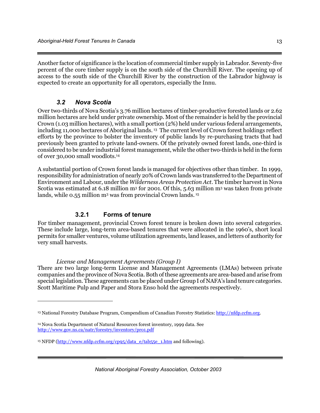Another factor of significance is the location of commercial timber supply in Labrador. Seventy-five percent of the core timber supply is on the south side of the Churchill River. The opening up of access to the south side of the Churchill River by the construction of the Labrador highway is expected to create an opportunity for all operators, especially the Innu.

## *3.2 Nova Scotia*

 $\overline{a}$ 

Over two-thirds of Nova Scotia's 3.76 million hectares of timber-productive forested lands or 2.62 million hectares are held under private ownership. Most of the remainder is held by the provincial Crown (1.03 million hectares), with a small portion (2%) held under various federal arrangements, including 11,000 hectares of Aboriginal lands. 13 The current level of Crown forest holdings reflect efforts by the province to bolster the inventory of public lands by re-purchasing tracts that had previously been granted to private land-owners. Of the privately owned forest lands, one-third is considered to be under industrial forest management, while the other two-thirds is held in the form of over 30,000 small woodlots.14

A substantial portion of Crown forest lands is managed for objectives other than timber. In 1999, responsibility for administration of nearly 20% of Crown lands was transferred to the Department of Environment and Labour, under the *Wilderness Areas Protection Act*. The timber harvest in Nova Scotia was estimated at 6.18 million m3 for 2001. Of this, 5.63 million m3 was taken from private lands, while 0.55 million m<sup>3</sup> was from provincial Crown lands.<sup>15</sup>

## **3.2.1 Forms of tenure**

For timber management, provincial Crown forest tenure is broken down into several categories. These include large, long-term area-based tenures that were allocated in the 1960's, short local permits for smaller ventures, volume utilization agreements, land leases, and letters of authority for very small harvests.

## *License and Management Agreements (Group I)*

There are two large long-term License and Management Agreements (LMAs) between private companies and the province of Nova Scotia. Both of these agreements are area-based and arise from special legislation. These agreements can be placed under Group I of NAFA's land tenure categories. Scott Maritime Pulp and Paper and Stora Enso hold the agreements respectively.

<sup>13</sup> National Forestry Database Program, Compendium of Canadian Forestry Statistics: http://nfdp.ccfm.org.

<sup>14</sup> Nova Scotia Department of Natural Resources forest inventory, 1999 data. See http://www.gov.ns.ca/natr/forestry/inventory/pro1.pdf

<sup>&</sup>lt;sup>15</sup> NFDP (http://www.nfdp.ccfm.org/cp95/data\_e/tab55e\_1.htm and following).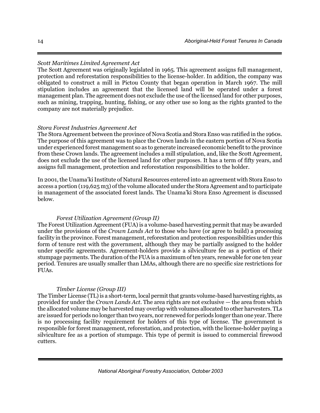### *Scott Maritimes Limited Agreement Act*

The Scott Agreement was originally legislated in 1965. This agreement assigns full management, protection and reforestation responsibilities to the license-holder. In addition, the company was obligated to construct a mill in Pictou County that began operation in March 1967. The mill stipulation includes an agreement that the licensed land will be operated under a forest management plan. The agreement does not exclude the use of the licensed land for other purposes, such as mining, trapping, hunting, fishing, or any other use so long as the rights granted to the company are not materially prejudice.

#### *Stora Forest Industries Agreement Act*

The Stora Agreement between the province of Nova Scotia and Stora Enso was ratified in the 1960s. The purpose of this agreement was to place the Crown lands in the eastern portion of Nova Scotia under experienced forest management so as to generate increased economic benefit to the province from these Crown lands. The agreement includes a mill stipulation, and, like the Scott Agreement, does not exclude the use of the licensed land for other purposes. It has a term of fifty years, and assigns full management, protection and reforestation responsibilities to the holder.

In 2001, the Unama'ki Institute of Natural Resources entered into an agreement with Stora Enso to access a portion (119,625 m3) of the volume allocated under the Stora Agreement and to participate in management of the associated forest lands. The Unama'ki Stora Enso Agreement is discussed below.

#### *Forest Utilization Agreement (Group II)*

The Forest Utilization Agreement (FUA) is a volume-based harvesting permit that may be awarded under the provisions of the *Crown Lands Act* to those who have (or agree to build) a processing facility in the province. Forest management, reforestation and protection responsibilities under this form of tenure rest with the government, although they may be partially assigned to the holder under specific agreements. Agreement-holders provide a silviculture fee as a portion of their stumpage payments. The duration of the FUA is a maximum of ten years, renewable for one ten year period. Tenures are usually smaller than LMAs, although there are no specific size restrictions for FUAs.

#### *Timber License (Group III)*

The Timber License (TL) is a short-term, local permit that grants volume-based harvesting rights, as provided for under the *Crown Lands Act*. The area rights are not exclusive — the area from which the allocated volume may be harvested may overlap with volumes allocated to other harvesters. TLs are issued for periods no longer than two years, nor renewed for periods longer than one year. There is no processing facility requirement for holders of this type of license. The government is responsible for forest management, reforestation, and protection, with the license-holder paying a silviculture fee as a portion of stumpage. This type of permit is issued to commercial firewood cutters.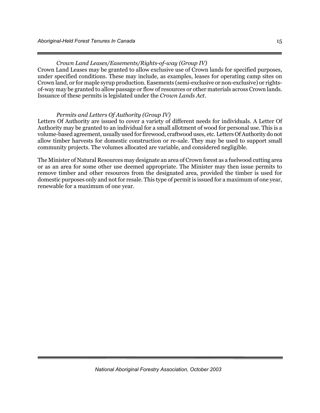*Crown Land Leases/Easements/Rights-of-way (Group IV)* 

Crown Land Leases may be granted to allow exclusive use of Crown lands for specified purposes, under specified conditions. These may include, as examples, leases for operating camp sites on Crown land, or for maple syrup production. Easements (semi-exclusive or non-exclusive) or rightsof-way may be granted to allow passage or flow of resources or other materials across Crown lands. Issuance of these permits is legislated under the *Crown Lands Act*.

#### *Permits and Letters Of Authority (Group IV)*

Letters Of Authority are issued to cover a variety of different needs for individuals. A Letter Of Authority may be granted to an individual for a small allotment of wood for personal use. This is a volume-based agreement, usually used for firewood, craftwood uses, etc. Letters Of Authority do not allow timber harvests for domestic construction or re-sale. They may be used to support small community projects. The volumes allocated are variable, and considered negligible.

The Minister of Natural Resources may designate an area of Crown forest as a fuelwood cutting area or as an area for some other use deemed appropriate. The Minister may then issue permits to remove timber and other resources from the designated area, provided the timber is used for domestic purposes only and not for resale. This type of permit is issued for a maximum of one year, renewable for a maximum of one year.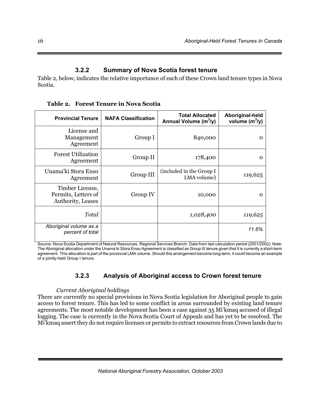## **3.2.2 Summary of Nova Scotia forest tenure**

Table 2, below, indicates the relative importance of each of these Crown land tenure types in Nova Scotia.

**Table 2. Forest Tenure in Nova Scotia** 

| <b>Provincial Tenure</b>                                    | <b>NAFA Classification</b> | <b>Total Allocated</b><br>Annual Volume (m <sup>3</sup> /y) | Aboriginal-held<br>volume $(m^3/y)$ |
|-------------------------------------------------------------|----------------------------|-------------------------------------------------------------|-------------------------------------|
| License and<br>Management<br>Agreement                      | Group I                    | 840,000                                                     | 0                                   |
| <b>Forest Utilization</b><br>Agreement                      | Group II                   | 178,400                                                     | Ω                                   |
| Unama'ki Stora Enso<br>Agreement                            | Group III                  | (included in the Group I<br>LMA volume)                     | 119,625                             |
| Timber License,<br>Permits, Letters of<br>Authority, Leases | Group IV                   | 10,000                                                      | Ω                                   |
| Total                                                       |                            | 1,028,400                                                   | 119,625                             |
| Aboriginal volume as a<br>percent of total                  |                            |                                                             | 11.6%                               |

Source: Nova Scotia Department of Natural Resources, Regional Services Branch. Data from last calculation period (2001/2002). Note: The Aboriginal allocation under the Unama'ki Stora Enso Agreement is classified as Group III tenure given that it is currently a short-term agreement. This allocation is part of the provincial LMA volume. Should this arrangement become long-term, it could become an example of a jointly-held Group I tenure.

## **3.2.3 Analysis of Aboriginal access to Crown forest tenure**

#### *Current Aboriginal holdings*

There are currently no special provisions in Nova Scotia legislation for Aboriginal people to gain access to forest tenure. This has led to some conflict in areas surrounded by existing land tenure agreements. The most notable development has been a case against 35 Mi'kmaq accused of illegal logging. The case is currently in the Nova Scotia Court of Appeals and has yet to be resolved. The Mi'kmaq assert they do not require licenses or permits to extract resources from Crown lands due to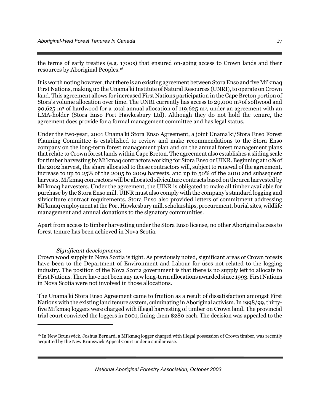the terms of early treaties (e.g. 1700s) that ensured on-going access to Crown lands and their resources by Aboriginal Peoples.16

It is worth noting however, that there is an existing agreement between Stora Enso and five Mi'kmaq First Nations, making up the Unama'ki Institute of Natural Resources (UNRI), to operate on Crown land. This agreement allows for increased First Nations participation in the Cape Breton portion of Stora's volume allocation over time. The UNRI currently has access to 29,000 m<sup>3</sup> of softwood and 90,625 m<sup>3</sup> of hardwood for a total annual allocation of 119,625 m<sup>3</sup>, under an agreement with an LMA-holder (Stora Enso Port Hawkesbury Ltd). Although they do not hold the tenure, the agreement does provide for a formal management committee and has legal status.

Under the two-year, 2001 Unama'ki Stora Enso Agreement, a joint Unama'ki/Stora Enso Forest Planning Committee is established to review and make recommendations to the Stora Enso company on the long-term forest management plan and on the annual forest management plans that relate to Crown forest lands within Cape Breton. The agreement also establishes a sliding scale for timber harvesting by Mi'kmaq contractors working for Stora Enso or UINR. Beginning at 10% of the 2002 harvest, the share allocated to these contractors will, subject to renewal of the agreement, increase to up to 25% of the 2005 to 2009 harvests, and up to 50% of the 2010 and subsequent harvests. Mi'kmaq contractors will be allocated silviculture contracts based on the area harvested by Mi'kmaq harvesters. Under the agreement, the UINR is obligated to make all timber available for purchase by the Stora Enso mill. UINR must also comply with the company's standard logging and silviculture contract requirements. Stora Enso also provided letters of commitment addressing Mi'kmaq employment at the Port Hawkesbury mill, scholarships, procurement, burial sites, wildlife management and annual donations to the signatory communities.

Apart from access to timber harvesting under the Stora Enso license, no other Aboriginal access to forest tenure has been achieved in Nova Scotia.

#### *Significant developments*

 $\overline{a}$ 

Crown wood supply in Nova Scotia is tight. As previously noted, significant areas of Crown forests have been to the Department of Environment and Labour for uses not related to the logging industry. The position of the Nova Scotia government is that there is no supply left to allocate to First Nations. There have not been any new long-term allocations awarded since 1993. First Nations in Nova Scotia were not involved in those allocations.

The Unama'ki Stora Enso Agreement came to fruition as a result of dissatisfaction amongst First Nations with the existing land tenure system, culminating in Aboriginal activism. In 1998/99, thirtyfive Mi'kmaq loggers were charged with illegal harvesting of timber on Crown land. The provincial trial court convicted the loggers in 2001, fining them \$280 each. The decision was appealed to the

<sup>16</sup> In New Brunswick, Joshua Bernard, a Mi'kmaq logger charged with illegal possession of Crown timber, was recently acquitted by the New Brunswick Appeal Court under a similar case.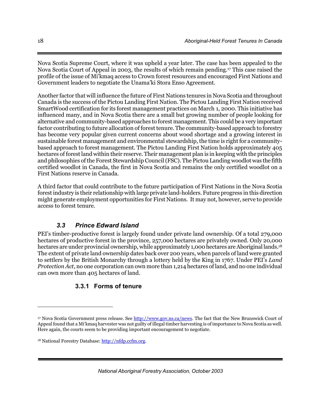Nova Scotia Supreme Court, where it was upheld a year later. The case has been appealed to the Nova Scotia Court of Appeal in 2003, the results of which remain pending.17 This case raised the profile of the issue of Mi'kmaq access to Crown forest resources and encouraged First Nations and Government leaders to negotiate the Unama'ki Stora Enso Agreement.

Another factor that will influence the future of First Nations tenures in Nova Scotia and throughout Canada is the success of the Pictou Landing First Nation. The Pictou Landing First Nation received SmartWood certification for its forest management practices on March 1, 2000. This initiative has influenced many, and in Nova Scotia there are a small but growing number of people looking for alternative and community-based approaches to forest management. This could be a very important factor contributing to future allocation of forest tenure. The community-based approach to forestry has become very popular given current concerns about wood shortage and a growing interest in sustainable forest management and environmental stewardship, the time is right for a communitybased approach to forest management. The Pictou Landing First Nation holds approximately 405 hectares of forest land within their reserve. Their management plan is in keeping with the principles and philosophies of the Forest Stewardship Council (FSC). The Pictou Landing woodlot was the fifth certified woodlot in Canada, the first in Nova Scotia and remains the only certified woodlot on a First Nations reserve in Canada.

A third factor that could contribute to the future participation of First Nations in the Nova Scotia forest industry is their relationship with large private land-holders. Future progress in this direction might generate employment opportunities for First Nations. It may not, however, serve to provide access to forest tenure.

## *3.3 Prince Edward Island*

PEI's timber-productive forest is largely found under private land ownership. Of a total 279,000 hectares of productive forest in the province, 257,000 hectares are privately owned. Only 20,000 hectares are under provincial ownership, while approximately 1,000 hectares are Aboriginal lands.<sup>18</sup> The extent of private land ownership dates back over 200 years, when parcels of land were granted to settlers by the British Monarchy through a lottery held by the King in 1767. Under PEI's *Land Protection Act*, no one corporation can own more than 1,214 hectares of land, and no one individual can own more than 405 hectares of land.

## **3.3.1 Forms of tenure**

*National Aboriginal Forestry Association, October 2003*

 $\overline{a}$ 

<sup>17</sup> Nova Scotia Government press release. See http://www.gov.ns.ca/news. The fact that the New Brunswick Court of Appeal found that a Mi'kmaq harvester was not guilty of illegal timber harvesting is of importance to Nova Scotia as well. Here again, the courts seem to be providing important encouragement to negotiate.

<sup>&</sup>lt;sup>18</sup> National Forestry Database: http://nfdp.ccfm.org.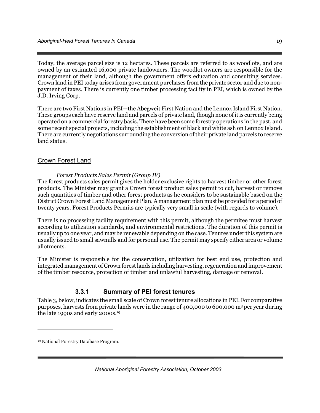Today, the average parcel size is 12 hectares. These parcels are referred to as woodlots, and are owned by an estimated 16,000 private landowners. The woodlot owners are responsible for the management of their land, although the government offers education and consulting services. Crown land in PEI today arises from government purchases from the private sector and due to nonpayment of taxes. There is currently one timber processing facility in PEI, which is owned by the J.D. Irving Corp.

There are two First Nations in PEI—the Abegweit First Nation and the Lennox Island First Nation. These groups each have reserve land and parcels of private land, though none of it is currently being operated on a commercial forestry basis. There have been some forestry operations in the past, and some recent special projects, including the establishment of black and white ash on Lennox Island. There are currently negotiations surrounding the conversion of their private land parcels to reserve land status.

## Crown Forest Land

### *Forest Products Sales Permit (Group IV)*

The forest products sales permit gives the holder exclusive rights to harvest timber or other forest products. The Minister may grant a Crown forest product sales permit to cut, harvest or remove such quantities of timber and other forest products as he considers to be sustainable based on the District Crown Forest Land Management Plan. A management plan must be provided for a period of twenty years. Forest Products Permits are typically very small in scale (with regards to volume).

There is no processing facility requirement with this permit, although the permitee must harvest according to utilization standards, and environmental restrictions. The duration of this permit is usually up to one year, and may be renewable depending on the case. Tenures under this system are usually issued to small sawmills and for personal use. The permit may specify either area or volume allotments.

The Minister is responsible for the conservation, utilization for best end use, protection and integrated management of Crown forest lands including harvesting, regeneration and improvement of the timber resource, protection of timber and unlawful harvesting, damage or removal.

## **3.3.1 Summary of PEI forest tenures**

Table 3, below, indicates the small scale of Crown forest tenure allocations in PEI. For comparative purposes, harvests from private lands were in the range of 400,000 to 600,000 m3 per year during the late 1990s and early 2000s.19

 $\overline{a}$ 

<sup>19</sup> National Forestry Database Program.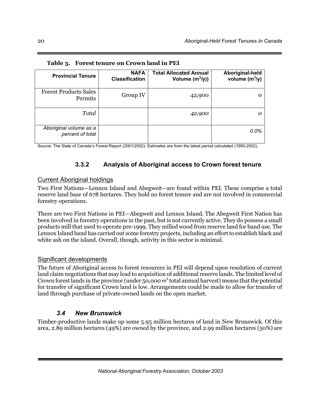| <b>Provincial Tenure</b>                   | <b>NAFA</b><br><b>Classification</b> | <b>Total Allocated Annual</b><br>Volume $(m^3/y)$ | Aboriginal-held<br>volume $(m^3/y)$ |
|--------------------------------------------|--------------------------------------|---------------------------------------------------|-------------------------------------|
| <b>Forest Products Sales</b><br>Permits    | Group IV                             | 42,900                                            |                                     |
| Total                                      |                                      | 42,900                                            |                                     |
| Aboriginal volume as a<br>percent of total |                                      |                                                   | 0.0%                                |

|  |  | Table 3. Forest tenure on Crown land in PEI |
|--|--|---------------------------------------------|
|--|--|---------------------------------------------|

Source: The State of Canada's Forest Report (2001/2002): Estimates are from the latest period calculated (1990-2002).

## **3.3.2 Analysis of Aboriginal access to Crown forest tenure**

## Current Aboriginal holdings

Two First Nations—Lennox Island and Abegweit—are found within PEI. These comprise a total reserve land base of 678 hectares. They hold no forest tenure and are not involved in commercial forestry operations.

There are two First Nations in PEI—Abegweit and Lennox Island. The Abegweit First Nation has been involved in forestry operations in the past, but is not currently active. They do possess a small products mill that used to operate pre-1999. They milled wood from reserve land for band use. The Lennox Island band has carried out some forestry projects, including an effort to establish black and white ash on the island. Overall, though, activity in this sector is minimal.

## Significant developments

The future of Aboriginal access to forest resources in PEI will depend upon resolution of current land claim negotiations that may lead to acquisition of additional reserve lands. The limited level of Crown forest lands in the province (under 50,000  $m<sup>3</sup>$  total annual harvest) means that the potential for transfer of significant Crown land is low. Arrangements could be made to allow for transfer of land through purchase of private-owned lands on the open market.

## *3.4 New Brunswick*

Timber-productive lands make up some 5.95 million hectares of land in New Brunswick. Of this area, 2.89 million hectares (49%) are owned by the province, and 2.99 million hectares (50%) are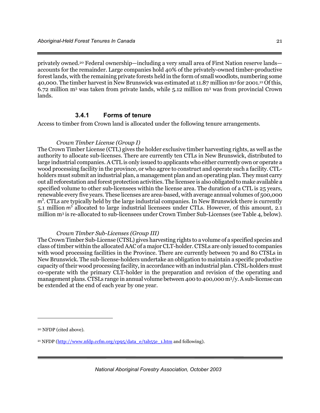privately owned.20 Federal ownership—including a very small area of First Nation reserve lands accounts for the remainder. Large companies hold 40% of the privately-owned timber-productive forest lands, with the remaining private forests held in the form of small woodlots, numbering some 40,000. The timber harvest in New Brunswick was estimated at 11.87 million m3 for 2001.21 Of this,  $6.72$  million m<sup>3</sup> was taken from private lands, while 5.12 million m<sup>3</sup> was from provincial Crown lands.

#### **3.4.1 Forms of tenure**

Access to timber from Crown land is allocated under the following tenure arrangements.

#### *Crown Timber License (Group I)*

The Crown Timber License (CTL) gives the holder exclusive timber harvesting rights, as well as the authority to allocate sub-licenses. There are currently ten CTLs in New Brunswick, distributed to large industrial companies. A CTL is only issued to applicants who either currently own or operate a wood processing facility in the province, or who agree to construct and operate such a facility. CTLholders must submit an industrial plan, a management plan and an operating plan. They must carry out all reforestation and forest protection activities. The licensee is also obligated to make available a specified volume to other sub-licensees within the license area. The duration of a CTL is 25 years, renewable every five years. These licenses are area-based, with average annual volumes of 500,000 m<sup>3</sup>. CTLs are typically held by the large industrial companies. In New Brunswick there is currently 5.1 million m<sup>3</sup> allocated to large industrial licensees under CTLs. However, of this amount, 2.1 million m3 is re-allocated to sub-licensees under Crown Timber Sub-Licenses (see Table 4, below).

#### *Crown Timber Sub-Licenses (Group III)*

The Crown Timber Sub-License (CTSL) gives harvesting rights to a volume of a specified species and class of timber within the allocated AAC of a major CLT-holder. CTSLs are only issued to companies with wood processing facilities in the Province. There are currently between 70 and 80 CTSLs in New Brunswick. The sub-license-holders undertake an obligation to maintain a specific productive capacity of their wood processing facility, in accordance with an industrial plan. CTSL-holders must co-operate with the primary CLT-holder in the preparation and revision of the operating and management plans. CTSLs range in annual volume between 400 to 400,000 m3/y. A sub-license can be extended at the end of each year by one year.

<u>.</u>

<sup>20</sup> NFDP (cited above).

<sup>&</sup>lt;sup>21</sup> NFDP (http://www.nfdp.ccfm.org/cp95/data\_e/tab55e\_1.htm and following).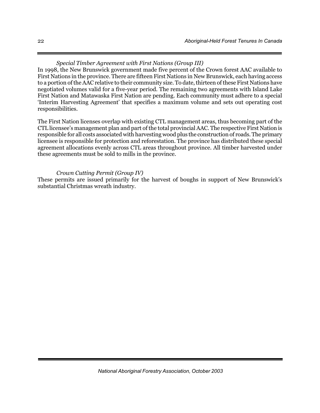## *Special Timber Agreement with First Nations (Group III)*

In 1998, the New Brunswick government made five percent of the Crown forest AAC available to First Nations in the province. There are fifteen First Nations in New Brunswick, each having access to a portion of the AAC relative to their community size. To date, thirteen of these First Nations have negotiated volumes valid for a five-year period. The remaining two agreements with Island Lake First Nation and Matawaska First Nation are pending. Each community must adhere to a special 'Interim Harvesting Agreement' that specifies a maximum volume and sets out operating cost responsibilities.

The First Nation licenses overlap with existing CTL management areas, thus becoming part of the CTL licensee's management plan and part of the total provincial AAC. The respective First Nation is responsible for all costs associated with harvesting wood plus the construction of roads. The primary licensee is responsible for protection and reforestation. The province has distributed these special agreement allocations evenly across CTL areas throughout province. All timber harvested under these agreements must be sold to mills in the province.

#### *Crown Cutting Permit (Group IV)*

These permits are issued primarily for the harvest of boughs in support of New Brunswick's substantial Christmas wreath industry.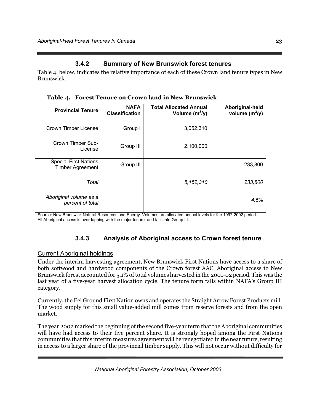## **3.4.2 Summary of New Brunswick forest tenures**

Table 4, below, indicates the relative importance of each of these Crown land tenure types in New Brunswick.

| <b>Provincial Tenure</b>                                | <b>NAFA</b><br><b>Classification</b> | <b>Total Allocated Annual</b><br>Volume $(m^3/y)$ | Aboriginal-held<br>volume $(m^3/y)$ |
|---------------------------------------------------------|--------------------------------------|---------------------------------------------------|-------------------------------------|
| Crown Timber License                                    | Group I                              | 3,052,310                                         |                                     |
| Crown Timber Sub-<br>License                            | Group III                            | 2,100,000                                         |                                     |
| <b>Special First Nations</b><br><b>Timber Agreement</b> | Group III                            |                                                   | 233,800                             |
| Total                                                   |                                      | 5,152,310                                         | 233,800                             |
| Aboriginal volume as a<br>percent of total              |                                      |                                                   | 4.5%                                |

**Table 4. Forest Tenure on Crown land in New Brunswick** 

Source: New Brunswick Natural Resources and Energy. Volumes are allocated annual levels for the 1997-2002 period. All Aboriginal access is over-lapping with the major tenure, and falls into Group III.

## **3.4.3 Analysis of Aboriginal access to Crown forest tenure**

## Current Aboriginal holdings

Under the interim harvesting agreement, New Brunswick First Nations have access to a share of both softwood and hardwood components of the Crown forest AAC. Aboriginal access to New Brunswick forest accounted for 5.1% of total volumes harvested in the 2001-02 period. This was the last year of a five-year harvest allocation cycle. The tenure form falls within NAFA's Group III category.

Currently, the Eel Ground First Nation owns and operates the Straight Arrow Forest Products mill. The wood supply for this small value-added mill comes from reserve forests and from the open market.

The year 2002 marked the beginning of the second five-year term that the Aboriginal communities will have had access to their five percent share. It is strongly hoped among the First Nations communities that this interim measures agreement will be renegotiated in the near future, resulting in access to a larger share of the provincial timber supply. This will not occur without difficulty for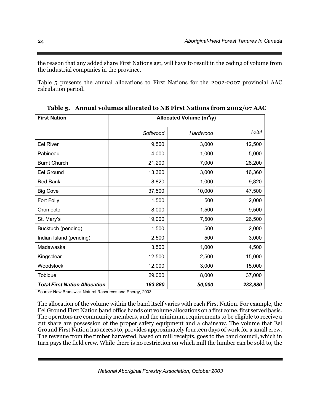the reason that any added share First Nations get, will have to result in the ceding of volume from the industrial companies in the province.

Table 5 presents the annual allocations to First Nations for the 2002-2007 provincial AAC calculation period.

| <b>First Nation</b>                  | Allocated Volume (m <sup>3</sup> /y) |          |         |  |
|--------------------------------------|--------------------------------------|----------|---------|--|
|                                      | Softwood                             | Hardwood | Total   |  |
| <b>Eel River</b>                     | 9,500                                | 3,000    | 12,500  |  |
| Pabineau                             | 4,000                                | 1,000    | 5,000   |  |
| <b>Burnt Church</b>                  | 21,200                               | 7,000    | 28,200  |  |
| <b>Eel Ground</b>                    | 13,360                               | 3,000    | 16,360  |  |
| <b>Red Bank</b>                      | 8,820                                | 1,000    | 9,820   |  |
| <b>Big Cove</b>                      | 37,500                               | 10,000   | 47,500  |  |
| Fort Folly                           | 1,500                                | 500      | 2,000   |  |
| Oromocto                             | 8,000                                | 1,500    | 9,500   |  |
| St. Mary's                           | 19,000                               | 7,500    | 26,500  |  |
| Bucktuch (pending)                   | 1,500                                | 500      | 2,000   |  |
| Indian Island (pending)              | 2,500                                | 500      | 3,000   |  |
| Madawaska                            | 3,500                                | 1,000    | 4,500   |  |
| Kingsclear                           | 12,500                               | 2,500    | 15,000  |  |
| Woodstock                            | 12,000                               | 3,000    | 15,000  |  |
| Tobique                              | 29,000                               | 8,000    | 37,000  |  |
| <b>Total First Nation Allocation</b> | 183,880                              | 50,000   | 233,880 |  |

**Table 5. Annual volumes allocated to NB First Nations from 2002/07 AAC** 

Source: New Brunswick Natural Resources and Energy, 2003

The allocation of the volume within the band itself varies with each First Nation. For example, the Eel Ground First Nation band office hands out volume allocations on a first come, first served basis. The operators are community members, and the minimum requirements to be eligible to receive a cut share are possession of the proper safety equipment and a chainsaw. The volume that Eel Ground First Nation has access to, provides approximately fourteen days of work for a small crew. The revenue from the timber harvested, based on mill receipts, goes to the band council, which in turn pays the field crew. While there is no restriction on which mill the lumber can be sold to, the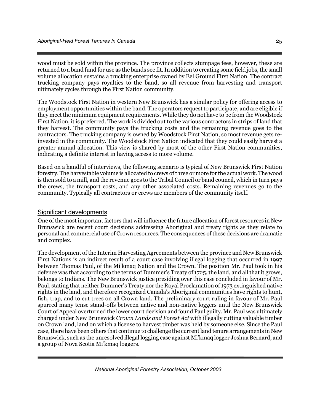wood must be sold within the province. The province collects stumpage fees, however, these are returned to a band fund for use as the bands see fit. In addition to creating some field jobs, the small volume allocation sustains a trucking enterprise owned by Eel Ground First Nation. The contract trucking company pays royalties to the band, so all revenue from harvesting and transport ultimately cycles through the First Nation community.

The Woodstock First Nation in western New Brunswick has a similar policy for offering access to employment opportunities within the band. The operators request to participate, and are eligible if they meet the minimum equipment requirements. While they do not have to be from the Woodstock First Nation, it is preferred. The work is divided out to the various contractors in strips of land that they harvest. The community pays the trucking costs and the remaining revenue goes to the contractors. The trucking company is owned by Woodstock First Nation, so most revenue gets reinvested in the community. The Woodstock First Nation indicated that they could easily harvest a greater annual allocation. This view is shared by most of the other First Nation communities, indicating a definite interest in having access to more volume.

Based on a handful of interviews, the following scenario is typical of New Brunswick First Nation forestry. The harvestable volume is allocated to crews of three or more for the actual work. The wood is then sold to a mill, and the revenue goes to the Tribal Council or band council, which in turn pays the crews, the transport costs, and any other associated costs. Remaining revenues go to the community. Typically all contractors or crews are members of the community itself.

#### Significant developments

One of the most important factors that will influence the future allocation of forest resources in New Brunswick are recent court decisions addressing Aboriginal and treaty rights as they relate to personal and commercial use of Crown resources. The consequences of these decisions are dramatic and complex.

The development of the Interim Harvesting Agreements between the province and New Brunswick First Nations is an indirect result of a court case involving illegal logging that occurred in 1997 between Thomas Paul, of the Mi'kmaq Nation and the Crown. The position Mr. Paul took in his defence was that according to the terms of Dummer's Treaty of 1725, the land, and all that it grows, belongs to Indians. The New Brunswick justice presiding over this case concluded in favour of Mr. Paul, stating that neither Dummer's Treaty nor the Royal Proclamation of 1973 extinguished native rights in the land, and therefore recognized Canada's Aboriginal communities have rights to hunt, fish, trap, and to cut trees on all Crown land. The preliminary court ruling in favour of Mr. Paul spurred many tense stand-offs between native and non-native loggers until the New Brunswick Court of Appeal overturned the lower court decision and found Paul guilty. Mr. Paul was ultimately charged under New Brunswick *Crown Lands and Forest Act* with illegally cutting valuable timber on Crown land, land on which a license to harvest timber was held by someone else. Since the Paul case, there have been others that continue to challenge the current land tenure arrangements in New Brunswick, such as the unresolved illegal logging case against Mi'kmaq logger Joshua Bernard, and a group of Nova Scotia Mi'kmaq loggers.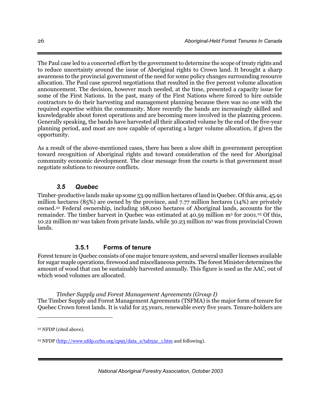The Paul case led to a concerted effort by the government to determine the scope of treaty rights and to reduce uncertainty around the issue of Aboriginal rights to Crown land. It brought a sharp awareness to the provincial government of the need for some policy changes surrounding resource allocation. The Paul case spurred negotiations that resulted in the five percent volume allocation announcement. The decision, however much needed, at the time, presented a capacity issue for some of the First Nations. In the past, many of the First Nations where forced to hire outside contractors to do their harvesting and management planning because there was no one with the required expertise within the community. More recently the bands are increasingly skilled and knowledgeable about forest operations and are becoming more involved in the planning process. Generally speaking, the bands have harvested all their allocated volume by the end of the five-year planning period, and most are now capable of operating a larger volume allocation, if given the opportunity.

As a result of the above-mentioned cases, there has been a slow shift in government perception toward recognition of Aboriginal rights and toward consideration of the need for Aboriginal community economic development. The clear message from the courts is that government must negotiate solutions to resource conflicts.

## *3.5 Quebec*

Timber-productive lands make up some 53.99 million hectares of land in Quebec. Of this area, 45.91 million hectares (85%) are owned by the province, and 7.77 million hectares (14%) are privately owned.22 Federal ownership, including 168,000 hectares of Aboriginal lands, accounts for the remainder. The timber harvest in Quebec was estimated at 40.59 million m<sup>3</sup> for 2001.<sup>23</sup> Of this, 10.22 million m3 was taken from private lands, while 30.23 million m3 was from provincial Crown lands.

## **3.5.1 Forms of tenure**

Forest tenure in Quebec consists of one major tenure system, and several smaller licenses available for sugar maple operations, firewood and miscellaneous permits. The forest Minister determines the amount of wood that can be sustainably harvested annually. This figure is used as the AAC, out of which wood volumes are allocated.

#### *Timber Supply and Forest Management Agreements (Group I)*

The Timber Supply and Forest Management Agreements (TSFMA) is the major form of tenure for Quebec Crown forest lands. It is valid for 25 years, renewable every five years. Tenure-holders are

 $\overline{a}$ 

<sup>22</sup> NFDP (cited above).

<sup>&</sup>lt;sup>23</sup> NFDP (http://www.nfdp.ccfm.org/cp95/data\_e/tab55e\_1.htm and following).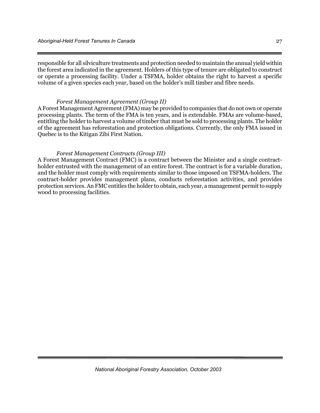responsible for all silviculture treatments and protection needed to maintain the annual yield within the forest area indicated in the agreement. Holders of this type of tenure are obligated to construct or operate a processing facility. Under a TSFMA, holder obtains the right to harvest a specific volume of a given species each year, based on the holder's mill timber and fibre needs.

#### *Forest Management Agreement (Group II)*

A Forest Management Agreement (FMA) may be provided to companies that do not own or operate processing plants. The term of the FMA is ten years, and is extendable. FMAs are volume-based, entitling the holder to harvest a volume of timber that must be sold to processing plants. The holder of the agreement has reforestation and protection obligations. Currently, the only FMA issued in Quebec is to the Kitigan Zibi First Nation.

#### *Forest Management Contracts (Group III)*

A Forest Management Contract (FMC) is a contract between the Minister and a single contractholder entrusted with the management of an entire forest. The contract is for a variable duration, and the holder must comply with requirements similar to those imposed on TSFMA-holders. The contract-holder provides management plans, conducts reforestation activities, and provides protection services. An FMC entitles the holder to obtain, each year, a management permit to supply wood to processing facilities.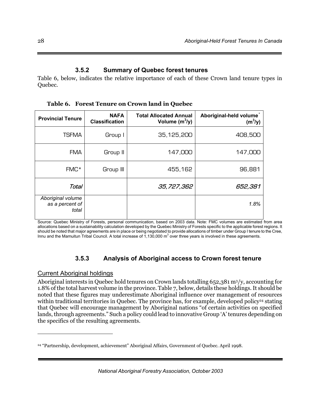## **3.5.2 Summary of Quebec forest tenures**

Table 6, below, indicates the relative importance of each of these Crown land tenure types in Quebec.

**Table 6. Forest Tenure on Crown land in Quebec** 

| <b>Provincial Tenure</b>                      | <b>NAFA</b><br><b>Classification</b> | <b>Total Allocated Annual</b><br>Volume $(m^3/y)$ | Aboriginal-held volume*<br>$(m^3/y)$ |
|-----------------------------------------------|--------------------------------------|---------------------------------------------------|--------------------------------------|
| <b>TSFMA</b>                                  | Group I                              | 35, 125, 200                                      | 408,500                              |
| <b>FMA</b>                                    | Group II                             | 147,000                                           | 147,000                              |
| FMC*                                          | Group III                            | 455,162                                           | 96,881                               |
| Total                                         |                                      | 35,727,362                                        | 652,381                              |
| Aboriginal volume<br>as a percent of<br>total |                                      |                                                   | 1.8%                                 |

Source: Quebec Ministry of Forests, personal communication, based on 2003 data. Note: FMC volumes are estimated from area allocations based on a sustainability calculation developed by the Quebec Ministry of Forests specific to the applicable forest regions. It should be noted that major agreements are in place or being negotiated to provide allocations of timber under Group I tenure to the Cree, Innu and the Mamuitun Tribal Council. A total increase of  $1,130,000$  m<sup>3</sup> over three years is involved in these agreements.

## **3.5.3 Analysis of Aboriginal access to Crown forest tenure**

## Current Aboriginal holdings

 $\overline{a}$ 

Aboriginal interests in Quebec hold tenures on Crown lands totalling 652,381 m3/y, accounting for 1.8% of the total harvest volume in the province. Table 7, below, details these holdings. It should be noted that these figures may underestimate Aboriginal influence over management of resources within traditional territories in Quebec. The province has, for example, developed policy<sup>24</sup> stating that Quebec will encourage management by Aboriginal nations "of certain activities on specified lands, through agreements." Such a policy could lead to innovative Group 'A' tenures depending on the specifics of the resulting agreements.

*National Aboriginal Forestry Association, October 2003*

<sup>24 &</sup>quot;Partnership, development, achievement" Aboriginal Affairs, Government of Quebec. April 1998.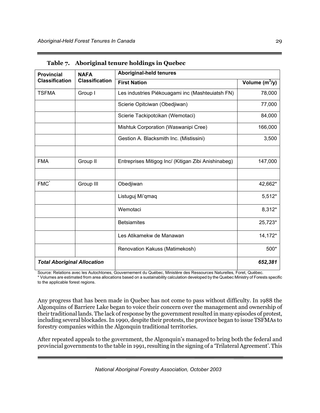| <b>Provincial</b>                              | <b>NAFA</b> | <b>Aboriginal-held tenures</b>                      |                  |  |
|------------------------------------------------|-------------|-----------------------------------------------------|------------------|--|
| <b>Classification</b><br><b>Classification</b> |             | <b>First Nation</b>                                 | Volume $(m^3/y)$ |  |
| <b>TSFMA</b>                                   | Group I     | Les industries Piékouagami inc (Mashteuiatsh FN)    | 78,000           |  |
|                                                |             | Scierie Opitciwan (Obedjiwan)                       | 77,000           |  |
|                                                |             | Scierie Tackipotcikan (Wemotaci)                    | 84,000           |  |
|                                                |             | Mishtuk Corporation (Waswanipi Cree)                | 166,000          |  |
|                                                |             | Gestion A. Blacksmith Inc. (Mistissini)             | 3,500            |  |
|                                                |             |                                                     |                  |  |
| <b>FMA</b>                                     | Group II    | Entreprises Mitigog Inc/ (Kitigan Zibi Anishinabeg) | 147,000          |  |
| $FMC^*$                                        | Group III   | Obedjiwan                                           | 42,662*          |  |
|                                                |             | Listuguj Mi'gmag                                    | 5,512*           |  |
|                                                |             | Wemotaci                                            | 8,312*           |  |
|                                                |             | <b>Betsiamites</b>                                  | 25,723*          |  |
|                                                |             | Les Atikamekw de Manawan                            | 14,172*          |  |
|                                                |             | Renovation Kakuss (Matimekosh)                      | 500*             |  |
| <b>Total Aboriginal Allocation</b>             |             |                                                     | 652,381          |  |

**Table 7. Aboriginal tenure holdings in Quebec** 

Source: Relations avec les Autochtones, Gouvernement du Québec, Ministère des Ressources Naturelles, Foret, Québec.

\* Volumes are estimated from area allocations based on a sustainability calculation developed by the Quebec Ministry of Forests specific to the applicable forest regions.

Any progress that has been made in Quebec has not come to pass without difficulty. In 1988 the Algonquins of Barriere Lake began to voice their concern over the management and ownership of their traditional lands. The lack of response by the government resulted in many episodes of protest, including several blockades. In 1990, despite their protests, the province began to issue TSFMAs to forestry companies within the Algonquin traditional territories.

After repeated appeals to the government, the Algonquin's managed to bring both the federal and provincial governments to the table in 1991, resulting in the signing of a 'Trilateral Agreement'. This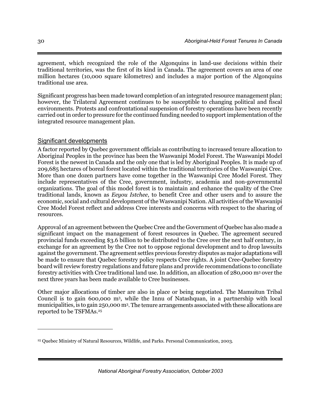agreement, which recognized the role of the Algonquins in land-use decisions within their traditional territories, was the first of its kind in Canada. The agreement covers an area of one million hectares (10,000 square kilometres) and includes a major portion of the Algonquins traditional use area.

Significant progress has been made toward completion of an integrated resource management plan; however, the Trilateral Agreement continues to be susceptible to changing political and fiscal environments. Protests and confrontational suspension of forestry operations have been recently carried out in order to pressure for the continued funding needed to support implementation of the integrated resource management plan.

## Significant developments

A factor reported by Quebec government officials as contributing to increased tenure allocation to Aboriginal Peoples in the province has been the Waswanipi Model Forest. The Waswanipi Model Forest is the newest in Canada and the only one that is led by Aboriginal Peoples. It is made up of 209,685 hectares of boreal forest located within the traditional territories of the Waswanipi Cree. More than one dozen partners have come together in the Waswanipi Cree Model Forest. They include representatives of the Cree, government, industry, academia and non-governmental organizations. The goal of this model forest is to maintain and enhance the quality of the Cree traditional lands, known as *Eeyou Istchee*, to benefit Cree and other users and to assure the economic, social and cultural development of the Waswanipi Nation. All activities of the Waswanipi Cree Model Forest reflect and address Cree interests and concerns with respect to the sharing of resources.

Approval of an agreement between the Quebec Cree and the Government of Quebec has also made a significant impact on the management of forest resources in Quebec. The agreement secured provincial funds exceeding \$3.6 billion to be distributed to the Cree over the next half century, in exchange for an agreement by the Cree not to oppose regional development and to drop lawsuits against the government. The agreement settles previous forestry disputes as major adaptations will be made to ensure that Quebec forestry policy respects Cree rights. A joint Cree-Quebec forestry board will review forestry regulations and future plans and provide recommendations to conciliate forestry activities with Cree traditional land use. In addition, an allocation of 280,000 m3 over the next three years has been made available to Cree businesses.

Other major allocations of timber are also in place or being negotiated. The Mamuitun Tribal Council is to gain 600,000 m3, while the Innu of Natashquan, in a partnership with local municipalities, is to gain 250,000 m3. The tenure arrangements associated with these allocations are reported to be TSFMAs.25

*National Aboriginal Forestry Association, October 2003*

 $\overline{a}$ 

<sup>25</sup> Quebec Ministry of Natural Resources, Wildlife, and Parks. Personal Communication, 2003.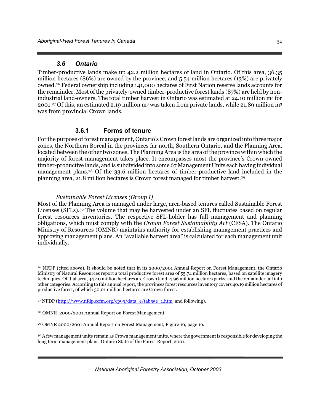## *3.6 Ontario*

Timber-productive lands make up 42.2 million hectares of land in Ontario. Of this area, 36.35 million hectares (86%) are owned by the province, and 5.54 million hectares (13%) are privately owned.26 Federal ownership including 141,000 hectares of First Nation reserve lands accounts for the remainder. Most of the privately-owned timber-productive forest lands (87%) are held by nonindustrial land-owners. The total timber harvest in Ontario was estimated at 24.10 million m3 for 2001.27 Of this, an estimated 2.19 million m3 was taken from private lands, while 21.89 million m3 was from provincial Crown lands.

## **3.6.1 Forms of tenure**

For the purpose of forest management, Ontario's Crown forest lands are organized into three major zones, the Northern Boreal in the provinces far north, Southern Ontario, and the Planning Area, located between the other two zones. The Planning Area is the area of the province within which the majority of forest management takes place. It encompasses most the province's Crown-owned timber-productive lands, and is subdivided into some 67 Management Units each having individual management plans.28 Of the 33.6 million hectares of timber-productive land included in the planning area, 21.8 million hectares is Crown forest managed for timber harvest.29

#### *Sustainable Forest Licenses (Group I)*

Most of the Planning Area is managed under large, area-based tenures called Sustainable Forest Licenses (SFLs).30 The volume that may be harvested under an SFL fluctuates based on regular forest resources inventories. The respective SFL-holder has full management and planning obligations, which must comply with the *Crown Forest Sustainability Act* (CFSA). The Ontario Ministry of Resources (OMNR) maintains authority for establishing management practices and approving management plans. An "available harvest area" is calculated for each management unit individually.

-

<sup>26</sup> NFDP (cited above). It should be noted that in its 2000/2001 Annual Report on Forest Management, the Ontario Ministry of Natural Resources report a total productive forest area of 55.74 million hectares, based on satellite imagery techniques. Of that area, 44.40 million hectares are Crown land, 4.96 million hectares parks, and the remainder fall into other categories. According to this annual report, the provinces forest resources inventory covers 40.19 million hectares of productive forest, of which 30.01 million hectares are Crown forest.

<sup>&</sup>lt;sup>27</sup> NFDP (http://www.nfdp.ccfm.org/cp95/data\_e/tab55e\_1.htm and following).

<sup>28</sup> OMNR 2000/2001 Annual Report on Forest Management.

<sup>29</sup> OMNR 2000/2001 Annual Report on Forest Management, Figure 10, page 16.

<sup>&</sup>lt;sup>30</sup> A few management units remain as Crown management units, where the government is responsible for developing the long term management plans. Ontario State of the Forest Report, 2001.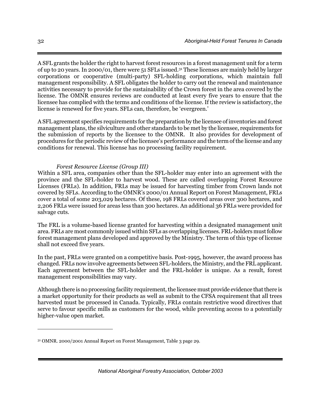A SFL grants the holder the right to harvest forest resources in a forest management unit for a term of up to 20 years. In 2000/01, there were 51 SFLs issued.31 These licenses are mainly held by larger corporations or cooperative (multi-party) SFL-holding corporations, which maintain full management responsibility. A SFL obligates the holder to carry out the renewal and maintenance activities necessary to provide for the sustainability of the Crown forest in the area covered by the license. The OMNR ensures reviews are conducted at least every five years to ensure that the licensee has complied with the terms and conditions of the license. If the review is satisfactory, the license is renewed for five years. SFLs can, therefore, be 'evergreen.'

A SFL agreement specifies requirements for the preparation by the licensee of inventories and forest management plans, the silviculture and other standards to be met by the licensee, requirements for the submission of reports by the licensee to the OMNR. It also provides for development of procedures for the periodic review of the licensee's performance and the term of the license and any conditions for renewal. This license has no processing facility requirement.

#### *Forest Resource License (Group III)*

Within a SFL area, companies other than the SFL-holder may enter into an agreement with the province and the SFL-holder to harvest wood. These are called overlapping Forest Resource Licenses (FRLs). In addition, FRLs may be issued for harvesting timber from Crown lands not covered by SFLs. According to the OMNR's 2000/01 Annual Report on Forest Management, FRLs cover a total of some 203,029 hectares. Of these, 198 FRLs covered areas over 300 hectares, and 2,206 FRLs were issued for areas less than 300 hectares. An additional 36 FRLs were provided for salvage cuts.

The FRL is a volume-based license granted for harvesting within a designated management unit area. FRLs are most commonly issued within SFLs as overlapping licenses. FRL-holders must follow forest management plans developed and approved by the Ministry. The term of this type of license shall not exceed five years.

In the past, FRLs were granted on a competitive basis. Post-1995, however, the award process has changed. FRLs now involve agreements between SFL-holders, the Ministry, and the FRL applicant. Each agreement between the SFL-holder and the FRL-holder is unique. As a result, forest management responsibilities may vary.

Although there is no processing facility requirement, the licensee must provide evidence that there is a market opportunity for their products as well as submit to the CFSA requirement that all trees harvested must be processed in Canada. Typically, FRLs contain restrictive wood directives that serve to favour specific mills as customers for the wood, while preventing access to a potentially higher-value open market.

-

<sup>31</sup> OMNR. 2000/2001 Annual Report on Forest Management, Table 3 page 29.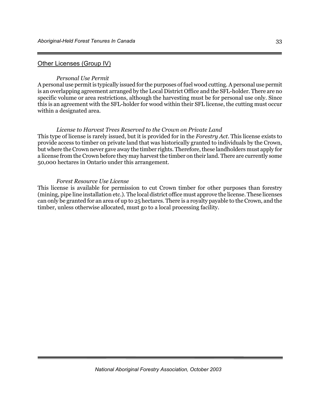#### Other Licenses (Group IV)

#### *Personal Use Permit*

A personal use permit is typically issued for the purposes of fuel wood cutting. A personal use permit is an overlapping agreement arranged by the Local District Office and the SFL-holder. There are no specific volume or area restrictions, although the harvesting must be for personal use only. Since this is an agreement with the SFL-holder for wood within their SFL license, the cutting must occur within a designated area.

#### *License to Harvest Trees Reserved to the Crown on Private Land*

This type of license is rarely issued, but it is provided for in the *Forestry Act*. This license exists to provide access to timber on private land that was historically granted to individuals by the Crown, but where the Crown never gave away the timber rights. Therefore, these landholders must apply for a license from the Crown before they may harvest the timber on their land. There are currently some 50,000 hectares in Ontario under this arrangement.

#### *Forest Resource Use License*

This license is available for permission to cut Crown timber for other purposes than forestry (mining, pipe line installation etc.). The local district office must approve the license. These licenses can only be granted for an area of up to 25 hectares. There is a royalty payable to the Crown, and the timber, unless otherwise allocated, must go to a local processing facility.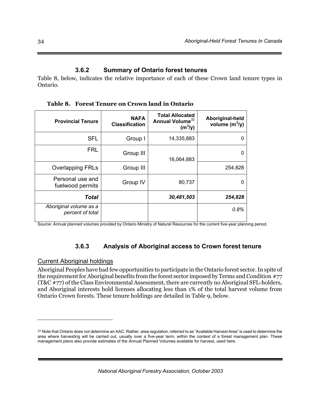### **3.6.2 Summary of Ontario forest tenures**

Table 8, below, indicates the relative importance of each of these Crown land tenure types in Ontario.

**Provincial Tenure CONCOCO EXAMPLE PROVIDED Classification Total Allocated Annual Volume**<sup>32</sup> **(m<sup>3</sup> /y) Aboriginal-held volume (m<sup>3</sup> /y)**  SFL Group I 14,335,883  $FRL$  Group III  $\begin{array}{|c|c|c|c|c|}\hline \text{1} & \text{1} & \text{1} & \text{1} & \text{1} & \text{1} & \text{1} & \text{1} & \text{1} & \text{1} & \text{1} & \text{1} & \text{1} & \text{1} & \text{1} & \text{1} & \text{1} & \text{1} & \text{1} & \text{1} & \text{1} & \text{1} & \text{1} & \text{1} & \text{1} & \text{1} & \text{1} & \text{1} & \text{1} & \text{1} & \text{1} &$ Overlapping FRLs | Group III 16,064,883 254,828 Personal use and  $f$ uelwood permits Group IV 80,737 | 0 *Total 30,481,503 254,828 Aboriginal volume as a percent of total 0.8%* 

**Table 8. Forest Tenure on Crown land in Ontario** 

Source: Annual planned volumes provided by Ontario Ministry of Natural Resources for the current five-year planning period.

# **3.6.3 Analysis of Aboriginal access to Crown forest tenure**

#### Current Aboriginal holdings

 $\overline{a}$ 

Aboriginal Peoples have had few opportunities to participate in the Ontario forest sector. In spite of the requirement for Aboriginal benefits from the forest sector imposed by Terms and Condition #77 (T&C #77) of the Class Environmental Assessment, there are currently no Aboriginal SFL-holders, and Aboriginal interests hold licenses allocating less than 1% of the total harvest volume from Ontario Crown forests. These tenure holdings are detailed in Table 9, below.

<sup>32</sup> Note that Ontario does not determine an AAC. Rather, area regulation, referred to as "Available Harvest Area" is used to determine the area where harvesting will be carried out, usually over a five-year term, within the context of a forest management plan. These management plans also provide estimates of the Annual Planned Volumes available for harvest, used here.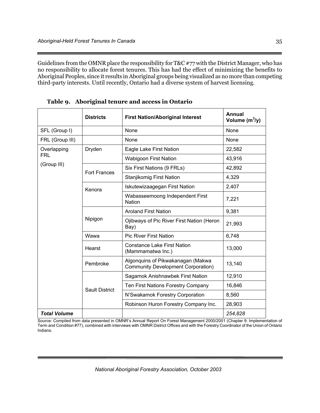Guidelines from the OMNR place the responsibility for T&C #77 with the District Manager, who has no responsibility to allocate forest tenures. This has had the effect of minimizing the benefits to Aboriginal Peoples, since it results in Aboriginal groups being visualized as no more than competing third-party interests. Until recently, Ontario had a diverse system of harvest licensing.

|                     | <b>Districts</b>      | <b>First Nation/Aboriginal Interest</b>                                        | Annual<br>Volume $(m^3/y)$ |
|---------------------|-----------------------|--------------------------------------------------------------------------------|----------------------------|
| SFL (Group I)       |                       | None                                                                           | None                       |
| FRL (Group III)     |                       | None                                                                           | None                       |
| Overlapping         | Dryden                | Eagle Lake First Nation                                                        | 22,582                     |
| <b>FRL</b>          |                       | <b>Wabigoon First Nation</b>                                                   | 43,916                     |
| (Group III)         | <b>Fort Frances</b>   | Six First Nations (9 FRLs)                                                     | 42,892                     |
|                     |                       | Stanjikomig First Nation                                                       | 4,329                      |
|                     | Kenora                | Iskutewizaagegan First Nation                                                  | 2,407                      |
|                     |                       | Wabasseemoong Independent First<br>Nation                                      | 7,221                      |
|                     |                       | <b>Aroland First Nation</b>                                                    | 9,381                      |
|                     | Nipigon               | Ojibways of Pic River First Nation (Heron<br>Bay)                              | 21,993                     |
|                     | Wawa                  | <b>Pic River First Nation</b>                                                  | 6,748                      |
|                     | Hearst                | <b>Constance Lake First Nation</b><br>(Mammamatwa Inc.)                        | 13,000                     |
|                     | Pembroke              | Algonguins of Pikwakanagan (Makwa<br><b>Community Development Corporation)</b> | 13,140                     |
|                     |                       | Sagamok Anishnawbek First Nation                                               | 12,910                     |
|                     | <b>Sault District</b> | Ten First Nations Forestry Company                                             | 16,846                     |
|                     |                       | N'Swakamok Forestry Corporation                                                | 8,560                      |
|                     |                       | Robinson Huron Forestry Company Inc.                                           | 28,903                     |
| <b>Total Volume</b> |                       |                                                                                | 254,828                    |

**Table 9. Aboriginal tenure and access in Ontario** 

Source: Compiled from data presented in OMNR's Annual Report On Forest Management 2000/2001 (Chapter 9: Implementation of Term and Condition #77), combined with interviews with OMNR District Offices and with the Forestry Coordinator of the Union of Ontario Indians.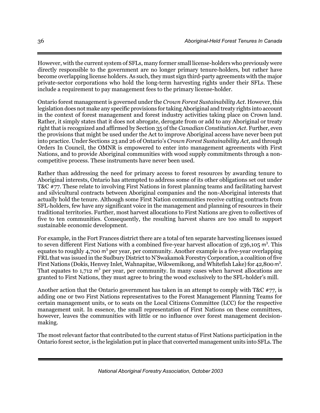However, with the current system of SFLs, many former small license-holders who previously were directly responsible to the government are no longer primary tenure-holders, but rather have become overlapping license holders. As such, they must sign third-party agreements with the major private-sector corporations who hold the long-term harvesting rights under their SFLs. These include a requirement to pay management fees to the primary license-holder.

Ontario forest management is governed under the *Crown Forest Sustainability Act*. However, this legislation does not make any specific provisions for taking Aboriginal and treaty rights into account in the context of forest management and forest industry activities taking place on Crown land. Rather, it simply states that it does not abrogate, derogate from or add to any Aboriginal or treaty right that is recognized and affirmed by Section 35 of the *Canadian Constitution Act*. Further, even the provisions that might be used under the Act to improve Aboriginal access have never been put into practice. Under Sections 23 and 26 of Ontario's *Crown Forest Sustainability Act*, and through Orders In Council, the OMNR is empowered to enter into management agreements with First Nations, and to provide Aboriginal communities with wood supply commitments through a noncompetitive process. These instruments have never been used.

Rather than addressing the need for primary access to forest resources by awarding tenure to Aboriginal interests, Ontario has attempted to address some of its other obligations set out under T&C #77. These relate to involving First Nations in forest planning teams and facilitating harvest and silvicultural contracts between Aboriginal companies and the non-Aboriginal interests that actually hold the tenure. Although some First Nation communities receive cutting contracts from SFL-holders, few have any significant voice in the management and planning of resources in their traditional territories. Further, most harvest allocations to First Nations are given to collectives of five to ten communities. Consequently, the resulting harvest shares are too small to support sustainable economic development.

For example, in the Fort Frances district there are a total of ten separate harvesting licenses issued to seven different First Nations with a combined five-year harvest allocation of 236,105 m<sup>3</sup>. This equates to roughly 4,700 m<sup>3</sup> per year, per community. Another example is a five-year overlapping FRL that was issued in the Sudbury District to N'Swakamok Forestry Corporation, a coalition of five First Nations (Dokis, Henvey Inlet, Wahnapitae, Wikwemikong, and Whitefish Lake) for 42,800 m<sup>3</sup>. That equates to  $1,712$  m<sup>3</sup> per year, per community. In many cases when harvest allocations are granted to First Nations, they must agree to bring the wood exclusively to the SFL-holder's mill.

Another action that the Ontario government has taken in an attempt to comply with T&C  $\#77$ , is adding one or two First Nations representatives to the Forest Management Planning Teams for certain management units, or to seats on the Local Citizens Committee (LCC) for the respective management unit. In essence, the small representation of First Nations on these committees, however, leaves the communities with little or no influence over forest management decisionmaking.

The most relevant factor that contributed to the current status of First Nations participation in the Ontario forest sector, is the legislation put in place that converted management units into SFLs. The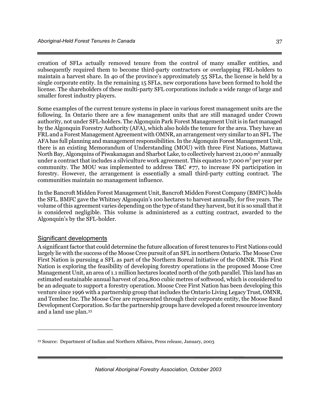creation of SFLs actually removed tenure from the control of many smaller entities, and subsequently required them to become third-party contractors or overlapping FRL-holders to maintain a harvest share. In 40 of the province's approximately 55 SFLs, the license is held by a single corporate entity. In the remaining 15 SFLs, new corporations have been formed to hold the license. The shareholders of these multi-party SFL corporations include a wide range of large and smaller forest industry players.

Some examples of the current tenure systems in place in various forest management units are the following. In Ontario there are a few management units that are still managed under Crown authority, not under SFL-holders. The Algonquin Park Forest Management Unit is in fact managed by the Algonquin Forestry Authority (AFA), which also holds the tenure for the area. They have an FRL and a Forest Management Agreement with OMNR, an arrangement very similar to an SFL. The AFA has full planning and management responsibilities. In the Algonquin Forest Management Unit, there is an existing Memorandum of Understanding (MOU) with three First Nations, Mattawa North Bay, Algonquins of Piwakanagan and Sharbot Lake, to collectively harvest 21,000 m<sup>3</sup> annually under a contract that includes a silviculture work agreement. This equates to 7,000 m<sup>3</sup> per year per community. The MOU was implemented to address T&C #77, to increase FN participation in forestry. However, the arrangement is essentially a small third-party cutting contract. The communities maintain no management influence.

In the Bancroft Midden Forest Management Unit, Bancroft Midden Forest Company (BMFC) holds the SFL. BMFC gave the Whitney Algonquin's 100 hectares to harvest annually, for five years. The volume of this agreement varies depending on the type of stand they harvest, but it is so small that it is considered negligible. This volume is administered as a cutting contract, awarded to the Algonquin's by the SFL-holder.

#### Significant developments

 $\overline{a}$ 

A significant factor that could determine the future allocation of forest tenures to First Nations could largely lie with the success of the Moose Cree pursuit of an SFL in northern Ontario. The Moose Cree First Nation is pursuing a SFL as part of the Northern Boreal Initiative of the OMNR. This First Nation is exploring the feasibility of developing forestry operations in the proposed Moose Cree Management Unit, an area of 1.1 million hectares located north of the 50th parallel. This land has an estimated sustainable annual harvest of 204,800 cubic metres of softwood, which is considered to be an adequate to support a forestry operation. Moose Cree First Nation has been developing this venture since 1996 with a partnership group that includes the Ontario Living Legacy Trust, OMNR, and Tembec Inc. The Moose Cree are represented through their corporate entity, the Moose Band Development Corporation. So far the partnership groups have developed a forest resource inventory and a land use plan.33

<sup>33</sup> Source: Department of Indian and Northern Affaires, Press release, January, 2003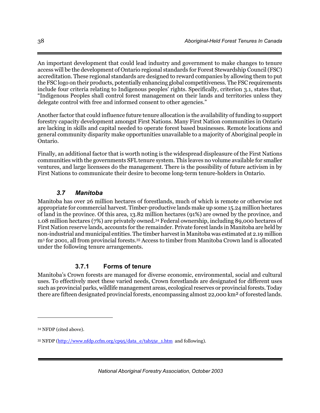An important development that could lead industry and government to make changes to tenure access will be the development of Ontario regional standards for Forest Stewardship Council (FSC) accreditation. These regional standards are designed to reward companies by allowing them to put the FSC logo on their products, potentially enhancing global competitiveness. The FSC requirements include four criteria relating to Indigenous peoples' rights. Specifically, criterion 3.1, states that, "Indigenous Peoples shall control forest management on their lands and territories unless they delegate control with free and informed consent to other agencies."

Another factor that could influence future tenure allocation is the availability of funding to support forestry capacity development amongst First Nations. Many First Nation communities in Ontario are lacking in skills and capital needed to operate forest based businesses. Remote locations and general community disparity make opportunities unavailable to a majority of Aboriginal people in Ontario.

Finally, an additional factor that is worth noting is the widespread displeasure of the First Nations communities with the governments SFL tenure system. This leaves no volume available for smaller ventures, and large licensees do the management. There is the possibility of future activism in by First Nations to communicate their desire to become long-term tenure-holders in Ontario.

# *3.7 Manitoba*

Manitoba has over 26 million hectares of forestlands, much of which is remote or otherwise not appropriate for commercial harvest. Timber-productive lands make up some 15.24 million hectares of land in the province. Of this area, 13.82 million hectares (91%) are owned by the province, and 1.08 million hectares (7%) are privately owned.34 Federal ownership, including 89,000 hectares of First Nation reserve lands, accounts for the remainder. Private forest lands in Manitoba are held by non-industrial and municipal entities. The timber harvest in Manitoba was estimated at 2.19 million m3 for 2001, all from provincial forests.35 Access to timber from Manitoba Crown land is allocated under the following tenure arrangements.

# **3.7.1 Forms of tenure**

Manitoba's Crown forests are managed for diverse economic, environmental, social and cultural uses. To effectively meet these varied needs, Crown forestlands are designated for different uses such as provincial parks, wildlife management areas, ecological reserves or provincial forests. Today there are fifteen designated provincial forests, encompassing almost 22,000 km² of forested lands.

 $\overline{a}$ 

<sup>34</sup> NFDP (cited above).

<sup>35</sup> NFDP (http://www.nfdp.ccfm.org/cp95/data\_e/tab55e\_1.htm and following).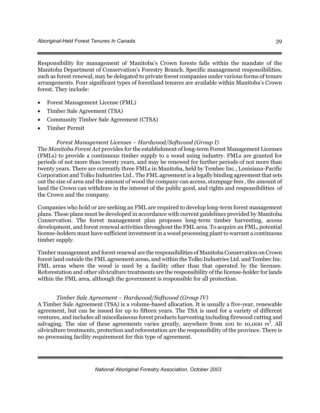Responsibility for management of Manitoba's Crown forests falls within the mandate of the Manitoba Department of Conservation's Forestry Branch. Specific management responsibilities, such as forest renewal, may be delegated to private forest companies under various forms of tenure arrangements. Four significant types of forestland tenures are available within Manitoba's Crown forest. They include:

- Forest Management License (FML)
- Timber Sale Agreement (TSA)
- Community Timber Sale Agreement (CTSA)
- Timber Permit

#### *Forest Management Licenses – Hardwood/Softwood (Group I)*

The *Manitoba Forest Act* provides for the establishment of long-term Forest Management Licenses (FMLs) to provide a continuous timber supply to a wood using industry. FMLs are granted for periods of not more than twenty years, and may be renewed for further periods of not more than twenty years. There are currently three FMLs in Manitoba, held by Tembec Inc., Louisiana-Pacific Corporation and Tolko Industries Ltd.. The FML agreement is a legally binding agreement that sets out the size of area and the amount of wood the company can access, stumpage fees , the amount of land the Crown can withdraw in the interest of the public good, and rights and responsibilities of the Crown and the company.

Companies who hold or are seeking an FML are required to develop long-term forest management plans. These plans must be developed in accordance with current guidelines provided by Manitoba Conservation. The forest management plan proposes long-term timber harvesting, access development, and forest renewal activities throughout the FML area. To acquire an FML, potential license-holders must have sufficient investment in a wood processing plant to warrant a continuous timber supply.

Timber management and forest renewal are the responsibilities of Manitoba Conservation on Crown forest land outside the FML agreement areas, and within the Tolko Industries Ltd. and Tembec Inc. FML areas where the wood is used by a facility other than that operated by the licensee. Reforestation and other silviculture treatments are the responsibility of the license-holder for lands within the FML area, although the government is responsible for all protection.

#### *Timber Sale Agreement – Hardwood/Softwood (Group IV)*

A Timber Sale Agreement (TSA) is a volume-based allocation. It is usually a five-year, renewable agreement, but can be issued for up to fifteen years. The TSA is used for a variety of different ventures, and includes all miscellaneous forest products harvesting including firewood cutting and salvaging. The size of these agreements varies greatly, anywhere from 100 to 10,000  $m<sup>3</sup>$ . All silviculture treatments, protection and reforestation are the responsibility of the province. There is no processing facility requirement for this type of agreement.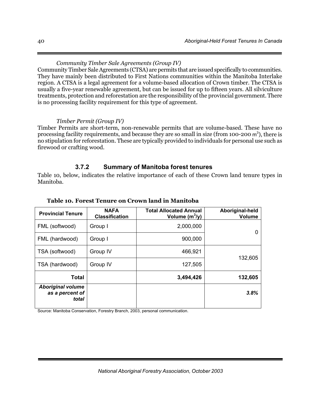# *Community Timber Sale Agreements (Group IV)*

Community Timber Sale Agreements (CTSA) are permits that are issued specifically to communities. They have mainly been distributed to First Nations communities within the Manitoba Interlake region. A CTSA is a legal agreement for a volume-based allocation of Crown timber. The CTSA is usually a five-year renewable agreement, but can be issued for up to fifteen years. All silviculture treatments, protection and reforestation are the responsibility of the provincial government. There is no processing facility requirement for this type of agreement.

### *Timber Permit (Group IV)*

Timber Permits are short-term, non-renewable permits that are volume-based. These have no processing facility requirements, and because they are so small in size (from 100-200 m<sup>3</sup>), there is no stipulation for reforestation. These are typically provided to individuals for personal use such as firewood or crafting wood.

# **3.7.2 Summary of Manitoba forest tenures**

Table 10, below, indicates the relative importance of each of these Crown land tenure types in Manitoba.

| <b>Provincial Tenure</b>                             | <b>NAFA</b><br><b>Classification</b> | <b>Total Allocated Annual</b><br>Volume $(m^3/y)$ | Aboriginal-held<br><b>Volume</b> |
|------------------------------------------------------|--------------------------------------|---------------------------------------------------|----------------------------------|
| FML (softwood)                                       | Group I                              | 2,000,000                                         | 0                                |
| FML (hardwood)                                       | Group I                              | 900,000                                           |                                  |
| TSA (softwood)                                       | Group IV                             | 466,921                                           |                                  |
| TSA (hardwood)                                       | Group IV                             | 127,505                                           | 132,605                          |
| Total                                                |                                      | 3,494,426                                         | 132,605                          |
| <b>Aboriginal volume</b><br>as a percent of<br>total |                                      |                                                   | 3.8%                             |

#### **Table 10. Forest Tenure on Crown land in Manitoba**

Source: Manitoba Conservation, Forestry Branch, 2003, personal communication.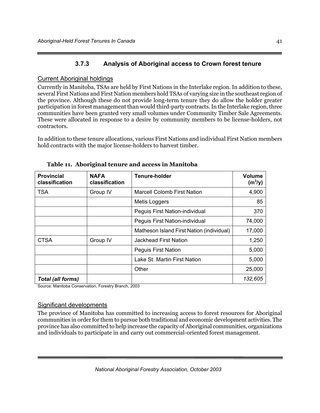# **3.7.3 Analysis of Aboriginal access to Crown forest tenure**

# Current Aboriginal holdings

Currently in Manitoba, TSAs are held by First Nations in the Interlake region. In addition to these, several First Nations and First Nation members hold TSAs of varying size in the southeast region of the province. Although these do not provide long-term tenure they do allow the holder greater participation in forest management than would third-party contracts. In the Interlake region, three communities have been granted very small volumes under Community Timber Sale Agreements. These were allocated in response to a desire by community members to be license-holders, not contractors.

In addition to these tenure allocations, various First Nations and individual First Nation members hold contracts with the major license-holders to harvest timber.

| <b>Provincial</b><br>classification | <b>NAFA</b><br>classification | Tenure-holder                             | <b>Volume</b><br>$(m^3/y)$ |
|-------------------------------------|-------------------------------|-------------------------------------------|----------------------------|
| <b>TSA</b>                          | Group IV                      | <b>Marcell Colomb First Nation</b>        | 4,900                      |
|                                     |                               | Metis Loggers                             | 85                         |
|                                     |                               | Peguis First Nation-individual            | 370                        |
|                                     |                               | Peguis First Nation-individual            | 74,000                     |
|                                     |                               | Matheson Island First Nation (individual) | 17,000                     |
| <b>CTSA</b>                         | Group IV                      | <b>Jackhead First Nation</b>              | 1,250                      |
|                                     |                               | <b>Peguis First Nation</b>                | 5,000                      |
|                                     |                               | Lake St. Martin First Nation              | 5,000                      |
|                                     |                               | Other                                     | 25,000                     |
| <b>Total (all forms)</b>            |                               |                                           | 132,605                    |

**Table 11. Aboriginal tenure and access in Manitoba** 

Source: Manitoba Conservation, Forestry Branch, 2003

# Significant developments

The province of Manitoba has committed to increasing access to forest resources for Aboriginal communities in order for them to pursue both traditional and economic development activities. The province has also committed to help increase the capacity of Aboriginal communities, organizations and individuals to participate in and carry out commercial-oriented forest management.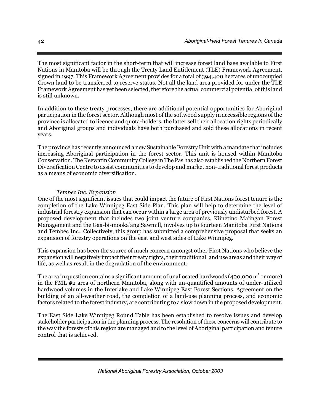The most significant factor in the short-term that will increase forest land base available to First Nations in Manitoba will be through the Treaty Land Entitlement (TLE) Framework Agreement, signed in 1997. This Framework Agreement provides for a total of 394,400 hectares of unoccupied Crown land to be transferred to reserve status. Not all the land area provided for under the TLE Framework Agreement has yet been selected, therefore the actual commercial potential of this land is still unknown.

In addition to these treaty processes, there are additional potential opportunities for Aboriginal participation in the forest sector. Although most of the softwood supply in accessible regions of the province is allocated to licence and quota-holders, the latter sell their allocation rights periodically and Aboriginal groups and individuals have both purchased and sold these allocations in recent years.

The province has recently announced a new Sustainable Forestry Unit with a mandate that includes increasing Aboriginal participation in the forest sector. This unit is housed within Manitoba Conservation. The Keewatin Community College in The Pas has also established the Northern Forest Diversification Centre to assist communities to develop and market non-traditional forest products as a means of economic diversification.

### *Tembec Inc. Expansion*

One of the most significant issues that could impact the future of First Nations forest tenure is the completion of the Lake Winnipeg East Side Plan. This plan will help to determine the level of industrial forestry expansion that can occur within a large area of previously undisturbed forest. A proposed development that includes two joint venture companies, Kiinetino Ma'ingan Forest Management and the Gaa-bi-mooka'ang Sawmill, involves up to fourteen Manitoba First Nations and Tembec Inc.. Collectively, this group has submitted a comprehensive proposal that seeks an expansion of forestry operations on the east and west sides of Lake Winnipeg.

This expansion has been the source of much concern amongst other First Nations who believe the expansion will negatively impact their treaty rights, their traditional land use areas and their way of life, as well as result in the degradation of the environment.

The area in question contains a significant amount of unallocated hardwoods (400,000  $\mathrm{m}^3$  or more) in the FML #2 area of northern Manitoba, along with un-quantified amounts of under-utilized hardwood volumes in the Interlake and Lake Winnipeg East Forest Sections. Agreement on the building of an all-weather road, the completion of a land-use planning process, and economic factors related to the forest industry, are contributing to a slow down in the proposed development.

The East Side Lake Winnipeg Round Table has been established to resolve issues and develop stakeholder participation in the planning process. The resolution of these concerns will contribute to the way the forests of this region are managed and to the level of Aboriginal participation and tenure control that is achieved.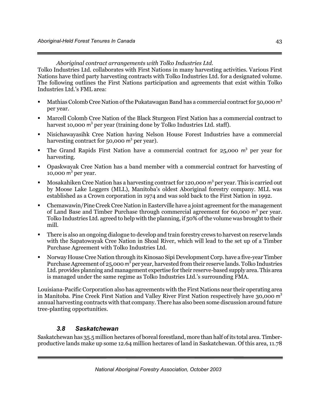*Aboriginal contract arrangements with Tolko Industries Ltd.* 

Tolko Industries Ltd. collaborates with First Nations in many harvesting activities. Various First Nations have third party harvesting contracts with Tolko Industries Ltd. for a designated volume. The following outlines the First Nations participation and agreements that exist within Tolko Industries Ltd.'s FML area:

- Mathias Colomb Cree Nation of the Pukatawagan Band has a commercial contract for 50,000 m<sup>3</sup> per year.
- Marcell Colomb Cree Nation of the Black Sturgeon First Nation has a commercial contract to harvest 10,000 m<sup>3</sup> per year (training done by Tolko Industries Ltd. staff).
- Nisichawayasihk Cree Nation having Nelson House Forest Industries have a commercial harvesting contract for 50,000  $m^3$  per year).
- The Grand Rapids First Nation have a commercial contract for  $25,000$  m<sup>3</sup> per year for harvesting.
- Opaskwayak Cree Nation has a band member with a commercial contract for harvesting of 10,000  $m<sup>3</sup>$  per year.
- Mosakahiken Cree Nation has a harvesting contract for 120,000  $m^3$  per year. This is carried out by Moose Lake Loggers (MLL), Manitoba's oldest Aboriginal forestry company. MLL was established as a Crown corporation in 1974 and was sold back to the First Nation in 1992.
- Chemawawin/Pine Creek Cree Nation in Easterville have a joint agreement for the management of Land Base and Timber Purchase through commercial agreement for  $60,000$  m<sup>3</sup> per year. Tolko Industries Ltd. agreed to help with the planning, if 50% of the volume was brought to their mill.
- There is also an ongoing dialogue to develop and train forestry crews to harvest on reserve lands with the Sapatowayak Cree Nation in Shoal River, which will lead to the set up of a Timber Purchase Agreement with Tolko Industries Ltd.
- Norway House Cree Nation through its Kinosao Sipi Development Corp. have a five-year Timber Purchase Agreement of 25,000 m<sup>3</sup> per year, harvested from their reserve lands. Tolko Industries Ltd. provides planning and management expertise for their reserve-based supply area. This area is managed under the same regime as Tolko Industries Ltd.'s surrounding FMA.

Louisiana-Pacific Corporation also has agreements with the First Nations near their operating area in Manitoba. Pine Creek First Nation and Valley River First Nation respectively have 30,000 m<sup>3</sup> annual harvesting contracts with that company. There has also been some discussion around future tree-planting opportunities.

# *3.8 Saskatchewan*

Saskatchewan has 35.5 million hectares of boreal forestland, more than half of its total area. Timberproductive lands make up some 12.64 million hectares of land in Saskatchewan. Of this area, 11.78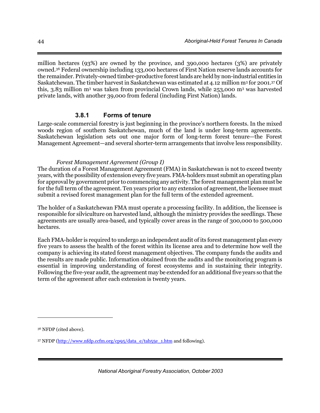million hectares (93%) are owned by the province, and 390,000 hectares (3%) are privately owned.36 Federal ownership including 133,000 hectares of First Nation reserve lands accounts for the remainder. Privately-owned timber-productive forest lands are held by non-industrial entities in Saskatchewan. The timber harvest in Saskatchewan was estimated at 4.12 million m<sup>3</sup> for 2001.<sup>37</sup> Of this, 3.83 million m3 was taken from provincial Crown lands, while 253,000 m3 was harvested private lands, with another 39,000 from federal (including First Nation) lands.

## **3.8.1 Forms of tenure**

Large-scale commercial forestry is just beginning in the province's northern forests. In the mixed woods region of southern Saskatchewan, much of the land is under long-term agreements. Saskatchewan legislation sets out one major form of long-term forest tenure—the Forest Management Agreement—and several shorter-term arrangements that involve less responsibility.

#### *Forest Management Agreement (Group I)*

The duration of a Forest Management Agreement (FMA) in Saskatchewan is not to exceed twenty years, with the possibility of extension every five years. FMA-holders must submit an operating plan for approval by government prior to commencing any activity. The forest management plan must be for the full term of the agreement. Ten years prior to any extension of agreement, the licensee must submit a revised forest management plan for the full term of the extended agreement.

The holder of a Saskatchewan FMA must operate a processing facility. In addition, the licensee is responsible for silviculture on harvested land, although the ministry provides the seedlings. These agreements are usually area-based, and typically cover areas in the range of 300,000 to 500,000 hectares.

Each FMA-holder is required to undergo an independent audit of its forest management plan every five years to assess the health of the forest within its license area and to determine how well the company is achieving its stated forest management objectives. The company funds the audits and the results are made public. Information obtained from the audits and the monitoring program is essential in improving understanding of forest ecosystems and in sustaining their integrity. Following the five-year audit, the agreement may be extended for an additional five years so that the term of the agreement after each extension is twenty years.

 $\overline{a}$ 

<sup>36</sup> NFDP (cited above).

<sup>37</sup> NFDP (http://www.nfdp.ccfm.org/cp95/data\_e/tab55e\_1.htm and following).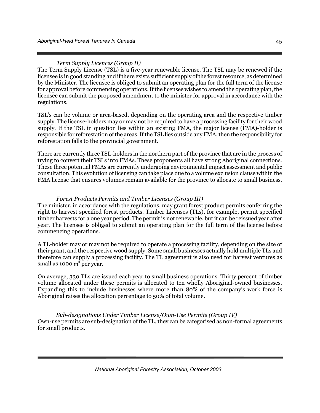#### *Term Supply Licences (Group II)*

The Term Supply License (TSL) is a five-year renewable license. The TSL may be renewed if the licensee is in good standing and if there exists sufficient supply of the forest resource, as determined by the Minister. The licensee is obliged to submit an operating plan for the full term of the license for approval before commencing operations. If the licensee wishes to amend the operating plan, the licensee can submit the proposed amendment to the minister for approval in accordance with the regulations.

TSL's can be volume or area-based, depending on the operating area and the respective timber supply. The license-holders may or may not be required to have a processing facility for their wood supply. If the TSL in question lies within an existing FMA, the major license (FMA)-holder is responsible for reforestation of the areas. If the TSL lies outside any FMA, then the responsibility for reforestation falls to the provincial government.

There are currently three TSL-holders in the northern part of the province that are in the process of trying to convert their TSLs into FMAs. These proponents all have strong Aboriginal connections. These three potential FMAs are currently undergoing environmental impact assessment and public consultation. This evolution of licensing can take place due to a volume exclusion clause within the FMA license that ensures volumes remain available for the province to allocate to small business.

#### *Forest Products Permits and Timber Licenses (Group III)*

The minister, in accordance with the regulations, may grant forest product permits conferring the right to harvest specified forest products. Timber Licenses (TLs), for example, permit specified timber harvests for a one year period. The permit is not renewable, but it can be reissued year after year. The licensee is obliged to submit an operating plan for the full term of the license before commencing operations.

A TL-holder may or may not be required to operate a processing facility, depending on the size of their grant, and the respective wood supply. Some small businesses actually hold multiple TLs and therefore can supply a processing facility. The TL agreement is also used for harvest ventures as small as 1000  $m^3$  per year.

On average, 330 TLs are issued each year to small business operations. Thirty percent of timber volume allocated under these permits is allocated to ten wholly Aboriginal-owned businesses. Expanding this to include businesses where more than 80% of the company's work force is Aboriginal raises the allocation percentage to 50% of total volume.

*Sub-designations Under Timber License/Own-Use Permits (Group IV)*  Own-use permits are sub-designation of the TL, they can be categorised as non-formal agreements for small products.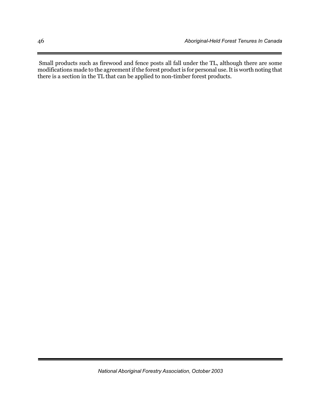Small products such as firewood and fence posts all fall under the TL, although there are some modifications made to the agreement if the forest product is for personal use. It is worth noting that there is a section in the TL that can be applied to non-timber forest products.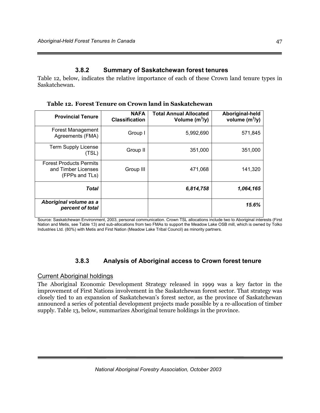# **3.8.2 Summary of Saskatchewan forest tenures**

Table 12, below, indicates the relative importance of each of these Crown land tenure types in Saskatchewan.

| <b>Provincial Tenure</b>                                                | <b>NAFA</b><br><b>Classification</b> | <b>Total Annual Allocated</b><br>Volume $(m^3/y)$ | Aboriginal-held<br>volume $(m^3/y)$ |
|-------------------------------------------------------------------------|--------------------------------------|---------------------------------------------------|-------------------------------------|
| <b>Forest Management</b><br>Agreements (FMA)                            | Group I                              | 5,992,690                                         | 571,845                             |
| <b>Term Supply License</b><br>(TSL)                                     | Group II                             | 351,000                                           | 351,000                             |
| <b>Forest Products Permits</b><br>and Timber Licenses<br>(FPPs and TLs) | Group III                            | 471,068                                           | 141,320                             |
| <b>Total</b>                                                            |                                      | 6,814,758                                         | 1,064,165                           |
| Aboriginal volume as a<br>percent of total                              |                                      |                                                   | 15.6%                               |

**Table 12. Forest Tenure on Crown land in Saskatchewan** 

Source: Saskatchewan Environment, 2003, personal communication. Crown TSL allocations include two to Aboriginal interests (First Nation and Metis, see Table 13) and sub-allocations from two FMAs to support the Meadow Lake OSB mill, which is owned by Tolko Industries Ltd. (80%) with Metis and First Nation (Meadow Lake Tribal Council) as minority partners.

# **3.8.3 Analysis of Aboriginal access to Crown forest tenure**

## Current Aboriginal holdings

The Aboriginal Economic Development Strategy released in 1999 was a key factor in the improvement of First Nations involvement in the Saskatchewan forest sector. That strategy was closely tied to an expansion of Saskatchewan's forest sector, as the province of Saskatchewan announced a series of potential development projects made possible by a re-allocation of timber supply. Table 13, below, summarizes Aboriginal tenure holdings in the province.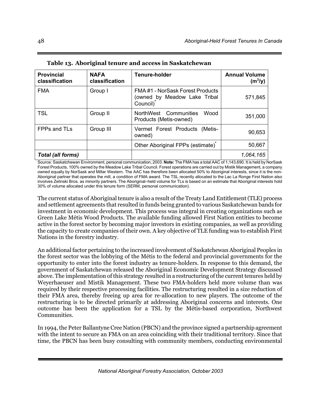| <b>Provincial</b><br>classification | <b>NAFA</b><br>classification | Tenure-holder                                                                            | <b>Annual Volume</b><br>$(m^3/y)$ |
|-------------------------------------|-------------------------------|------------------------------------------------------------------------------------------|-----------------------------------|
| <b>FMA</b>                          | Group I                       | FMA#1 - NorSask Forest Products<br>(owned by Meadow Lake Tribal<br>Council) <sup>*</sup> | 571,845                           |
| <b>TSL</b>                          | Group II                      | NorthWest Communities<br>Wood<br>Products (Metis-owned)                                  | 351,000                           |
| FPPs and TLs                        | Group III                     | Vermet Forest Products (Metis-<br>owned)                                                 | 90,653                            |
|                                     |                               | Other Aboriginal FPPs (estimate) <sup>*</sup>                                            | 50,667                            |
| <b>Total (all forms)</b>            |                               |                                                                                          | 1,064,165                         |

**Table 13. Aboriginal tenure and access in Saskatchewan** 

Source: Saskatchewan Environment, personal communication, 2003. **Note:** The FMA has a total AAC of 1,143,690. It is held by NorSask Forest Products, 100% owned by the Meadow Lake Tribal Council. Forest operations are carried out by Mistik Management, a company owned equally by NorSask and Millar Western. The AAC has therefore been allocated 50% to Aboriginal interests, since it is the non-Aboriginal partner that operates the mill, a condition of FMA award. The TSL recently allocated to the Lac La Ronge First Nation also involves Zelinski Bros. as minority partners. The Aboriginal–held volume for TLs is based on an estimate that Aboriginal interests hold 30% of volume allocated under this tenure form (SERM, personal communication).

The current status of Aboriginal tenure is also a result of the Treaty Land Entitlement (TLE) process and settlement agreements that resulted in funds being granted to various Saskatchewan bands for investment in economic development. This process was integral in creating organizations such as Green Lake Métis Wood Products. The available funding allowed First Nation entities to become active in the forest sector by becoming major investors in existing companies, as well as providing the capacity to create companies of their own. A key objective of TLE funding was to establish First Nations in the forestry industry.

An additional factor pertaining to the increased involvement of Saskatchewan Aboriginal Peoples in the forest sector was the lobbying of the Métis to the federal and provincial governments for the opportunity to enter into the forest industry as tenure-holders. In response to this demand, the government of Saskatchewan released the Aboriginal Economic Development Strategy discussed above. The implementation of this strategy resulted in a restructuring of the current tenures held by Weyerhaeuser and Mistik Management. These two FMA-holders held more volume than was required by their respective processing facilities. The restructuring resulted in a size reduction of their FMA area, thereby freeing up area for re-allocation to new players. The outcome of the restructuring is to be directed primarily at addressing Aboriginal concerns and interests. One outcome has been the application for a TSL by the Métis-based corporation, Northwest Communities.

In 1994, the Peter Ballantyne Cree Nation (PBCN) and the province signed a partnership agreement with the intent to secure an FMA on an area coinciding with their traditional territory. Since that time, the PBCN has been busy consulting with community members, conducting environmental

*National Aboriginal Forestry Association, October 2003*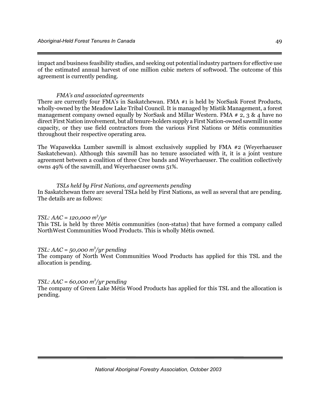impact and business feasibility studies, and seeking out potential industry partners for effective use of the estimated annual harvest of one million cubic meters of softwood. The outcome of this agreement is currently pending.

#### *FMA's and associated agreements*

There are currently four FMA's in Saskatchewan. FMA #1 is held by NorSask Forest Products, wholly-owned by the Meadow Lake Tribal Council. It is managed by Mistik Management, a forest management company owned equally by NorSask and Millar Western. FMA  $\neq 2, 3, 8, 4$  have no direct First Nation involvement, but all tenure-holders supply a First Nation-owned sawmill in some capacity, or they use field contractors from the various First Nations or Métis communities throughout their respective operating area.

The Wapawekka Lumber sawmill is almost exclusively supplied by FMA #2 (Weyerhaeuser Saskatchewan). Although this sawmill has no tenure associated with it, it is a joint venture agreement between a coalition of three Cree bands and Weyerhaeuser. The coalition collectively owns 49% of the sawmill, and Weyerhaeuser owns 51%.

#### *TSLs held by First Nations, and agreements pending*

In Saskatchewan there are several TSLs held by First Nations, as well as several that are pending. The details are as follows:

#### *TSL: AAC = 120,000 m3 /yr*

This TSL is held by three Métis communities (non-status) that have formed a company called NorthWest Communities Wood Products. This is wholly Métis owned.

#### *TSL: AAC = 50,000 m3 /yr pending*

The company of North West Communities Wood Products has applied for this TSL and the allocation is pending.

### *TSL: AAC = 60,000 m3 /yr pending*

The company of Green Lake Métis Wood Products has applied for this TSL and the allocation is pending.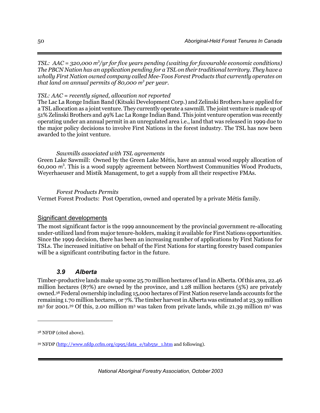*TSL: AAC = 320,000 m3 /yr for five years pending (waiting for favourable economic conditions) The PBCN Nation has an application pending for a TSL on their traditional territory. They have a wholly First Nation owned company called Mee-Toos Forest Products that currently operates on that land on annual permits of 80,000 m3 per year.* 

### *TSL: AAC = recently signed, allocation not reported*

The Lac La Ronge Indian Band (Kitsaki Development Corp.) and Zelinski Brothers have applied for a TSL allocation as a joint venture. They currently operate a sawmill. The joint venture is made up of 51% Zelinski Brothers and 49% Lac La Ronge Indian Band. This joint venture operation was recently operating under an annual permit in an unregulated area i.e., land that was released in 1999 due to the major policy decisions to involve First Nations in the forest industry. The TSL has now been awarded to the joint venture.

### *Sawmills associated with TSL agreements*

Green Lake Sawmill: Owned by the Green Lake Métis, have an annual wood supply allocation of 60,000 m3 . This is a wood supply agreement between Northwest Communities Wood Products, Weyerhaeuser and Mistik Management, to get a supply from all their respective FMAs.

#### *Forest Products Permits*

Vermet Forest Products: Post Operation, owned and operated by a private Métis family.

## Significant developments

The most significant factor is the 1999 announcement by the provincial government re-allocating under-utilized land from major tenure-holders, making it available for First Nations opportunities. Since the 1999 decision, there has been an increasing number of applications by First Nations for TSLs. The increased initiative on behalf of the First Nations for starting forestry based companies will be a significant contributing factor in the future.

# *3.9 Alberta*

Timber-productive lands make up some 25.70 million hectares of land in Alberta. Of this area, 22.46 million hectares (87%) are owned by the province, and 1.28 million hectares (5%) are privately owned.38 Federal ownership including 15,000 hectares of First Nation reserve lands accounts for the remaining 1.70 million hectares, or 7%. The timber harvest in Alberta was estimated at 23.39 million m3 for 2001.39 Of this, 2.00 million m3 was taken from private lands, while 21.39 million m3 was

-

<sup>38</sup> NFDP (cited above).

<sup>39</sup> NFDP (http://www.nfdp.ccfm.org/cp95/data\_e/tab55e\_1.htm and following).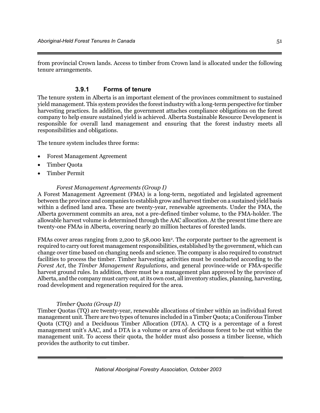from provincial Crown lands. Access to timber from Crown land is allocated under the following tenure arrangements.

# **3.9.1 Forms of tenure**

The tenure system in Alberta is an important element of the provinces commitment to sustained yield management. This system provides the forest industry with a long-term perspective for timber harvesting practices. In addition, the government attaches compliance obligations on the forest company to help ensure sustained yield is achieved. Alberta Sustainable Resource Development is responsible for overall land management and ensuring that the forest industry meets all responsibilities and obligations.

The tenure system includes three forms:

- Forest Management Agreement
- Timber Quota
- Timber Permit

#### *Forest Management Agreements (Group I)*

A Forest Management Agreement (FMA) is a long-term, negotiated and legislated agreement between the province and companies to establish grow and harvest timber on a sustained yield basis within a defined land area. These are twenty-year, renewable agreements. Under the FMA, the Alberta government commits an area, not a pre-defined timber volume, to the FMA-holder. The allowable harvest volume is determined through the AAC allocation. At the present time there are twenty-one FMAs in Alberta, covering nearly 20 million hectares of forested lands.

FMAs cover areas ranging from 2,200 to 58,000 km2. The corporate partner to the agreement is required to carry out forest management responsibilities, established by the government, which can change over time based on changing needs and science. The company is also required to construct facilities to process the timber. Timber harvesting activities must be conducted according to the *Forest Act*, the *Timber Management Regulations*, and general province-wide or FMA-specific harvest ground rules. In addition, there must be a management plan approved by the province of Alberta, and the company must carry out, at its own cost, all inventory studies, planning, harvesting, road development and regeneration required for the area.

#### *Timber Quota (Group II)*

Timber Quotas (TQ) are twenty-year, renewable allocations of timber within an individual forest management unit. There are two types of tenures included in a Timber Quota; a Coniferous Timber Quota (CTQ) and a Deciduous Timber Allocation (DTA). A CTQ is a percentage of a forest management unit's AAC, and a DTA is a volume or area of deciduous forest to be cut within the management unit. To access their quota, the holder must also possess a timber license, which provides the authority to cut timber.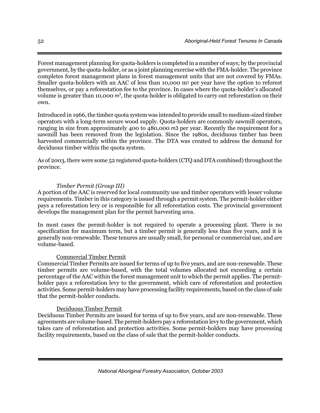Forest management planning for quota-holders is completed in a number of ways; by the provincial government, by the quota-holder, or as a joint planning exercise with the FMA-holder. The province completes forest management plans in forest management units that are not covered by FMAs. Smaller quota-holders with an AAC of less than 10,000 m<sup>3</sup> per year have the option to reforest themselves, or pay a reforestation fee to the province. In cases where the quota-holder's allocated volume is greater than 10,000  $m^3$ , the quota-holder is obligated to carry out reforestation on their own.

Introduced in 1966, the timber quota system was intended to provide small to medium-sized timber operators with a long-term secure wood supply. Quota-holders are commonly sawmill operators, ranging in size from approximately 400 to 480,000 m3 per year. Recently the requirement for a sawmill has been removed from the legislation. Since the 1980s, deciduous timber has been harvested commercially within the province. The DTA was created to address the demand for deciduous timber within the quota system.

As of 2003, there were some 52 registered quota-holders (CTQ and DTA combined) throughout the province.

### *Timber Permit (Group III)*

A portion of the AAC is reserved for local community use and timber operators with lesser volume requirements. Timber in this category is issued through a permit system. The permit-holder either pays a reforestation levy or is responsible for all reforestation costs. The provincial government develops the management plan for the permit harvesting area.

In most cases the permit-holder is not required to operate a processing plant. There is no specification for maximum term, but a timber permit is generally less than five years, and it is generally non-renewable. These tenures are usually small, for personal or commercial use, and are volume-based.

#### Commercial Timber Permit

Commercial Timber Permits are issued for terms of up to five years, and are non-renewable. These timber permits are volume-based, with the total volumes allocated not exceeding a certain percentage of the AAC within the forest management unit to which the permit applies. The permitholder pays a reforestation levy to the government, which care of reforestation and protection activities. Some permit-holders may have processing facility requirements, based on the class of sale that the permit-holder conducts.

#### Deciduous Timber Permit

Deciduous Timber Permits are issued for terms of up to five years, and are non-renewable. These agreements are volume-based. The permit-holders pay a reforestation levy to the government, which takes care of reforestation and protection activities. Some permit-holders may have processing facility requirements, based on the class of sale that the permit-holder conducts.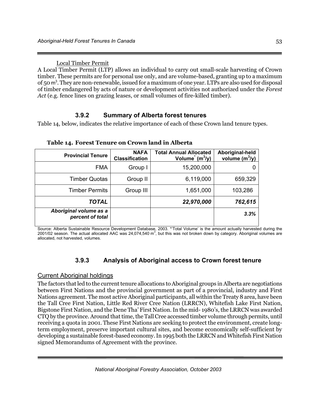Local Timber Permit

A Local Timber Permit (LTP) allows an individual to carry out small-scale harvesting of Crown timber. These permits are for personal use only, and are volume-based, granting up to a maximum of 50 m<sup>3</sup>. They are non-renewable, issued for a maximum of one year. LTPs are also used for disposal of timber endangered by acts of nature or development activities not authorized under the *Forest Act* (e.g. fence lines on grazing leases, or small volumes of fire-killed timber).

# **3.9.2 Summary of Alberta forest tenures**

Table 14, below, indicates the relative importance of each of these Crown land tenure types.

| <b>Provincial Tenure</b>                   | <b>NAFA</b><br><b>Classification</b> | <b>Total Annual Allocated</b><br>Volume $(m^3/y)$ | Aboriginal-held<br>volume $(m^3/y)$ |
|--------------------------------------------|--------------------------------------|---------------------------------------------------|-------------------------------------|
| <b>FMA</b>                                 | Group I                              | 15,200,000                                        |                                     |
| <b>Timber Quotas</b>                       | Group II                             | 6,119,000                                         | 659,329                             |
| <b>Timber Permits</b>                      | Group III                            | 1,651,000                                         | 103,286                             |
| TOTAL                                      |                                      | 22,970,000                                        | 762,615                             |
| Aboriginal volume as a<br>percent of total |                                      |                                                   | 3.3%                                |

**Table 14. Forest Tenure on Crown land in Alberta** 

Source: Alberta Sustainable Resource Development Database, 2003. \*'Total Volume' is the amount actually harvested during the<br>2001/02 season. The actual allocated AAC was 24,074,540 m<sup>3</sup>, but this was not broken down by cat allocated, not harvested, volumes.

# **3.9.3 Analysis of Aboriginal access to Crown forest tenure**

## Current Aboriginal holdings

The factors that led to the current tenure allocations to Aboriginal groups in Alberta are negotiations between First Nations and the provincial government as part of a provincial, industry and First Nations agreement. The most active Aboriginal participants, all within the Treaty 8 area, have been the Tall Cree First Nation, Little Red River Cree Nation (LRRCN), Whitefish Lake First Nation, Bigstone First Nation, and the Dene Tha' First Nation. In the mid- 1980's, the LRRCN was awarded CTQ by the province. Around that time, the Tall Cree accessed timber volume through permits, until receiving a quota in 2001. These First Nations are seeking to protect the environment, create longterm employment, preserve important cultural sites, and become economically self-sufficient by developing a sustainable forest-based economy. In 1995 both the LRRCN and Whitefish First Nation signed Memorandums of Agreement with the province.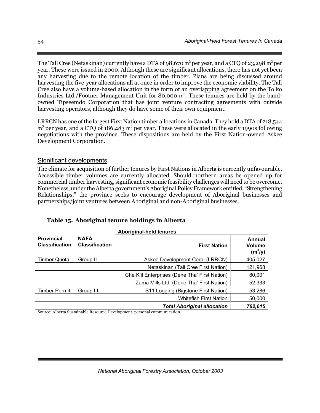The Tall Cree (Netaskinan) currently have a DTA of 98,670  $\text{m}^{3}$  per year, and a CTQ of 23,298  $\text{m}^{3}$  per year. These were issued in 2000. Although these are significant allocations, there has not yet been any harvesting due to the remote location of the timber. Plans are being discussed around harvesting the five-year allocations all at once in order to improve the economic viability. The Tall Cree also have a volume-based allocation in the form of an overlapping agreement on the Tolko Industries Ltd./Footner Management Unit for 80,000 m<sup>3</sup>. These tenures are held by the bandowned Tipseemdo Corporation that has joint venture contracting agreements with outside harvesting operators, although they do have some of their own equipment.

LRRCN has one of the largest First Nation timber allocations in Canada. They hold a DTA of 218,544  $m<sup>3</sup>$  per year, and a CTQ of 186,483  $m<sup>3</sup>$  per year. These were allocated in the early 1990s following negotiations with the province. These dispositions are held by the First Nation-owned Askee Development Corporation.

## Significant developments

The climate for acquisition of further tenures by First Nations in Alberta is currently unfavourable. Accessible timber volumes are currently allocated. Should northern areas be opened up for commercial timber harvesting, significant economic feasibility challenges will need to be overcome. Nonetheless, under the Alberta government's Aboriginal Policy Framework entitled, "Strengthening Relationships," the province seeks to encourage development of Aboriginal businesses and partnerships/joint ventures between Aboriginal and non-Aboriginal businesses.

|                                            |                                      | <b>Aboriginal-held tenures</b>                |         |  |
|--------------------------------------------|--------------------------------------|-----------------------------------------------|---------|--|
| <b>Provincial</b><br><b>Classification</b> | <b>NAFA</b><br><b>Classification</b> | <b>Volume</b><br><b>First Nation</b>          |         |  |
| Timber Quota                               | Group II                             | Askee Development Corp. (LRRCN)               | 405,027 |  |
|                                            |                                      | Netaskinan (Tall Cree First Nation)           | 121,968 |  |
|                                            |                                      | Che K'il Enterprises (Dene Tha' First Nation) | 80,001  |  |
|                                            |                                      | Zama Mills Ltd. (Dene Tha' First Nation)      | 52,333  |  |
| <b>Timber Permit</b>                       | Group III                            | S11 Logging (Bigstone First Nation)           | 53,286  |  |
|                                            |                                      | <b>Whitefish First Nation</b>                 | 50,000  |  |
|                                            |                                      | <b>Total Aboriginal allocation</b>            | 762,615 |  |

**Table 15. Aboriginal tenure holdings in Alberta** 

Source: Alberta Sustainable Resource Development, personal communication.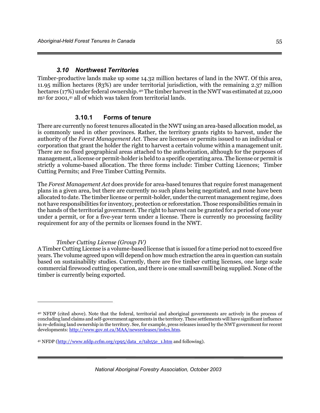### *3.10 Northwest Territories*

Timber-productive lands make up some 14.32 million hectares of land in the NWT. Of this area, 11.95 million hectares (83%) are under territorial jurisdiction, with the remaining 2.37 million hectares (17%) under federal ownership. 40 The timber harvest in the NWT was estimated at 22,000 m<sup>3</sup> for 2001,<sup>41</sup> all of which was taken from territorial lands.

### **3.10.1 Forms of tenure**

There are currently no forest tenures allocated in the NWT using an area-based allocation model, as is commonly used in other provinces. Rather, the territory grants rights to harvest, under the authority of the *Forest Management Act*. These are licenses or permits issued to an individual or corporation that grant the holder the right to harvest a certain volume within a management unit. There are no fixed geographical areas attached to the authorization, although for the purposes of management, a license or permit-holder is held to a specific operating area. The license or permit is strictly a volume-based allocation. The three forms include: Timber Cutting Licences; Timber Cutting Permits; and Free Timber Cutting Permits.

The *Forest Management Act* does provide for area-based tenures that require forest management plans in a given area, but there are currently no such plans being negotiated, and none have been allocated to date. The timber license or permit-holder, under the current management regime, does not have responsibilities for inventory, protection or reforestation. Those responsibilities remain in the hands of the territorial government. The right to harvest can be granted for a period of one year under a permit, or for a five-year term under a license. There is currently no processing facility requirement for any of the permits or licenses found in the NWT.

#### *Timber Cutting License (Group IV)*

<u>.</u>

A Timber Cutting License is a volume-based license that is issued for a time period not to exceed five years. The volume agreed upon will depend on how much extraction the area in question can sustain based on sustainability studies. Currently, there are five timber cutting licenses, one large scale commercial firewood cutting operation, and there is one small sawmill being supplied. None of the timber is currently being exported.

<sup>40</sup> NFDP (cited above). Note that the federal, territorial and aboriginal governments are actively in the process of concluding land claims and self-government agreements in the territory. These settlements will have significant influence in re-defining land ownership in the territory. See, for example, press releases issued by the NWT government for recent developments: http://www.gov.nt.ca/MAA/newsreleases/index.htm.

<sup>&</sup>lt;sup>41</sup> NFDP (http://www.nfdp.ccfm.org/cp95/data\_e/tab55e\_1.htm and following).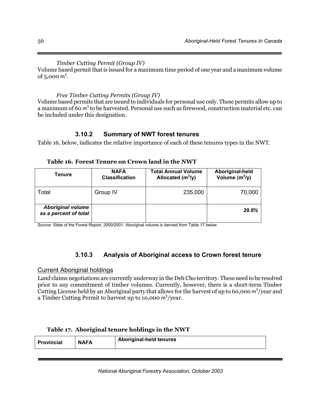*Timber Cutting Permit (Group IV)*  Volume based permit that is issued for a maximum time period of one year and a maximum volume of  $5,000 \text{ m}^3$ .

## *Free Timber Cutting Permits (Group IV)*

Volume based permits that are issued to individuals for personal use only. These permits allow up to a maximum of 60 m<sup>3</sup> to be harvested. Personal use such as firewood, construction material etc. can be included under this designation.

## **3.10.2 Summary of NWT forest tenures**

Table 16, below, indicates the relative importance of each of these tenures types in the NWT.

| Tenure                                            | <b>NAFA</b><br><b>Classification</b> | <b>Total Annual Volume</b><br>Allocated $(m^3/y)$ | Aboriginal-held<br>Volume $(m^3/y)$ |
|---------------------------------------------------|--------------------------------------|---------------------------------------------------|-------------------------------------|
| Total                                             | Group IV                             | 235,000                                           | 70,000                              |
| <b>Aboriginal volume</b><br>as a percent of total |                                      |                                                   | 29.8%                               |

#### **Table 16. Forest Tenure on Crown land in the NWT**

Source: State of the Forest Report, 2000/2001. Aboriginal volume is derived from Table 17 below.

## **3.10.3 Analysis of Aboriginal access to Crown forest tenure**

#### Current Aboriginal holdings

Land claims negotiations are currently underway in the Deh Cho territory. These need to be resolved prior to any commitment of timber volumes. Currently, however, there is a short-term Timber Cutting License held by an Aboriginal party that allows for the harvest of up to 60,000  $\text{m}^3\text{/year}$  and a Timber Cutting Permit to harvest up to 10,000  $\text{m}^3/\text{year}$ .

#### **Table 17. Aboriginal tenure holdings in the NWT**

| <b>Provincial</b> | <b>NAFA</b> | <b>Aboriginal-held tenures</b> |
|-------------------|-------------|--------------------------------|
|                   |             |                                |

*National Aboriginal Forestry Association, October 2003*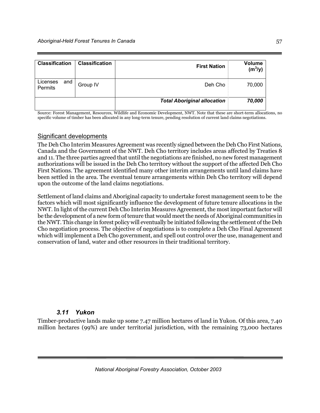| <b>Classification</b>             | <b>Classification</b> | <b>First Nation</b>                | Volume<br>$(m^3/y)$ |
|-----------------------------------|-----------------------|------------------------------------|---------------------|
| Licenses<br>and<br><b>Permits</b> | Group IV              | Deh Cho                            | 70,000              |
|                                   |                       | <b>Total Aboriginal allocation</b> | 70,000              |

Source: Forest Management, Resources, Wildlife and Economic Development, NWT. Note that these are short-term allocations, no specific volume of timber has been allocated in any long-term tenure, pending resolution of current land claims negotiations.

#### Significant developments

The Deh Cho Interim Measures Agreement was recently signed between the Deh Cho First Nations, Canada and the Government of the NWT. Deh Cho territory includes areas affected by Treaties 8 and 11. The three parties agreed that until the negotiations are finished, no new forest management authorizations will be issued in the Deh Cho territory without the support of the affected Deh Cho First Nations. The agreement identified many other interim arrangements until land claims have been settled in the area. The eventual tenure arrangements within Deh Cho territory will depend upon the outcome of the land claims negotiations.

Settlement of land claims and Aboriginal capacity to undertake forest management seem to be the factors which will most significantly influence the development of future tenure allocations in the NWT. In light of the current Deh Cho Interim Measures Agreement, the most important factor will be the development of a new form of tenure that would meet the needs of Aboriginal communities in the NWT. This change in forest policy will eventually be initiated following the settlement of the Deh Cho negotiation process. The objective of negotiations is to complete a Deh Cho Final Agreement which will implement a Deh Cho government, and spell out control over the use, management and conservation of land, water and other resources in their traditional territory.

## *3.11 Yukon*

Timber-productive lands make up some 7.47 million hectares of land in Yukon. Of this area, 7.40 million hectares (99%) are under territorial jurisdiction, with the remaining 73,000 hectares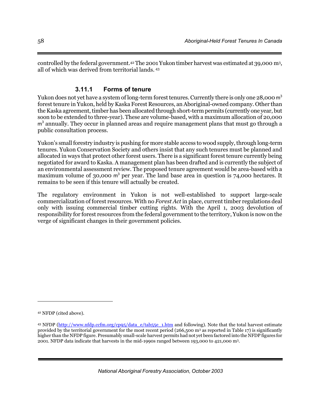controlled by the federal government.42 The 2001 Yukon timber harvest was estimated at 39,000 m3, all of which was derived from territorial lands. 43

# **3.11.1 Forms of tenure**

Yukon does not yet have a system of long-term forest tenures. Currently there is only one 28,000 m<sup>3</sup> forest tenure in Yukon, held by Kaska Forest Resources, an Aboriginal-owned company. Other than the Kaska agreement, timber has been allocated through short-term permits (currently one year, but soon to be extended to three-year). These are volume-based, with a maximum allocation of 20,000 m<sup>3</sup> annually. They occur in planned areas and require management plans that must go through a public consultation process.

Yukon's small forestry industry is pushing for more stable access to wood supply, through long-term tenures. Yukon Conservation Society and others insist that any such tenures must be planned and allocated in ways that protect other forest users. There is a significant forest tenure currently being negotiated for award to Kaska. A management plan has been drafted and is currently the subject of an environmental assessment review. The proposed tenure agreement would be area-based with a maximum volume of  $30,000$  m<sup>3</sup> per year. The land base area in question is  $74,000$  hectares. It remains to be seen if this tenure will actually be created.

The regulatory environment in Yukon is not well-established to support large-scale commercialization of forest resources. With no *Forest Act* in place, current timber regulations deal only with issuing commercial timber cutting rights. With the April 1, 2003 devolution of responsibility for forest resources from the federal government to the territory, Yukon is now on the verge of significant changes in their government policies.

 $\overline{a}$ 

*National Aboriginal Forestry Association, October 2003*

<sup>42</sup> NFDP (cited above).

<sup>43</sup> NFDP (http://www.nfdp.ccfm.org/cp95/data\_e/tab55e\_1.htm and following). Note that the total harvest estimate provided by the territorial government for the most recent period (266,500 m<sup>3</sup> as reported in Table 17) is significantly higher than the NFDP figure. Presumably small-scale harvest permits had not yet been factored into the NFDP figures for 2001. NFDP data indicate that harvests in the mid-1990s ranged between 193,000 to 421,000 m3.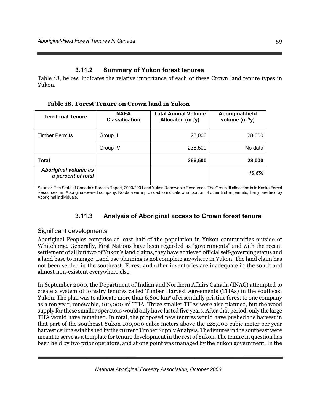# **3.11.2 Summary of Yukon forest tenures**

Table 18, below, indicates the relative importance of each of these Crown land tenure types in Yukon.

**Table 18. Forest Tenure on Crown land in Yukon** 

| <b>Territorial Tenure</b>                  | <b>NAFA</b><br><b>Classification</b> | <b>Total Annual Volume</b><br>Allocated $(m^3/y)$ | Aboriginal-held<br>volume $(m^3/y)$ |
|--------------------------------------------|--------------------------------------|---------------------------------------------------|-------------------------------------|
| <b>Timber Permits</b>                      | Group III                            | 28,000                                            | 28,000                              |
|                                            | Group IV                             | 238,500                                           | No data                             |
| <b>Total</b>                               |                                      | 266,500                                           | 28,000                              |
| Aboriginal volume as<br>a percent of total |                                      |                                                   | 10.5%                               |

Source: The State of Canada's Forests Report, 2000/2001 and Yukon Renewable Resources. The Group III allocation is to Kaska Forest Resources, an Aboriginal-owned company. No data were provided to indicate what portion of other timber permits, if any, are held by Aboriginal individuals.

# **3.11.3 Analysis of Aboriginal access to Crown forest tenure**

## Significant developments

Aboriginal Peoples comprise at least half of the population in Yukon communities outside of Whitehorse. Generally, First Nations have been regarded as "governments" and with the recent settlement of all but two of Yukon's land claims, they have achieved official self-governing status and a land base to manage. Land use planning is not complete anywhere in Yukon. The land claim has not been settled in the southeast. Forest and other inventories are inadequate in the south and almost non-existent everywhere else.

In September 2000, the Department of Indian and Northern Affairs Canada (INAC) attempted to create a system of forestry tenures called Timber Harvest Agreements (THAs) in the southeast Yukon. The plan was to allocate more than 6,600 km<sup>2</sup> of essentially pristine forest to one company as a ten year, renewable, 100,000 m<sup>3</sup> THA. Three smaller THAs were also planned, but the wood supply for these smaller operators would only have lasted five years. After that period, only the large THA would have remained. In total, the proposed new tenures would have pushed the harvest in that part of the southeast Yukon 100,000 cubic meters above the 128,000 cubic meter per year harvest ceiling established by the current Timber Supply Analysis. The tenures in the southeast were meant to serve as a template for tenure development in the rest of Yukon. The tenure in question has been held by two prior operators, and at one point was managed by the Yukon government. In the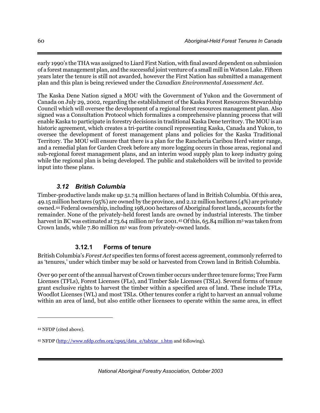early 1990's the THA was assigned to Liard First Nation, with final award dependent on submission of a forest management plan, and the successful joint venture of a small mill in Watson Lake. Fifteen years later the tenure is still not awarded, however the First Nation has submitted a management plan and this plan is being reviewed under the *Canadian Environmental Assessment Act*.

The Kaska Dene Nation signed a MOU with the Government of Yukon and the Government of Canada on July 29, 2002, regarding the establishment of the Kaska Forest Resources Stewardship Council which will oversee the development of a regional forest resources management plan. Also signed was a Consultation Protocol which formalizes a comprehensive planning process that will enable Kaska to participate in forestry decisions in traditional Kaska Dene territory. The MOU is an historic agreement, which creates a tri-partite council representing Kaska, Canada and Yukon, to oversee the development of forest management plans and policies for the Kaska Traditional Territory. The MOU will ensure that there is a plan for the Rancheria Caribou Herd winter range, and a remedial plan for Garden Creek before any more logging occurs in those areas, regional and sub-regional forest management plans, and an interim wood supply plan to keep industry going while the regional plan is being developed. The public and stakeholders will be invited to provide input into these plans.

# *3.12 British Columbia*

Timber-productive lands make up 51.74 million hectares of land in British Columbia. Of this area, 49.15 million hectares (95%) are owned by the province, and 2.12 million hectares (4%) are privately owned.44 Federal ownership, including 198,000 hectares of Aboriginal forest lands, accounts for the remainder. None of the privately-held forest lands are owned by industrial interests. The timber harvest in BC was estimated at 73.64 million m<sup>3</sup> for 2001.<sup>45</sup> Of this, 65.84 million m<sup>3</sup> was taken from Crown lands, while 7.80 million m3 was from privately-owned lands.

# **3.12.1 Forms of tenure**

British Columbia's *Forest Act* specifies ten forms of forest access agreement, commonly referred to as 'tenures,' under which timber may be sold or harvested from Crown land in British Columbia.

Over 90 per cent of the annual harvest of Crown timber occurs under three tenure forms; Tree Farm Licenses (TFLs), Forest Licenses (FLs), and Timber Sale Licenses (TSLs). Several forms of tenure grant exclusive rights to harvest the timber within a specified area of land. These include TFLs, Woodlot Licenses (WL) and most TSLs. Other tenures confer a right to harvest an annual volume within an area of land, but also entitle other licensees to operate within the same area, in effect

 $\overline{a}$ 

<sup>44</sup> NFDP (cited above).

<sup>45</sup> NFDP (http://www.nfdp.ccfm.org/cp95/data\_e/tab55e\_1.htm and following).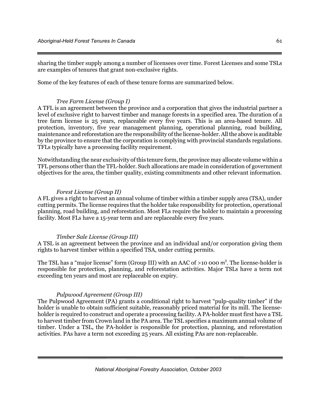sharing the timber supply among a number of licensees over time. Forest Licenses and some TSLs are examples of tenures that grant non-exclusive rights.

Some of the key features of each of these tenure forms are summarized below.

#### *Tree Farm License (Group I)*

A TFL is an agreement between the province and a corporation that gives the industrial partner a level of exclusive right to harvest timber and manage forests in a specified area. The duration of a tree farm license is 25 years, replaceable every five years. This is an area-based tenure. All protection, inventory, five year management planning, operational planning, road building, maintenance and reforestation are the responsibility of the license-holder. All the above is auditable by the province to ensure that the corporation is complying with provincial standards regulations. TFLs typically have a processing facility requirement.

Notwithstanding the near exclusivity of this tenure form, the province may allocate volume within a TFL persons other than the TFL-holder. Such allocations are made in consideration of government objectives for the area, the timber quality, existing commitments and other relevant information.

#### *Forest License (Group II)*

A FL gives a right to harvest an annual volume of timber within a timber supply area (TSA), under cutting permits. The license requires that the holder take responsibility for protection, operational planning, road building, and reforestation. Most FLs require the holder to maintain a processing facility. Most FLs have a 15-year term and are replaceable every five years.

#### *Timber Sale License (Group III)*

A TSL is an agreement between the province and an individual and/or corporation giving them rights to harvest timber within a specified TSA, under cutting permits.

The TSL has a "major license" form (Group III) with an AAC of  $>$ 10 000 m<sup>3</sup>. The license-holder is responsible for protection, planning, and reforestation activities. Major TSLs have a term not exceeding ten years and most are replaceable on expiry.

#### *Pulpwood Agreement (Group III)*

The Pulpwood Agreement (PA) grants a conditional right to harvest "pulp-quality timber" if the holder is unable to obtain sufficient suitable, reasonably priced material for its mill. The licenseholder is required to construct and operate a processing facility. A PA-holder must first have a TSL to harvest timber from Crown land in the PA area. The TSL specifies a maximum annual volume of timber. Under a TSL, the PA-holder is responsible for protection, planning, and reforestation activities. PAs have a term not exceeding 25 years. All existing PAs are non-replaceable.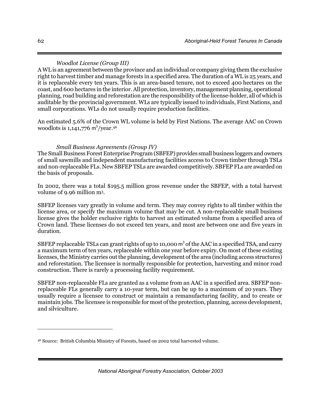### *Woodlot License (Group III)*

A WL is an agreement between the province and an individual or company giving them the exclusive right to harvest timber and manage forests in a specified area. The duration of a WL is 25 years, and it is replaceable every ten years. This is an area-based tenure, not to exceed 400 hectares on the coast, and 600 hectares in the interior. All protection, inventory, management planning, operational planning, road building and reforestation are the responsibility of the license-holder, all of which is auditable by the provincial government. WLs are typically issued to individuals, First Nations, and small corporations. WLs do not usually require production facilities.

An estimated 5.6% of the Crown WL volume is held by First Nations. The average AAC on Crown woodlots is  $1,141,776$  m<sup>3</sup>/year.<sup>46</sup>

#### *Small Business Agreements (Group IV)*

The Small Business Forest Enterprise Program (SBFEP) provides small business loggers and owners of small sawmills and independent manufacturing facilities access to Crown timber through TSLs and non-replaceable FLs. New SBFEP TSLs are awarded competitively. SBFEP FLs are awarded on the basis of proposals.

In 2002, there was a total \$195.5 million gross revenue under the SBFEP, with a total harvest volume of 9.96 million m3.

SBFEP licenses vary greatly in volume and term. They may convey rights to all timber within the license area, or specify the maximum volume that may be cut. A non-replaceable small business license gives the holder exclusive rights to harvest an estimated volume from a specified area of Crown land. These licenses do not exceed ten years, and most are between one and five years in duration.

SBFEP replaceable TSLs can grant rights of up to 10,000 m<sup>3</sup> of the AAC in a specified TSA, and carry a maximum term of ten years, replaceable within one year before expiry. On most of these existing licenses, the Ministry carries out the planning, development of the area (including access structures) and reforestation. The licensee is normally responsible for protection, harvesting and minor road construction. There is rarely a processing facility requirement.

SBFEP non-replaceable FLs are granted as a volume from an AAC in a specified area. SBFEP nonreplaceable FLs generally carry a 10-year term, but can be up to a maximum of 20 years. They usually require a licensee to construct or maintain a remanufacturing facility, and to create or maintain jobs. The licensee is responsible for most of the protection, planning, access development, and silviculture.

-

<sup>46</sup> Source: British Columbia Ministry of Forests, based on 2002 total harvested volume.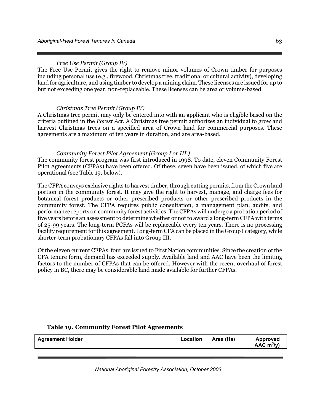#### *Free Use Permit (Group IV)*

The Free Use Permit gives the right to remove minor volumes of Crown timber for purposes including personal use (e.g., firewood, Christmas tree, traditional or cultural activity), developing land for agriculture, and using timber to develop a mining claim. These licenses are issued for up to but not exceeding one year, non-replaceable. These licenses can be area or volume-based.

#### *Christmas Tree Permit (Group IV)*

A Christmas tree permit may only be entered into with an applicant who is eligible based on the criteria outlined in the *Forest Act*. A Christmas tree permit authorizes an individual to grow and harvest Christmas trees on a specified area of Crown land for commercial purposes. These agreements are a maximum of ten years in duration, and are area-based.

#### *Community Forest Pilot Agreement (Group I or III )*

The community forest program was first introduced in 1998. To date, eleven Community Forest Pilot Agreements (CFPAs) have been offered. Of these, seven have been issued, of which five are operational (see Table 19, below).

The CFPA conveys exclusive rights to harvest timber, through cutting permits, from the Crown land portion in the community forest. It may give the right to harvest, manage, and charge fees for botanical forest products or other prescribed products or other prescribed products in the community forest. The CFPA requires public consultation, a management plan, audits, and performance reports on community forest activities. The CFPAs will undergo a probation period of five years before an assessment to determine whether or not to award a long-term CFPA with terms of 25-99 years. The long-term PCFAs will be replaceable every ten years. There is no processing facility requirement for this agreement. Long-term CFA can be placed in the Group I category, while shorter-term probationary CFPAs fall into Group III.

Of the eleven current CFPAs, four are issued to First Nation communities. Since the creation of the CFA tenure form, demand has exceeded supply. Available land and AAC have been the limiting factors to the number of CFPAs that can be offered. However with the recent overhaul of forest policy in BC, there may be considerable land made available for further CFPAs.

# **Agreement Holder Location Area (Ha) Approved AAC m<sup>3</sup> /y)**

#### **Table 19. Community Forest Pilot Agreements**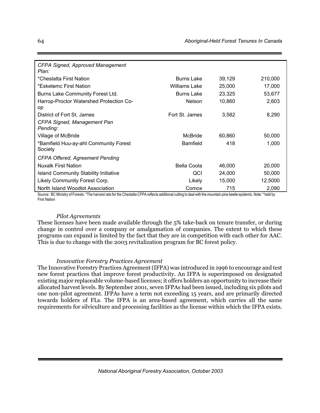| <b>CFPA Signed, Approved Management</b><br>Plan: |                   |        |         |
|--------------------------------------------------|-------------------|--------|---------|
| *Cheslatta First Nation                          | Burns Lake        | 39,129 | 210,000 |
| *Esketemc First Nation                           | Williams Lake     | 25,000 | 17,000  |
| Burns Lake Community Forest Ltd.                 | <b>Burns Lake</b> | 23,325 | 53,677  |
| Harrop-Proctor Watershed Protection Co-<br>op    | <b>Nelson</b>     | 10,860 | 2,603   |
| District of Fort St. James                       | Fort St. James    | 3,582  | 8,290   |
| CFPA Signed, Management Pan<br>Pending:          |                   |        |         |
| Village of McBride                               | McBride           | 60,860 | 50,000  |
| *Bamfield Huu-ay-aht Community Forest<br>Society | <b>Bamfield</b>   | 418    | 1,000   |
| <b>CFPA Offered, Agreement Pending</b>           |                   |        |         |
| <b>Nuxalk First Nation</b>                       | Bella Coola       | 46,000 | 20,000  |
| Island Community Stability Initiative            | QCI               | 24,000 | 50,000  |
| Likely Community Forest Corp.                    | Likely            | 15,000 | 12,5000 |
| North Island Woodlot Association                 | Comox             | 715    | 2,090   |

Source: BC Ministry of Forests. \*The harvest rate for the Cheslatta CFPA reflects additional cutting to deal with the mountain pine beetle epidemic. Note: \* held by First Nation

#### *Pilot Agreements*

These licenses have been made available through the 5% take-back on tenure transfer, or during change in control over a company or amalgamation of companies. The extent to which these programs can expand is limited by the fact that they are in competition with each other for AAC. This is due to change with the 2003 revitalization program for BC forest policy.

#### *Innovative Forestry Practices Agreement*

The Innovative Forestry Practices Agreement (IFPA) was introduced in 1996 to encourage and test new forest practices that improve forest productivity. An IFPA is superimposed on designated existing major replaceable volume-based licenses; it offers holders an opportunity to increase their allocated harvest levels. By September 2001, seven IFPAs had been issued, including six pilots and one non-pilot agreement. IFPAs have a term not exceeding 15 years, and are primarily directed towards holders of FLs. The IFPA is an area-based agreement, which carries all the same requirements for silviculture and processing facilities as the license within which the IFPA exists.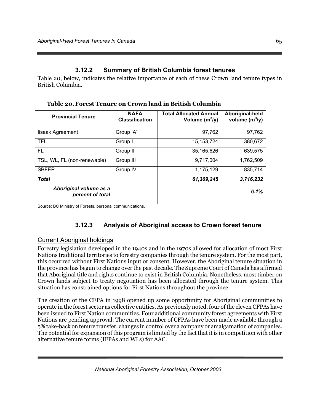# **3.12.2 Summary of British Columbia forest tenures**

Table 20, below, indicates the relative importance of each of these Crown land tenure types in British Columbia.

| <b>Provincial Tenure</b>                   | <b>NAFA</b><br><b>Classification</b> | <b>Total Allocated Annual</b><br>Volume $(m^3/y)$ | Aboriginal-held<br>volume $(m^3/y)$ |
|--------------------------------------------|--------------------------------------|---------------------------------------------------|-------------------------------------|
| lisaak Agreement                           | Group 'A'                            | 97,762                                            | 97,762                              |
| <b>TFL</b>                                 | Group I                              | 15, 153, 724                                      | 380,672                             |
| FL.                                        | Group II                             | 35,165,626                                        | 639,575                             |
| TSL, WL, FL (non-renewable)                | Group III                            | 9,717,004                                         | 1,762,509                           |
| <b>SBFEP</b>                               | Group IV                             | 1,175,129                                         | 835,714                             |
| <b>Total</b>                               |                                      | 61,309,245                                        | 3,716,232                           |
| Aboriginal volume as a<br>percent of total |                                      |                                                   | 6.1%                                |

**Table 20.Forest Tenure on Crown land in British Columbia** 

Source: BC Ministry of Forests, personal communications.

# **3.12.3 Analysis of Aboriginal access to Crown forest tenure**

# Current Aboriginal holdings

Forestry legislation developed in the 1940s and in the 1970s allowed for allocation of most First Nations traditional territories to forestry companies through the tenure system. For the most part, this occurred without First Nations input or consent. However, the Aboriginal tenure situation in the province has begun to change over the past decade. The Supreme Court of Canada has affirmed that Aboriginal title and rights continue to exist in British Columbia. Nonetheless, most timber on Crown lands subject to treaty negotiation has been allocated through the tenure system. This situation has constrained options for First Nations throughout the province.

The creation of the CFPA in 1998 opened up some opportunity for Aboriginal communities to operate in the forest sector as collective entities. As previously noted, four of the eleven CFPAs have been issued to First Nation communities. Four additional community forest agreements with First Nations are pending approval. The current number of CFPAs have been made available through a 5% take-back on tenure transfer, changes in control over a company or amalgamation of companies. The potential for expansion of this program is limited by the fact that it is in competition with other alternative tenure forms (IFPAs and WLs) for AAC.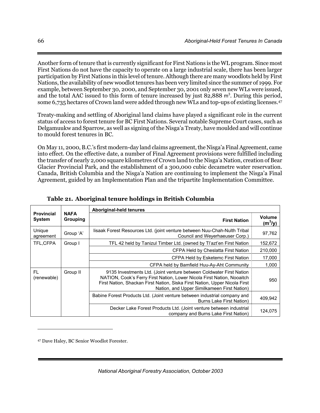Another form of tenure that is currently significant for First Nations is the WL program. Since most First Nations do not have the capacity to operate on a large industrial scale, there has been larger participation by First Nations in this level of tenure. Although there are many woodlots held by First Nations, the availability of new woodlot tenures has been very limited since the summer of 1999. For example, between September 30, 2000, and September 30, 2001 only seven new WLs were issued, and the total AAC issued to this form of tenure increased by just 82,888 m<sup>3</sup>. During this period, some 6,735 hectares of Crown land were added through new WLs and top-ups of existing licenses.47

Treaty-making and settling of Aboriginal land claims have played a significant role in the current status of access to forest tenure for BC First Nations. Several notable Supreme Court cases, such as Delgamuukw and Sparrow, as well as signing of the Nisga'a Treaty, have moulded and will continue to mould forest tenures in BC.

On May 11, 2000, B.C.'s first modern-day land claims agreement, the Nisga'a Final Agreement, came into effect. On the effective date, a number of Final Agreement provisions were fulfilled including the transfer of nearly 2,000 square kilometres of Crown land to the Nisga'a Nation, creation of Bear Glacier Provincial Park, and the establishment of a 300,000 cubic decametre water reservation. Canada, British Columbia and the Nisga'a Nation are continuing to implement the Nisga'a Final Agreement, guided by an Implementation Plan and the tripartite Implementation Committee.

|                                      |                         | Aboriginal-held tenures                                                                                                                                                                                                                                                    |                            |  |  |
|--------------------------------------|-------------------------|----------------------------------------------------------------------------------------------------------------------------------------------------------------------------------------------------------------------------------------------------------------------------|----------------------------|--|--|
| <b>Provincial</b><br>System          | <b>NAFA</b><br>Grouping | <b>First Nation</b>                                                                                                                                                                                                                                                        | <b>Volume</b><br>$(m^3/y)$ |  |  |
| Unique<br>agreement                  | Group 'A'               | lisaak Forest Resources Ltd. (joint venture between Nuu-Chah-Nulth Tribal<br>Council and Weyerhaeuser Corp.)                                                                                                                                                               | 97,762                     |  |  |
| TFL,CFPA                             | Group I                 | TFL 42 held by Tanizul Timber Ltd. (owned by Ti'azt'en First Nation                                                                                                                                                                                                        | 152,672                    |  |  |
|                                      |                         | CFPA Held by Cheslatta First Nation                                                                                                                                                                                                                                        | 210,000                    |  |  |
|                                      |                         | CFPA Held by Esketemc First Nation                                                                                                                                                                                                                                         | 17,000                     |  |  |
|                                      |                         | CFPA held by Bamfield Huu-Ay-Aht Community                                                                                                                                                                                                                                 | 1,000                      |  |  |
| <b>FL</b><br>Group II<br>(renewable) |                         | 9135 Investments Ltd. (Joint venture between Coldwater First Nation<br>NATION, Cook's Ferry First Nation, Lower Nicola First Nation, Nooaitch<br>First Nation, Shackan First Nation, Siska First Nation, Upper Nicola First<br>Nation, and Upper Similkameen First Nation) |                            |  |  |
|                                      |                         | Babine Forest Products Ltd. (Joint venture between industrial company and<br><b>Burns Lake First Nation)</b>                                                                                                                                                               | 409,942                    |  |  |
|                                      |                         | Decker Lake Forest Products Ltd. (Joint venture between industrial<br>company and Burns Lake First Nation)                                                                                                                                                                 | 124,075                    |  |  |

| Table 21. Aboriginal tenure holdings in British Columbia |  |  |
|----------------------------------------------------------|--|--|
|----------------------------------------------------------|--|--|

47 Dave Haley, BC Senior Woodlot Forester.

 $\overline{a}$ 

*National Aboriginal Forestry Association, October 2003*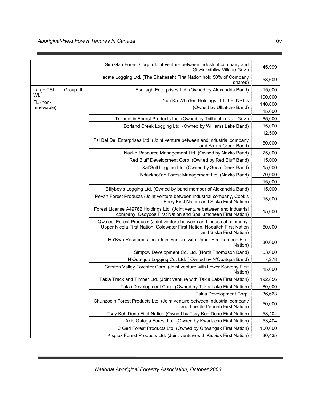|            |                                                                                                                                                                               | Sim Gan Forest Corp. (Joint venture between industrial company and<br>Gitwinksihlkw Village Gov.)                                         | 45,999  |  |  |  |  |
|------------|-------------------------------------------------------------------------------------------------------------------------------------------------------------------------------|-------------------------------------------------------------------------------------------------------------------------------------------|---------|--|--|--|--|
|            |                                                                                                                                                                               | Hecate Logging Ltd. (The Ehattesaht First Nation hold 50% of Company<br>shares)                                                           | 58,609  |  |  |  |  |
| Large TSL  | Group III                                                                                                                                                                     | Esdilagh Enterprises Ltd. (Owned by Alexandria Band)                                                                                      | 15,000  |  |  |  |  |
| WL,        |                                                                                                                                                                               |                                                                                                                                           | 100,000 |  |  |  |  |
| FL (non-   |                                                                                                                                                                               | Yun Ka Whu'ten Holdings Ltd. 3 FLNRL's                                                                                                    | 140,000 |  |  |  |  |
| renewable) |                                                                                                                                                                               | (Owned by Ulkatcho Band)                                                                                                                  | 15,000  |  |  |  |  |
|            |                                                                                                                                                                               | Tsilhqot'in Forest Products Inc. (Owned by Tsilhqot'in Nat. Gov.)                                                                         | 65,000  |  |  |  |  |
|            |                                                                                                                                                                               | Borland Creek Logging Ltd. (Owned by Williams Lake Band)                                                                                  |         |  |  |  |  |
|            |                                                                                                                                                                               |                                                                                                                                           | 12,500  |  |  |  |  |
|            |                                                                                                                                                                               | Tsi Del Del Enterprises Ltd. (Joint venture between and industrial company<br>and Alexis Creek Band)                                      | 60,000  |  |  |  |  |
|            |                                                                                                                                                                               | Nazko Resource Management Ltd. (Owned by Nazko Band)                                                                                      | 25,000  |  |  |  |  |
|            |                                                                                                                                                                               | Red Bluff Development Corp. (Owned by Red Bluff Band)                                                                                     | 15,000  |  |  |  |  |
|            |                                                                                                                                                                               | Xat'Sull Logging Ltd. (Owned by Soda Creek Band)                                                                                          | 15,000  |  |  |  |  |
|            |                                                                                                                                                                               | Ndazkhot'en Forest Management Ltd. (Nazko Band)                                                                                           | 70,000  |  |  |  |  |
|            |                                                                                                                                                                               |                                                                                                                                           |         |  |  |  |  |
|            |                                                                                                                                                                               | Billyboy's Logging Ltd. (Owned by band member of Alexandria Band)                                                                         | 15,000  |  |  |  |  |
|            |                                                                                                                                                                               | Peyah Forest Products (Joint venture between industrial company, Cook's<br>Ferry First Nation and Siska First Nation)                     |         |  |  |  |  |
|            |                                                                                                                                                                               | Forest License A49782 Holdings Ltd. (Joint venture between and industrial<br>company, Osoyoos First Nation and Spallumcheen First Nation) | 15,000  |  |  |  |  |
|            | Qwa'eet Forest Products (Joint venture between and industrial company,<br>Upper Nicola First Nation, Coldwater First Nation, Nooaitch First Nation<br>and Siska First Nation) |                                                                                                                                           |         |  |  |  |  |
|            |                                                                                                                                                                               | Hu'Kwa Resources Inc. (Joint venture with Upper Similkameen First<br>Nation)                                                              |         |  |  |  |  |
|            |                                                                                                                                                                               | Simpcw Development Co. Ltd. (North Thompson Band)                                                                                         | 53,000  |  |  |  |  |
|            |                                                                                                                                                                               | N'Quatqua Logging Co. Ltd. (Owned by N'Quatqua Band)                                                                                      | 7,278   |  |  |  |  |
|            |                                                                                                                                                                               | Creston Valley Forester Corp. (Joint venture with Lower Kooteny First<br>Nation)                                                          | 15,000  |  |  |  |  |
|            |                                                                                                                                                                               | Takla Track and Timber Ltd. (Joint venture with Takla Lake First Nation)                                                                  | 192,856 |  |  |  |  |
|            |                                                                                                                                                                               | Takla Development Corp. (Owned by Takla Lake First Nation)                                                                                | 80,000  |  |  |  |  |
|            |                                                                                                                                                                               | Takla Development Corp.                                                                                                                   | 36,663  |  |  |  |  |
|            | Chunzoolh Forest Products Ltd. (Joint venture between industrial company<br>and Lheidli-T'enneh First Nation)                                                                 |                                                                                                                                           |         |  |  |  |  |
|            | Tsay Keh Dene First Nation (Owned by Tsay Keh Dene First Nation)                                                                                                              |                                                                                                                                           | 53,404  |  |  |  |  |
|            |                                                                                                                                                                               | Akie Gataga Forest Ltd. (Owned by Kwadacha First Nation)                                                                                  | 53,404  |  |  |  |  |
|            |                                                                                                                                                                               | C Ged Forest Products Ltd. (Owned by Gitwangak First Nation)                                                                              | 100,000 |  |  |  |  |
|            |                                                                                                                                                                               | Kispiox Forest Products Ltd. (Joint venture with Kispiox First Nation)                                                                    | 30,435  |  |  |  |  |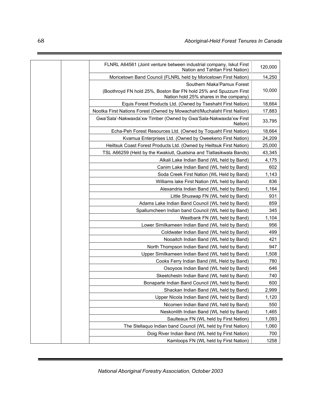| FLNRL A64561 (Joint venture between industrial company, Iskut First<br>Nation and Tahltan First Nation)    | 120,000 |
|------------------------------------------------------------------------------------------------------------|---------|
| Moricetown Band Council (FLNRL held by Moricetown First Nation)                                            | 14,250  |
| Southern Nlaka'Pamux Forest                                                                                |         |
| (Boothroyd FN hold 25%, Boston Bar FN hold 25% and Spuzzum First<br>Nation hold 25% shares in the company) | 10,000  |
| Equis Forest Products Ltd. (Owned by Tseshaht First Nation)                                                | 18,664  |
| Nootka First Nations Forest (Owned by Mowachaht/Muchalaht First Nation)                                    | 17,883  |
| Gwa'Sala'-Nakwaxda'xw Timber (Owned by Gwa'Sala-Nakwaxda'xw First<br>Nation)                               | 33,795  |
| Echa-Peh Forest Resources Ltd. (Owned by Toquaht First Nation)                                             | 18,664  |
| Kvamua Enterprises Ltd. (Owned by Oweekeno First Nation)                                                   | 24,209  |
| Heiltsuk Coast Forest Products Ltd. (Owned by Heiltsuk First Nation)                                       | 25,000  |
| TSL A66259 (Held by the Kwakiutl, Quatsina and Tlatlasikwala Bands)                                        | 43,345  |
| Alkali Lake Indian Band (WL held by Band)                                                                  | 4,175   |
| Canim Lake Indian Band (WL held by Band)                                                                   | 602     |
| Soda Creek First Nation (WL Held by Band)                                                                  | 1,143   |
| Williams lake First Nation (WL held by Band)                                                               | 836     |
| Alexandria Indian Band (WL held by Band)                                                                   | 1,164   |
| Little Shuswap FN (WL held by Band)                                                                        | 931     |
| Adams Lake Indian Band Council (WL held by Band)                                                           | 859     |
| Spallumcheen Indian band Council (WL held by Band)                                                         | 345     |
| Westbank FN (WL held by Band)                                                                              | 1,104   |
| Lower Similkameen Indian Band (WL held by Band)                                                            | 956     |
| Coldwater Indian Band (WL held by Band)                                                                    | 499     |
| Nooaitch Indian Band (WL held by Band)                                                                     | 421     |
| North Thompson Indian Band (WL held by Band)                                                               | 947     |
| Upper Similkameen Indian Band (WL held by Band)                                                            | 1,508   |
| Cooks Ferry Indian Band (WL Held by Band)                                                                  | 780     |
| Osoyoos Indian Band (WL held by Band)                                                                      | 646     |
| Skeetchestn Indian Band (WL held by Band)                                                                  | 740     |
| Bonaparte Indian Band Council (WL held by Band)                                                            | 600     |
| Shackan Indian Band (WL held by Band)                                                                      | 2,999   |
| Upper Nicola Indian Band (WL held by Band)                                                                 | 1,120   |
| Nicomen Indian Band (WL held by Band)                                                                      | 550     |
| Neskonlith Indian Band (WL held by Band)                                                                   | 1,465   |
| Saulteaux FN (WL held by First Nation)                                                                     | 1,093   |
| The Stellaquo Indian band Council (WL held by First Nation)                                                | 1,060   |
| Doig River Indian Band (WL held by First Nation)                                                           | 700     |
| Kamloops FN (WL held by First Nation)                                                                      | 1258    |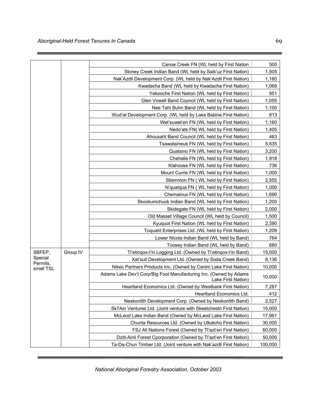|                       |          | Canoe Creek FN (WL held by First Nation                                                 | 500     |
|-----------------------|----------|-----------------------------------------------------------------------------------------|---------|
|                       |          | Stoney Creek Indian Band (WL held by Saik'uz First Nation)                              | 1,505   |
|                       |          | Nak'Azdli Development Corp. (WL held by Nak'Azdli First Nation)                         | 1,160   |
|                       |          | Kwadacha Band (WL held by Kwadacha First Nation)                                        | 1,069   |
|                       |          | Yekooche First Nation (WL held by First Nation)                                         | 951     |
|                       |          | Glen Vowell Band Council (WL held by First Nation)                                      | 1,055   |
|                       |          | Nee Tahi Buhn Band (WL held by First Nation)                                            | 1,100   |
|                       |          | Wud'at Development Corp. (WL held by Lake Babine First Nation)                          | 813     |
|                       |          | Wet'suwet'en FN (WL held by First Nation)                                               | 1,160   |
|                       |          | Nedo'ats FN( WL held by First Nation)                                                   | 1,405   |
|                       |          | Ahousaht Band Council (WL held by First Nation)                                         | 463     |
|                       |          | Tsawataineuk FN (WL held by First Nation)                                               | 5,635   |
|                       |          | Quatsino FN (WL held by First Nation)                                                   | 3,200   |
|                       |          | Chehalis FN (WL held by First Nation)                                                   | 1,918   |
|                       |          | Klahoose FN (WL held by First Nation)                                                   | 736     |
|                       |          | Mount Currie FN (WL held by First Nation)                                               | 1,000   |
|                       |          | Sliammon FN ( WL held by First Nation)                                                  | 2,555   |
|                       |          | N'quatqua FN ( WL held by First Nation)                                                 | 1,000   |
|                       |          | Chemainus FN (WL held by First Nation)                                                  | 1,690   |
|                       |          | Skookumchuck Indian Band (WL held by First Nation)                                      | 1,200   |
|                       |          | Skidegate FN (WL held by First Nation)                                                  | 2,000   |
|                       |          | Old Masset Village Council (WL held by Council)                                         | 1,500   |
|                       |          | Kyuquot First Nation (WL held by First Nation)                                          | 2,390   |
|                       |          | Toquaht Enterprises Ltd. (WL held by First Nation)                                      | 1,209   |
|                       |          | Lower Nicola Indian Band (WL held by Band)                                              | 764     |
|                       |          | Toosey Indian Band (WL held by Band)                                                    | 680     |
| SBFEP,                | Group IV | Tl'etinqox-t'in Logging Ltd. (Owned by Tl'etinqox-t'in Band)                            | 15,000  |
| Special               |          | Xat'sull Development Ltd. (Owned by Soda Creek Band)                                    | 8,136   |
| Permits,<br>small TSL |          | Nikec Partners Products Inc. (Owned by Canim Lake First Nation)                         | 10,000  |
|                       |          | Adams Lake Dev't Corp/Big Foot Manufacturing Inc. (Owned by Adams<br>Lake First Nation) | 10,000  |
|                       |          | Heartland Economics Ltd. (Owned by Westbank First Nation)                               | 7,287   |
|                       |          | Heartland Economics Ltd.                                                                | 412     |
|                       |          | Neskonlith Development Corp. (Owned by Neskonlith Band)                                 | 2,527   |
|                       |          | Sk7Ain Ventures Ltd. (Joint venture with Skeetchestn First Nation)                      | 15,000  |
|                       |          | McLeod Lake Indian Band (Owned by McLeod Lake First Nation)                             | 17,961  |
|                       |          | Chunta Resources Ltd. (Owned by Ulkatcho First Nation)                                  | 30,000  |
|                       |          | FSJ All Nations Forest (Owned by Tl'azt'en First Nation)                                | 60,000  |
|                       |          | Dzitl-Ainli Forest Cporporation (Owned by Tl'azt'en First Nation)                       | 50,000  |
|                       |          | Ta-Da-Chun Timber Ltd. (Joint venture with Nak'azdli First Nation)                      | 100,000 |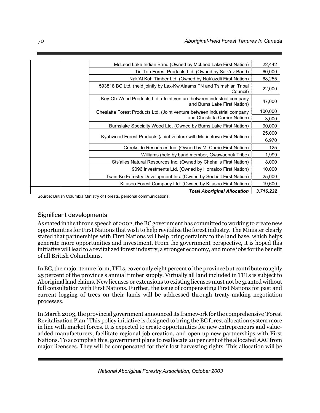| 22,442    | McLeod Lake Indian Band (Owned by McLeod Lake First Nation)                                         |  |
|-----------|-----------------------------------------------------------------------------------------------------|--|
| 60,000    | Tin Toh Forest Products Ltd. (Owned by Saik'uz Band)                                                |  |
| 68,255    | Nak'Al Koh Timber Ltd. (Owned by Nak'azdli First Nation)                                            |  |
| 22,000    | 593818 BC Ltd. (held jointly by Lax-Kw'Alaams FN and Tsimshian Tribal<br>Council)                   |  |
| 47,000    | Key-Oh-Wood Products Ltd. (Joint venture between industrial company<br>and Burns Lake First Nation) |  |
| 100,000   | Cheslatta Forest Products Ltd. (Joint venture between industrial company                            |  |
| 3,000     | and Cheslatta Carrier Nation)                                                                       |  |
| 90,000    | Burnslake Specialty Wood Ltd. (Owned by Burns Lake First Nation)                                    |  |
| 25,000    |                                                                                                     |  |
| 6,970     | Kyahwood Forest Products (Joint venture with Moricetown First Nation)                               |  |
| 125       | Creekside Resources Inc. (Owned by Mt.Currie First Nation)                                          |  |
| 1,999     | Williams (held by band member, Gwawaenuk Tribe)                                                     |  |
| 8,000     | Sts'ailes Natural Resources Inc. (Owned by Chehalis First Nation)                                   |  |
| 10,000    | 9096 Investments Ltd. (Owned by Homalco First Nation)                                               |  |
| 25,000    | Tsain-Ko Forestry Development Inc. (Owned by Sechelt First Nation)                                  |  |
| 19,600    | Kitasoo Forest Company Ltd. (Owned by Kitasoo First Nation)                                         |  |
| 3,716,232 | <b>Total Aboriginal Allocation</b>                                                                  |  |

Source: British Columbia Ministry of Forests, personal communications.

# Significant developments

As stated in the throne speech of 2002, the BC government has committed to working to create new opportunities for First Nations that wish to help revitalize the forest industry. The Minister clearly stated that partnerships with First Nations will help bring certainty to the land base, which helps generate more opportunities and investment. From the government perspective, it is hoped this initiative will lead to a revitalized forest industry, a stronger economy, and more jobs for the benefit of all British Columbians.

In BC, the major tenure form, TFLs, cover only eight percent of the province but contribute roughly 25 percent of the province's annual timber supply. Virtually all land included in TFLs is subject to Aboriginal land claims. New licenses or extensions to existing licenses must not be granted without full consultation with First Nations. Further, the issue of compensating First Nations for past and current logging of trees on their lands will be addressed through treaty-making negotiation processes.

In March 2003, the provincial government announced its framework for the comprehensive 'Forest Revitalization Plan.' This policy initiative is designed to bring the BC forest allocation system more in line with market forces. It is expected to create opportunities for new entrepreneurs and valueadded manufacturers, facilitate regional job creation, and open up new partnerships with First Nations. To accomplish this, government plans to reallocate 20 per cent of the allocated AAC from major licensees. They will be compensated for their lost harvesting rights. This allocation will be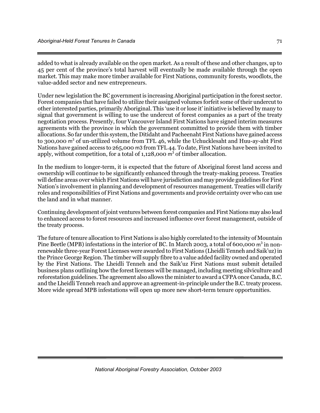added to what is already available on the open market. As a result of these and other changes, up to 45 per cent of the province's total harvest will eventually be made available through the open market. This may make more timber available for First Nations, community forests, woodlots, the value-added sector and new entrepreneurs.

Under new legislation the BC government is increasing Aboriginal participation in the forest sector. Forest companies that have failed to utilize their assigned volumes forfeit some of their undercut to other interested parties, primarily Aboriginal. This 'use it or lose it' initiative is believed by many to signal that government is willing to use the undercut of forest companies as a part of the treaty negotiation process. Presently, four Vancouver Island First Nations have signed interim measures agreements with the province in which the government committed to provide them with timber allocations. So far under this system, the Ditidaht and Pacheenaht First Nations have gained access to 300,000 m<sup>3</sup> of un-utilized volume from TFL 46, while the Uchucklesaht and Huu-ay-aht First Nations have gained access to 265,000 m3 from TFL 44. To date, First Nations have been invited to apply, without competition, for a total of  $1,128,000$  m<sup>3</sup> of timber allocation.

In the medium to longer-term, it is expected that the future of Aboriginal forest land access and ownership will continue to be significantly enhanced through the treaty-making process. Treaties will define areas over which First Nations will have jurisdiction and may provide guidelines for First Nation's involvement in planning and development of resources management. Treaties will clarify roles and responsibilities of First Nations and governments and provide certainty over who can use the land and in what manner.

Continuing development of joint ventures between forest companies and First Nations may also lead to enhanced access to forest resources and increased influence over forest management, outside of the treaty process.

The future of tenure allocation to First Nations is also highly correlated to the intensity of Mountain Pine Beetle (MPB) infestations in the interior of BC. In March 2003, a total of 600,000  $\text{m}^3$  in nonrenewable three-year Forest Licenses were awarded to First Nations (Lheidli Tenneh and Saik'uz) in the Prince George Region. The timber will supply fibre to a value added facility owned and operated by the First Nations. The Lheidli Tenneh and the Saik'uz First Nations must submit detailed business plans outlining how the forest licenses will be managed, including meeting silviculture and reforestation guidelines. The agreement also allows the minister to award a CFPA once Canada, B.C. and the Lheidli Tenneh reach and approve an agreement-in-principle under the B.C. treaty process. More wide spread MPB infestations will open up more new short-term tenure opportunities.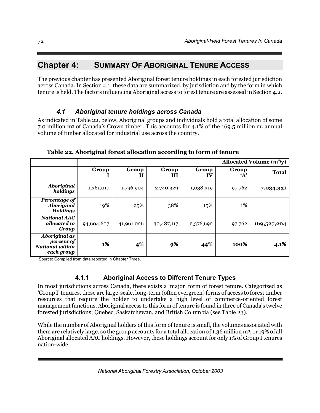# **Chapter 4: SUMMARY OF ABORIGINAL TENURE ACCESS**

The previous chapter has presented Aboriginal forest tenure holdings in each forested jurisdiction across Canada. In Section 4.1, these data are summarized, by jurisdiction and by the form in which tenure is held. The factors influencing Aboriginal access to forest tenure are assessed in Section 4.2.

# *4.1 Aboriginal tenure holdings across Canada*

As indicated in Table 22, below, Aboriginal groups and individuals hold a total allocation of some 7.0 million m3 of Canada's Crown timber. This accounts for 4.1% of the 169.5 million m3 annual volume of timber allocated for industrial use across the country.

|                                                                            | Allocated Volume $(m^3/y)$ |            |            |                     |                       |              |
|----------------------------------------------------------------------------|----------------------------|------------|------------|---------------------|-----------------------|--------------|
|                                                                            | Group                      | Group<br>Н | Group<br>H | Group<br>${\bf IV}$ | Group<br>$\mathbf{A}$ | <b>Total</b> |
| <b>Aboriginal</b><br>holdings                                              | 1,361,017                  | 1,796,904  | 2,740,329  | 1,038,319           | 97,762                | 7,034,331    |
| Percentage of<br><b>Aboriginal</b><br><b>Holdings</b>                      | 19%                        | 25%        | 38%        | 15%                 | $1\%$                 |              |
| <b>National AAC</b><br>allocated to<br>Group                               | 94,604,607                 | 41,961,026 | 30,487,117 | 2,376,692           | 97,762                | 169,527,204  |
| <b>Aboriginal as</b><br>percent of<br><b>National within</b><br>each group | 1%                         | 4%         | 9%         | 44%                 | 100%                  | 4.1%         |

**Table 22. Aboriginal forest allocation according to form of tenure** 

Source: Compiled from data reported in Chapter Three.

# **4.1.1 Aboriginal Access to Different Tenure Types**

In most jurisdictions across Canada, there exists a 'major' form of forest tenure. Categorized as 'Group I' tenures, these are large-scale, long-term (often evergreen) forms of access to forest timber resources that require the holder to undertake a high level of commerce-oriented forest management functions. Aboriginal access to this form of tenure is found in three of Canada's twelve forested jurisdictions; Quebec, Saskatchewan, and British Columbia (see Table 23).

While the number of Aboriginal holders of this form of tenure is small, the volumes associated with them are relatively large, so the group accounts for a total allocation of 1.36 million m3, or 19% of all Aboriginal allocated AAC holdings. However, these holdings account for only 1% of Group I tenures nation-wide.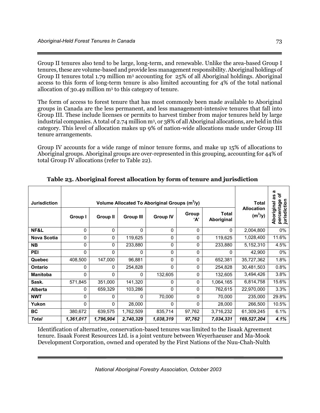Group II tenures also tend to be large, long-term, and renewable. Unlike the area-based Group I tenures, these are volume-based and provide less management responsibility. Aboriginal holdings of Group II tenures total 1.79 million m3 accounting for 25% of all Aboriginal holdings. Aboriginal access to this form of long-term tenure is also limited accounting for 4% of the total national allocation of 30.49 million m3 to this category of tenure.

The form of access to forest tenure that has most commonly been made available to Aboriginal groups in Canada are the less permanent, and less management-intensive tenures that fall into Group III. These include licenses or permits to harvest timber from major tenures held by large industrial companies. A total of 2.74 million m3, or 38% of all Aboriginal allocations, are held in this category. This level of allocation makes up 9% of nation-wide allocations made under Group III tenure arrangements.

Group IV accounts for a wide range of minor tenure forms, and make up 15% of allocations to Aboriginal groups. Aboriginal groups are over-represented in this grouping, accounting for 44% of total Group IV allocations (refer to Table 22).

| <b>Jurisdiction</b> | <b>Group I</b> | Total<br><b>Allocation</b><br>$(m^3/y)$ | ത<br>৳<br>೫<br>ω<br>jurisdiction<br>Aboriginal<br>percentag |           |              |              |             |       |
|---------------------|----------------|-----------------------------------------|-------------------------------------------------------------|-----------|--------------|--------------|-------------|-------|
| NF&L                | 0              | 0                                       | $\Omega$                                                    | 0         | 0            | $\Omega$     | 2,004,800   | 0%    |
| <b>Nova Scotia</b>  | 0              | 0                                       | 119,625                                                     | 0         | 0            | 119,625      | 1,028,400   | 11.6% |
| <b>NB</b>           | 0              | 0                                       | 233,880                                                     | 0         | 0            | 233,880      | 5,152,310   | 4.5%  |
| PEI                 | 0              | 0                                       | $\mathbf 0$                                                 | 0         | $\mathbf{0}$ | $\mathbf{0}$ | 42,900      | 0%    |
| <b>Quebec</b>       | 408,500        | 147,000                                 | 96,881                                                      | 0         | 0            | 652,381      | 35,727,362  | 1.8%  |
| Ontario             | 0              | 0                                       | 254,828                                                     | 0         | 0            | 254,828      | 30,481,503  | 0.8%  |
| <b>Manitoba</b>     | 0              | 0                                       | 0                                                           | 132,605   | 0            | 132,605      | 3,494,426   | 3.8%  |
| Sask.               | 571,845        | 351,000                                 | 141,320                                                     | 0         | 0            | 1,064,165    | 6,814,758   | 15.6% |
| Alberta             | 0              | 659,329                                 | 103,286                                                     | 0         | 0            | 762,615      | 22,970,000  | 3.3%  |
| <b>NWT</b>          | 0              | 0                                       | 0                                                           | 70,000    | 0            | 70,000       | 235,000     | 29.8% |
| Yukon               | 0              | $\Omega$                                | 28,000                                                      | $\Omega$  | 0            | 28,000       | 266,500     | 10.5% |
| <b>BC</b>           | 380,672        | 639,575                                 | 1,762,509                                                   | 835,714   | 97,762       | 3,716,232    | 61,309,245  | 6.1%  |
| <b>Total</b>        | 1,361,017      | 1,796,904                               | 2,740,329                                                   | 1,038,319 | 97,762       | 7,034,331    | 169,527,204 | 4.1%  |

**Table 23. Aboriginal forest allocation by form of tenure and jurisdiction** 

Identification of alternative, conservation-based tenures was limited to the Iisaak Agreement tenure. Iisaak Forest Resources Ltd. is a joint venture between Weyerhaeuser and Ma-Mook Development Corporation, owned and operated by the First Nations of the Nuu-Chah-Nulth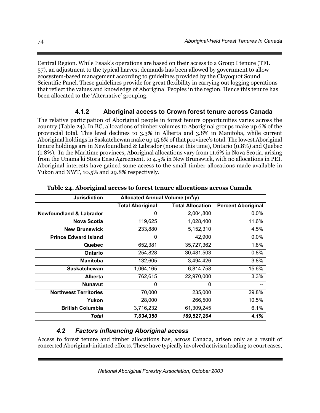Central Region. While Iisaak's operations are based on their access to a Group I tenure (TFL 57), an adjustment to the typical harvest demands has been allowed by government to allow ecosystem-based management according to guidelines provided by the Clayoquot Sound Scientific Panel. These guidelines provide for great flexibility in carrying out logging operations that reflect the values and knowledge of Aboriginal Peoples in the region. Hence this tenure has been allocated to the 'Alternative' grouping.

# **4.1.2 Aboriginal access to Crown forest tenure across Canada**

The relative participation of Aboriginal people in forest tenure opportunities varies across the country (Table 24). In BC, allocations of timber volumes to Aboriginal groups make up 6% of the provincial total. This level declines to 3.3% in Alberta and 3.8% in Manitoba, while current Aboriginal holdings in Saskatchewan make up 15.6% of that province's total. The lowest Aboriginal tenure holdings are in Newfoundland & Labrador (none at this time), Ontario (0.8%) and Quebec (1.8%). In the Maritime provinces, Aboriginal allocations vary from 11.6% in Nova Scotia, arising from the Unama'ki Stora Enso Agreement, to 4.5% in New Brunswick, with no allocations in PEI. Aboriginal interests have gained some access to the small timber allocations made available in Yukon and NWT, 10.5% and 29.8% respectively.

| <b>Jurisdiction</b>                | Allocated Annual Volume (m <sup>3</sup> /y) |                         |                           |
|------------------------------------|---------------------------------------------|-------------------------|---------------------------|
|                                    | <b>Total Aboriginal</b>                     | <b>Total Allocation</b> | <b>Percent Aboriginal</b> |
| <b>Newfoundland &amp; Labrador</b> | 0                                           | 2,004,800               | 0.0%                      |
| <b>Nova Scotia</b>                 | 119,625                                     | 1,028,400               | 11.6%                     |
| <b>New Brunswick</b>               | 233,880                                     | 5,152,310               | 4.5%                      |
| <b>Prince Edward Island</b>        | 0                                           | 42,900                  | 0.0%                      |
| Quebec                             | 652,381                                     | 35,727,362              | 1.8%                      |
| <b>Ontario</b>                     | 254,828                                     | 30,481,503              | 0.8%                      |
| <b>Manitoba</b>                    | 132,605                                     | 3,494,426               | 3.8%                      |
| <b>Saskatchewan</b>                | 1,064,165                                   | 6,814,758               | 15.6%                     |
| <b>Alberta</b>                     | 762,615                                     | 22,970,000              | 3.3%                      |
| <b>Nunavut</b>                     | 0                                           | 0                       |                           |
| <b>Northwest Territories</b>       | 70,000                                      | 235,000                 | 29.8%                     |
| Yukon                              | 28,000                                      | 266,500                 | 10.5%                     |
| <b>British Columbia</b>            | 3,716,232                                   | 61,309,245              | 6.1%                      |
| Total                              | 7,034,350                                   | 169,527,204             | 4.1%                      |

**Table 24. Aboriginal access to forest tenure allocations across Canada** 

# *4.2 Factors influencing Aboriginal access*

Access to forest tenure and timber allocations has, across Canada, arisen only as a result of concerted Aboriginal-initiated efforts. These have typically involved activism leading to court cases,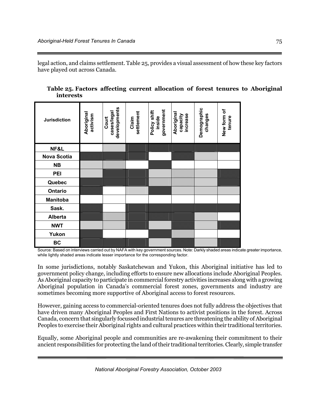legal action, and claims settlement. Table 25, provides a visual assessment of how these key factors have played out across Canada.

**Table 25. Factors affecting current allocation of forest tenures to Aboriginal interests** 

| <b>Jurisdiction</b> | Aboriginal<br>activism | developments<br>cases/legal<br>Court | settlement<br>Claim | government<br>Policy shift<br>inside | Aboriginal<br>increase<br>capacity | Demographic<br>changes | New form of<br>tenure |
|---------------------|------------------------|--------------------------------------|---------------------|--------------------------------------|------------------------------------|------------------------|-----------------------|
| NF&L                |                        |                                      |                     |                                      |                                    |                        |                       |
| <b>Nova Scotia</b>  |                        |                                      |                     |                                      |                                    |                        |                       |
| <b>NB</b>           |                        |                                      |                     |                                      |                                    |                        |                       |
| PEI                 |                        |                                      |                     |                                      |                                    |                        |                       |
| Quebec              |                        |                                      |                     |                                      |                                    |                        |                       |
| Ontario             |                        |                                      |                     |                                      |                                    |                        |                       |
| <b>Manitoba</b>     |                        |                                      |                     |                                      |                                    |                        |                       |
| Sask.               |                        |                                      |                     |                                      |                                    |                        |                       |
| <b>Alberta</b>      |                        |                                      |                     |                                      |                                    |                        |                       |
| <b>NWT</b>          |                        |                                      |                     |                                      |                                    |                        |                       |
| Yukon               |                        |                                      |                     |                                      |                                    |                        |                       |
| BC                  |                        |                                      |                     |                                      |                                    |                        |                       |

Source: Based on interviews carried out by NAFA with key government sources. Note: Darkly shaded areas indicate greater importance, while lightly shaded areas indicate lesser importance for the corresponding factor.

In some jurisdictions, notably Saskatchewan and Yukon, this Aboriginal initiative has led to government policy change, including efforts to ensure new allocations include Aboriginal Peoples. As Aboriginal capacity to participate in commercial forestry activities increases along with a growing Aboriginal population in Canada's commercial forest zones, governments and industry are sometimes becoming more supportive of Aboriginal access to forest resources.

However, gaining access to commercial-oriented tenures does not fully address the objectives that have driven many Aboriginal Peoples and First Nations to activist positions in the forest. Across Canada, concern that singularly focussed industrial tenures are threatening the ability of Aboriginal Peoples to exercise their Aboriginal rights and cultural practices within their traditional territories.

Equally, some Aboriginal people and communities are re-awakening their commitment to their ancient responsibilities for protecting the land of their traditional territories. Clearly, simple transfer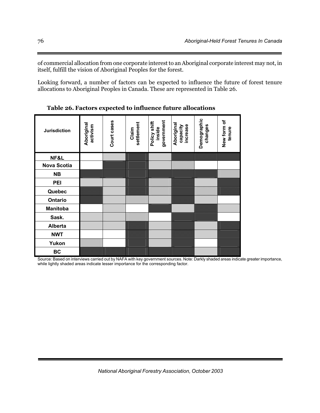of commercial allocation from one corporate interest to an Aboriginal corporate interest may not, in itself, fulfill the vision of Aboriginal Peoples for the forest.

Looking forward, a number of factors can be expected to influence the future of forest tenure allocations to Aboriginal Peoples in Canada. These are represented in Table 26.

| <b>Jurisdiction</b> | Aboriginal<br>activism | Court cases | settlement<br>Claim | government<br>Policy shift<br>inside | Aboriginal<br>increase<br>capacity | Demographic<br>changes | New form of<br>tenure |
|---------------------|------------------------|-------------|---------------------|--------------------------------------|------------------------------------|------------------------|-----------------------|
| NF&L                |                        |             |                     |                                      |                                    |                        |                       |
| <b>Nova Scotia</b>  |                        |             |                     |                                      |                                    |                        |                       |
| <b>NB</b>           |                        |             |                     |                                      |                                    |                        |                       |
| <b>PEI</b>          |                        |             |                     |                                      |                                    |                        |                       |
| Quebec              |                        |             |                     |                                      |                                    |                        |                       |
| Ontario             |                        |             |                     |                                      |                                    |                        |                       |
| <b>Manitoba</b>     |                        |             |                     |                                      |                                    |                        |                       |
| Sask.               |                        |             |                     |                                      |                                    |                        |                       |
| <b>Alberta</b>      |                        |             |                     |                                      |                                    |                        |                       |
| <b>NWT</b>          |                        |             |                     |                                      |                                    |                        |                       |
| Yukon               |                        |             |                     |                                      |                                    |                        |                       |
| BC                  |                        |             |                     |                                      |                                    |                        |                       |

**Table 26. Factors expected to influence future allocations** 

Source: Based on interviews carried out by NAFA with key government sources. Note: Darkly shaded areas indicate greater importance, while lightly shaded areas indicate lesser importance for the corresponding factor.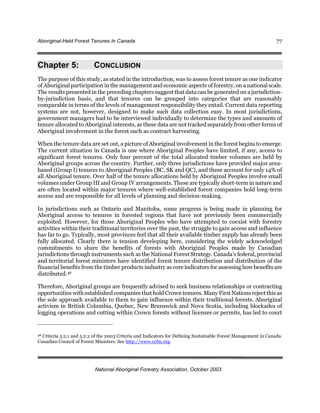# **Chapter 5: CONCLUSION**

 $\overline{a}$ 

The purpose of this study, as stated in the introduction, was to assess forest tenure as one indicator of Aboriginal participation in the management and economic aspects of forestry, on a national scale. The results presented in the preceding chapters suggest that data can be generated on a jurisdictionby-jurisdiction basis, and that tenures can be grouped into categories that are reasonably comparable in terms of the levels of management responsibility they entail. Current data reporting systems are not, however, designed to make such data collection easy. In most jurisdictions, government managers had to be interviewed individually to determine the types and amounts of tenure allocated to Aboriginal interests, as these data are not tracked separately from other forms of Aboriginal involvement in the forest such as contract harvesting.

When the tenure data are set out, a picture of Aboriginal involvement in the forest begins to emerge. The current situation in Canada is one where Aboriginal Peoples have limited, if any, access to significant forest tenures. Only four percent of the total allocated timber volumes are held by Aboriginal groups across the country. Further, only three jurisdictions have provided major areabased (Group I) tenures to Aboriginal Peoples (BC, SK and QC), and these account for only 14% of all Aboriginal tenure. Over half of the tenure allocations held by Aboriginal Peoples involve small volumes under Group III and Group IV arrangements. These are typically short-term in nature and are often located within major tenures where well-established forest companies hold long-term access and are responsible for all levels of planning and decision-making.

In jurisdictions such as Ontario and Manitoba, some progress is being made in planning for Aboriginal access to tenures in forested regions that have not previously been commercially exploited. However, for those Aboriginal Peoples who have attempted to coexist with forestry activities within their traditional territories over the past, the struggle to gain access and influence has far to go. Typically, most provinces feel that all their available timber supply has already been fully allocated. Clearly there is tension developing here, considering the widely acknowledged commitments to share the benefits of forests with Aboriginal Peoples made by Canadian jurisdictions through instruments such as the National Forest Strategy. Canada's federal, provincial and territorial forest ministers have identified forest tenure distribution and distribution of the financial benefits from the timber products industry as core indicators for assessing how benefits are distributed.48

Therefore, Aboriginal groups are frequently advised to seek business relationships or contracting opportunities with established companies that hold Crown tenures. Many First Nations reject this as the sole approach available to them to gain influence within their traditional forests. Aboriginal activism in British Columbia, Quebec, New Brunswick and Nova Scotia, including blockades of logging operations and cutting within Crown forests without licenses or permits, has led to court

<sup>48</sup> Criteria 5.2.1 and 5.2.2 of the 2003 Criteria and Indicators for Defining Sustainable Forest Management in Canada. Canadian Council of Forest Ministers. See http://www.ccfm.org.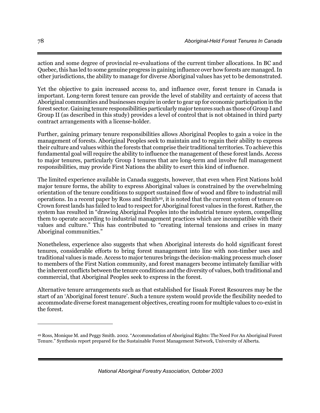action and some degree of provincial re-evaluations of the current timber allocations. In BC and Quebec, this has led to some genuine progress in gaining influence over how forests are managed. In other jurisdictions, the ability to manage for diverse Aboriginal values has yet to be demonstrated.

Yet the objective to gain increased access to, and influence over, forest tenure in Canada is important. Long-term forest tenure can provide the level of stability and certainty of access that Aboriginal communities and businesses require in order to gear up for economic participation in the forest sector. Gaining tenure responsibilities particularly major tenures such as those of Group I and Group II (as described in this study) provides a level of control that is not obtained in third party contract arrangements with a license-holder.

Further, gaining primary tenure responsibilities allows Aboriginal Peoples to gain a voice in the management of forests. Aboriginal Peoples seek to maintain and to regain their ability to express their culture and values within the forests that comprise their traditional territories. To achieve this fundamental goal will require the ability to influence the management of these forest lands. Access to major tenures, particularly Group I tenures that are long-term and involve full management responsibilities, may provide First Nations the ability to exert this kind of influence.

The limited experience available in Canada suggests, however, that even when First Nations hold major tenure forms, the ability to express Aboriginal values is constrained by the overwhelming orientation of the tenure conditions to support sustained flow of wood and fibre to industrial mill operations. In a recent paper by Ross and Smith49, it is noted that the current system of tenure on Crown forest lands has failed to lead to respect for Aboriginal forest values in the forest. Rather, the system has resulted in "drawing Aboriginal Peoples into the industrial tenure system, compelling them to operate according to industrial management practices which are incompatible with their values and culture." This has contributed to "creating internal tensions and crises in many Aboriginal communities."

Nonetheless, experience also suggests that when Aboriginal interests do hold significant forest tenures, considerable efforts to bring forest management into line with non-timber uses and traditional values is made. Access to major tenures brings the decision-making process much closer to members of the First Nation community, and forest managers become intimately familiar with the inherent conflicts between the tenure conditions and the diversity of values, both traditional and commercial, that Aboriginal Peoples seek to express in the forest.

Alternative tenure arrangements such as that established for Iisaak Forest Resources may be the start of an 'Aboriginal forest tenure'. Such a tenure system would provide the flexibility needed to accommodate diverse forest management objectives, creating room for multiple values to co-exist in the forest.

<u>.</u>

<sup>49</sup> Ross, Monique M. and Peggy Smith. 2002. "Accommodation of Aboriginal Rights: The Need For An Aboriginal Forest Tenure." Synthesis report prepared for the Sustainable Forest Management Network, University of Alberta.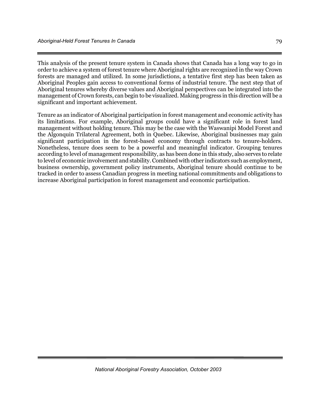This analysis of the present tenure system in Canada shows that Canada has a long way to go in order to achieve a system of forest tenure where Aboriginal rights are recognized in the way Crown forests are managed and utilized. In some jurisdictions, a tentative first step has been taken as Aboriginal Peoples gain access to conventional forms of industrial tenure. The next step that of Aboriginal tenures whereby diverse values and Aboriginal perspectives can be integrated into the management of Crown forests, can begin to be visualized. Making progress in this direction will be a significant and important achievement.

Tenure as an indicator of Aboriginal participation in forest management and economic activity has its limitations. For example, Aboriginal groups could have a significant role in forest land management without holding tenure. This may be the case with the Waswanipi Model Forest and the Algonquin Trilateral Agreement, both in Quebec. Likewise, Aboriginal businesses may gain significant participation in the forest-based economy through contracts to tenure-holders. Nonetheless, tenure does seem to be a powerful and meaningful indicator. Grouping tenures according to level of management responsibility, as has been done in this study, also serves to relate to level of economic involvement and stability. Combined with other indicators such as employment, business ownership, government policy instruments, Aboriginal tenure should continue to be tracked in order to assess Canadian progress in meeting national commitments and obligations to increase Aboriginal participation in forest management and economic participation.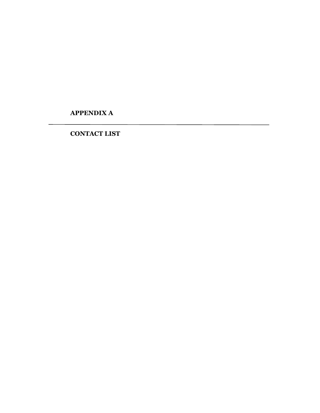**APPENDIX A** 

**CONTACT LIST**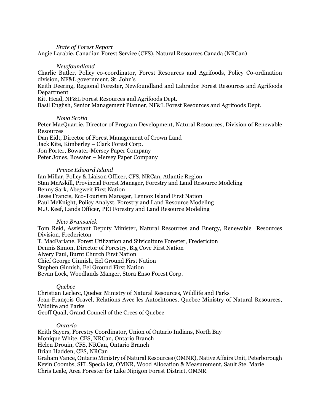#### *State of Forest Report*

Angie Larabie, Canadian Forest Service (CFS), Natural Resources Canada (NRCan)

#### *Newfoundland*

Charlie Butler, Policy co-coordinator, Forest Resources and Agrifoods, Policy Co-ordination division, NF&L government, St. John's

Keith Deering, Regional Forester, Newfoundland and Labrador Forest Resources and Agrifoods Department

Kitt Head, NF&L Forest Resources and Agrifoods Dept.

Basil English, Senior Management Planner, NF&L Forest Resources and Agrifoods Dept.

#### *Nova Scotia*

Peter MacQuarrie. Director of Program Development, Natural Resources, Division of Renewable **Resources** Dan Eidt, Director of Forest Management of Crown Land Jack Kite, Kimberley – Clark Forest Corp. Jon Porter, Bowater-Mersey Paper Company Peter Jones, Bowater – Mersey Paper Company

# *Prince Edward Island*

Ian Millar, Policy & Liaison Officer, CFS, NRCan, Atlantic Region Stan McAskill, Provincial Forest Manager, Forestry and Land Resource Modeling Benny Sark, Abegweit First Nation Jesse Francis, Eco-Tourism Manager, Lennox Island First Nation Paul McKnight, Policy Analyst, Forestry and Land Resource Modeling M.J. Keef, Lands Officer, PEI Forestry and Land Resource Modeling

# *New Brunswick*

Tom Reid, Assistant Deputy Minister, Natural Resources and Energy, Renewable Resources Division, Fredericton T. MacFarlane, Forest Utilization and Silviculture Forester, Fredericton Dennis Simon, Director of Forestry, Big Cove First Nation Alvery Paul, Burnt Church First Nation Chief George Ginnish, Eel Ground First Nation Stephen Ginnish, Eel Ground First Nation Bevan Lock, Woodlands Manger, Stora Enso Forest Corp.

# *Quebec*

Christian Leclerc, Quebec Ministry of Natural Resources, Wildlife and Parks Jean-François Gravel, Relations Avec les Autochtones, Quebec Ministry of Natural Resources, Wildlife and Parks Geoff Quail, Grand Council of the Crees of Quebec

#### *Ontario*

Keith Sayers, Forestry Coordinator, Union of Ontario Indians, North Bay Monique White, CFS, NRCan, Ontario Branch Helen Drouin, CFS, NRCan, Ontario Branch Brian Hadden, CFS, NRCan Graham Vance, Ontario Ministry of Natural Resources (OMNR), Native Affairs Unit, Peterborough Kevin Coombs, SFL Specialist, OMNR, Wood Allocation & Measurement, Sault Ste. Marie Chris Leale, Area Forester for Lake Nipigon Forest District, OMNR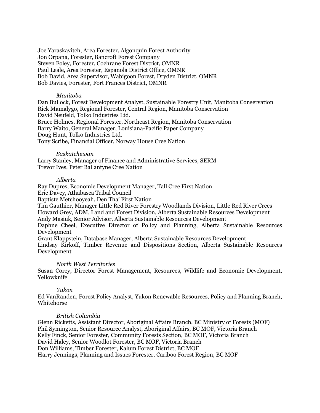Joe Yaraskavitch, Area Forester, Algonquin Forest Authority Jon Orpana, Forester, Bancroft Forest Company Steven Foley, Forester, Cochrane Forest District, OMNR Paul Leale, Area Forester, Espanola District Office, OMNR Bob David, Area Supervisor, Wabigoon Forest, Dryden District, OMNR Bob Davies, Forester, Fort Frances District, OMNR

#### *Manitoba*

Dan Bullock, Forest Development Analyst, Sustainable Forestry Unit, Manitoba Conservation Rick Mamalygo, Regional Forester, Central Region, Manitoba Conservation David Neufeld, Tolko Industries Ltd. Bruce Holmes, Regional Forester, Northeast Region, Manitoba Conservation Barry Waito, General Manager, Louisiana-Pacific Paper Company Doug Hunt, Tolko Industries Ltd. Tony Scribe, Financial Officer, Norway House Cree Nation

#### *Saskatchewan*

Larry Stanley, Manager of Finance and Administrative Services, SERM Trevor Ives, Peter Ballantyne Cree Nation

#### *Alberta*

Ray Dupres, Economic Development Manager, Tall Cree First Nation

Eric Davey, Athabasca Tribal Council

Baptiste Metchooyeah, Den Tha' First Nation

Tim Gauthier, Manager Little Red River Forestry Woodlands Division, Little Red River Crees Howard Grey, ADM, Land and Forest Division, Alberta Sustainable Resources Development

Andy Masiuk, Senior Advisor, Alberta Sustainable Resources Development

Daphne Cheel, Executive Director of Policy and Planning, Alberta Sustainable Resources Development

Grant Klappstein, Database Manager, Alberta Sustainable Resources Development

Lindsay Kirkoff, Timber Revenue and Dispositions Section, Alberta Sustainable Resources Development

# *North West Territories*

Susan Corey, Director Forest Management, Resources, Wildlife and Economic Development, Yellowknife

# *Yukon*

Ed VanRanden, Forest Policy Analyst, Yukon Renewable Resources, Policy and Planning Branch, Whitehorse

# *British Columbia*

Glenn Ricketts, Assistant Director, Aboriginal Affairs Branch, BC Ministry of Forests (MOF) Phil Symington, Senior Resource Analyst, Aboriginal Affairs, BC MOF, Victoria Branch Kelly Finck, Senior Forester, Community Forests Section, BC MOF, Victoria Branch David Haley, Senior Woodlot Forester, BC MOF, Victoria Branch Don Williams, Timber Forester, Kalum Forest District, BC MOF Harry Jennings, Planning and Issues Forester, Cariboo Forest Region, BC MOF